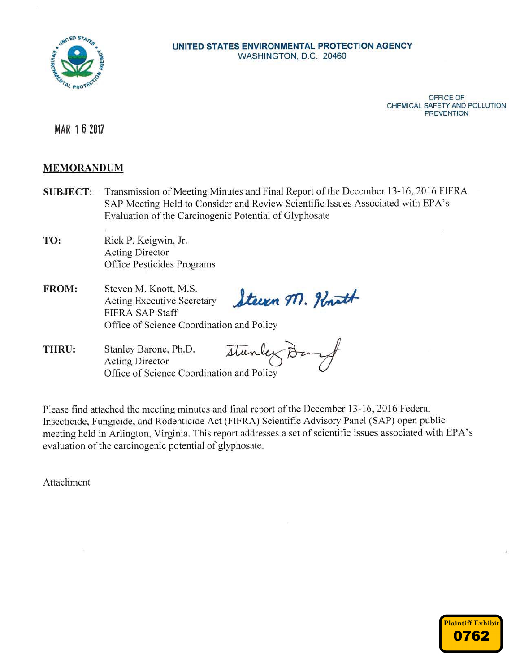

### UNITED STATES ENVIRONMENTAL PROTECTION AGENCY WASHINGTON, D.C. 20460

OFFICE OF CHEMICAL SAFETY AND POLLUTION **PREVENTION** 

MAR 1 6 2017

# **MEMORANDUM**

- Transmission of Meeting Minutes and Final Report of the December 13-16, 2016 FIFRA **SUBJECT:** SAP Meeting Held to Consider and Review Scientific Issues Associated with EPA's Evaluation of the Carcinogenic Potential of Glyphosate
- TO: Rick P. Keigwin, Jr. **Acting Director** Office Pesticides Programs
- FROM: Steven M. Knott, M.S. Steern M. Hout **Acting Executive Secretary** FIFRA SAP Staff Office of Science Coordination and Policy
- THRU: Stanley Barone, Ph.D. Stanlex **Acting Director** Office of Science Coordination and Policy

Please find attached the meeting minutes and final report of the December 13-16, 2016 Federal Insecticide, Fungicide, and Rodenticide Act (FIFRA) Scientific Advisory Panel (SAP) open public meeting held in Arlington, Virginia. This report addresses a set of scientific issues associated with EPA's evaluation of the carcinogenic potential of glyphosate.

Attachment

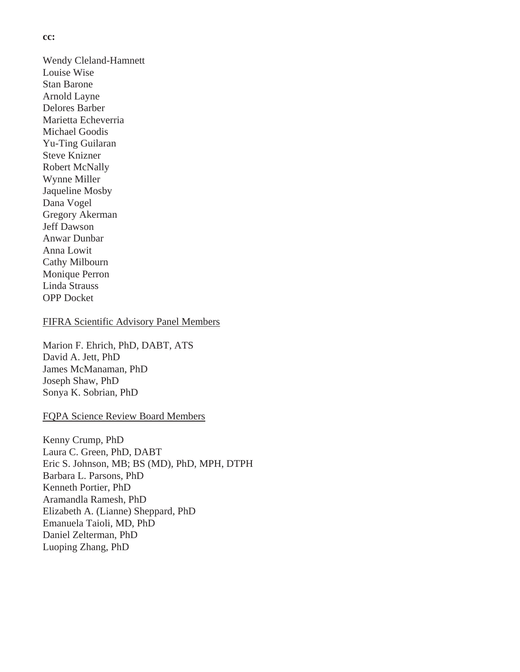#### **cc:**

Wendy Cleland-Hamnett Louise Wise Stan Barone Arnold Layne Delores Barber Marietta Echeverria Michael Goodis Yu-Ting Guilaran Steve Knizner Robert McNally Wynne Miller Jaqueline Mosby Dana Vogel Gregory Akerman Jeff Dawson Anwar Dunbar Anna Lowit Cathy Milbourn Monique Perron Linda Strauss OPP Docket

### FIFRA Scientific Advisory Panel Members

Marion F. Ehrich, PhD, DABT, ATS David A. Jett, PhD James McManaman, PhD Joseph Shaw, PhD Sonya K. Sobrian, PhD

## FQPA Science Review Board Members

Kenny Crump, PhD Laura C. Green, PhD, DABT Eric S. Johnson, MB; BS (MD), PhD, MPH, DTPH Barbara L. Parsons, PhD Kenneth Portier, PhD Aramandla Ramesh, PhD Elizabeth A. (Lianne) Sheppard, PhD Emanuela Taioli, MD, PhD Daniel Zelterman, PhD Luoping Zhang, PhD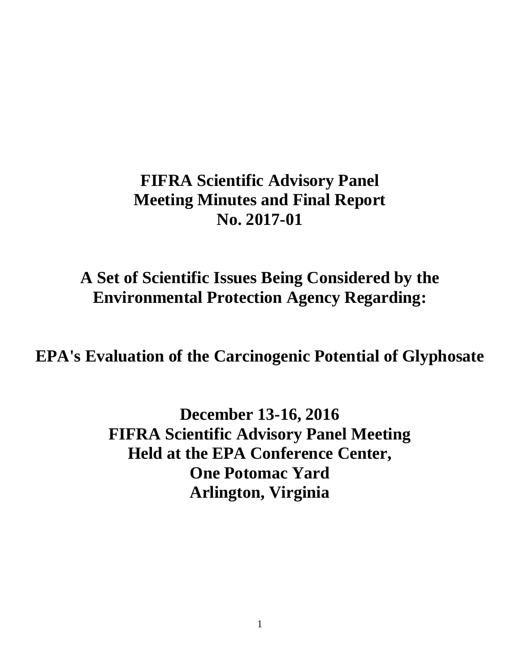# **FIFRA Scientific Advisory Panel Meeting Minutes and Final Report No. 2017-01**

# **A Set of Scientific Issues Being Considered by the Environmental Protection Agency Regarding:**

**EPA's Evaluation of the Carcinogenic Potential of Glyphosate**

**December 13-16, 2016 FIFRA Scientific Advisory Panel Meeting Held at the EPA Conference Center, One Potomac Yard Arlington, Virginia**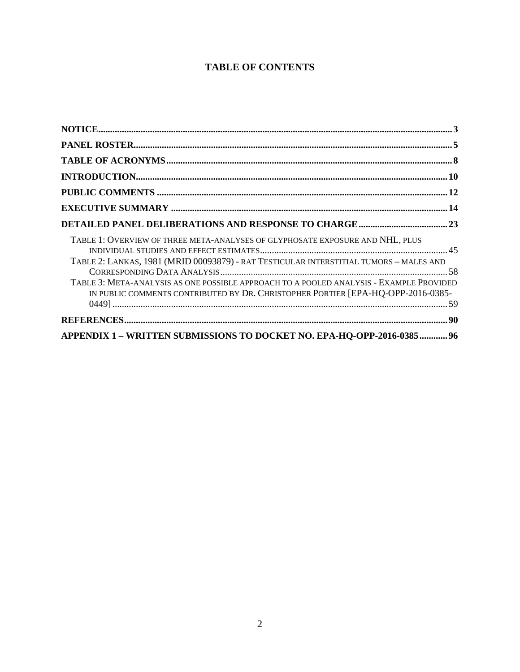# **TABLE OF CONTENTS**

| TABLE 1: OVERVIEW OF THREE META-ANALYSES OF GLYPHOSATE EXPOSURE AND NHL, PLUS<br>TABLE 2: LANKAS, 1981 (MRID 00093879) - RAT TESTICULAR INTERSTITIAL TUMORS - MALES AND<br>TABLE 3: META-ANALYSIS AS ONE POSSIBLE APPROACH TO A POOLED ANALYSIS - EXAMPLE PROVIDED<br>IN PUBLIC COMMENTS CONTRIBUTED BY DR. CHRISTOPHER PORTIER [EPA-HQ-OPP-2016-0385- |  |
|--------------------------------------------------------------------------------------------------------------------------------------------------------------------------------------------------------------------------------------------------------------------------------------------------------------------------------------------------------|--|
|                                                                                                                                                                                                                                                                                                                                                        |  |
| APPENDIX 1 - WRITTEN SUBMISSIONS TO DOCKET NO. EPA-HQ-OPP-2016-0385 96                                                                                                                                                                                                                                                                                 |  |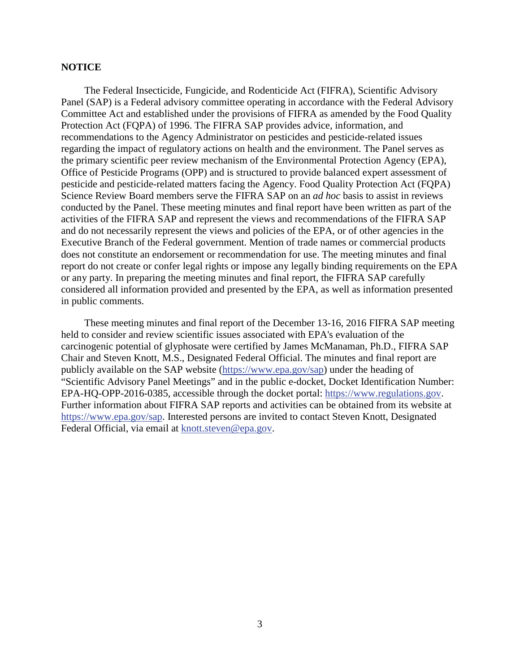# **NOTICE**

The Federal Insecticide, Fungicide, and Rodenticide Act (FIFRA), Scientific Advisory Panel (SAP) is a Federal advisory committee operating in accordance with the Federal Advisory Committee Act and established under the provisions of FIFRA as amended by the Food Quality Protection Act (FQPA) of 1996. The FIFRA SAP provides advice, information, and recommendations to the Agency Administrator on pesticides and pesticide-related issues regarding the impact of regulatory actions on health and the environment. The Panel serves as the primary scientific peer review mechanism of the Environmental Protection Agency (EPA), Office of Pesticide Programs (OPP) and is structured to provide balanced expert assessment of pesticide and pesticide-related matters facing the Agency. Food Quality Protection Act (FQPA) Science Review Board members serve the FIFRA SAP on an *ad hoc* basis to assist in reviews conducted by the Panel. These meeting minutes and final report have been written as part of the activities of the FIFRA SAP and represent the views and recommendations of the FIFRA SAP and do not necessarily represent the views and policies of the EPA, or of other agencies in the Executive Branch of the Federal government. Mention of trade names or commercial products does not constitute an endorsement or recommendation for use. The meeting minutes and final report do not create or confer legal rights or impose any legally binding requirements on the EPA or any party. In preparing the meeting minutes and final report, the FIFRA SAP carefully considered all information provided and presented by the EPA, as well as information presented in public comments.

These meeting minutes and final report of the December 13-16, 2016 FIFRA SAP meeting held to consider and review scientific issues associated with EPA's evaluation of the carcinogenic potential of glyphosate were certified by James McManaman, Ph.D., FIFRA SAP Chair and Steven Knott, M.S., Designated Federal Official. The minutes and final report are publicly available on the SAP website (https://www.epa.gov/sap) under the heading of "Scientific Advisory Panel Meetings" and in the public e-docket, Docket Identification Number: EPA-HQ-OPP-2016-0385, accessible through the docket portal: https://www.regulations.gov. Further information about FIFRA SAP reports and activities can be obtained from its website at https://www.epa.gov/sap. Interested persons are invited to contact Steven Knott, Designated Federal Official, via email at knott.steven@epa.gov.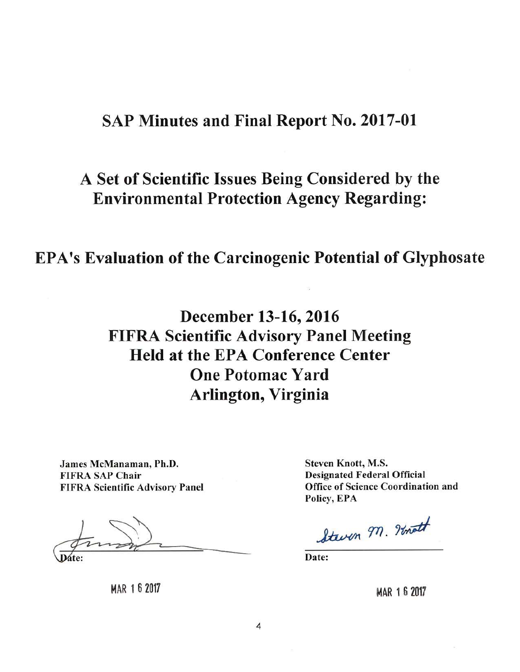# **SAP Minutes and Final Report No. 2017-01**

# A Set of Scientific Issues Being Considered by the **Environmental Protection Agency Regarding:**

# **EPA's Evaluation of the Carcinogenic Potential of Glyphosate**

# December 13-16, 2016 **FIFRA Scientific Advisory Panel Meeting Held at the EPA Conference Center One Potomac Yard** Arlington, Virginia

James McManaman, Ph.D. **FIFRA SAP Chair FIFRA Scientific Advisory Panel** 

**Steven Knott, M.S. Designated Federal Official Office of Science Coordination and** Policy, EPA

Steven 97. Inott

Date:

MAR 1 6 2017

MAR 1 6 2017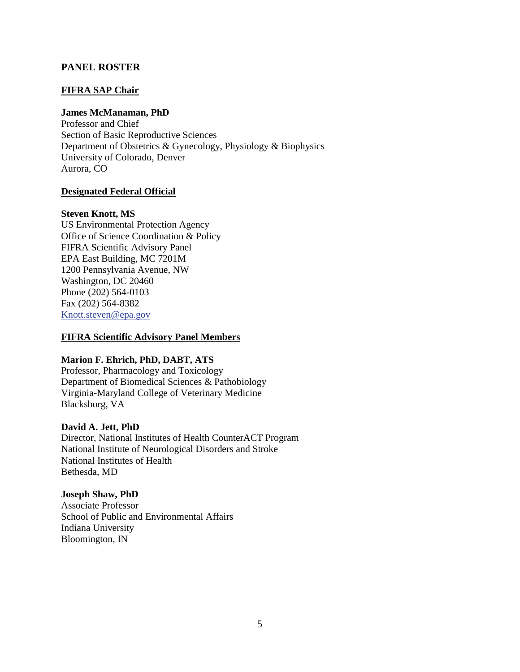# **PANEL ROSTER**

### **FIFRA SAP Chair**

# **James McManaman, PhD**

Professor and Chief Section of Basic Reproductive Sciences Department of Obstetrics & Gynecology, Physiology & Biophysics University of Colorado, Denver Aurora, CO

## **Designated Federal Official**

#### **Steven Knott, MS**

US Environmental Protection Agency Office of Science Coordination & Policy FIFRA Scientific Advisory Panel EPA East Building, MC 7201M 1200 Pennsylvania Avenue, NW Washington, DC 20460 Phone (202) 564-0103 Fax (202) 564-8382 Knott.steven@epa.gov

# **FIFRA Scientific Advisory Panel Members**

#### **Marion F. Ehrich, PhD, DABT, ATS**

Professor, Pharmacology and Toxicology Department of Biomedical Sciences & Pathobiology Virginia-Maryland College of Veterinary Medicine Blacksburg, VA

#### **David A. Jett, PhD**

Director, National Institutes of Health CounterACT Program National Institute of Neurological Disorders and Stroke National Institutes of Health Bethesda, MD

#### **Joseph Shaw, PhD**

Associate Professor School of Public and Environmental Affairs Indiana University Bloomington, IN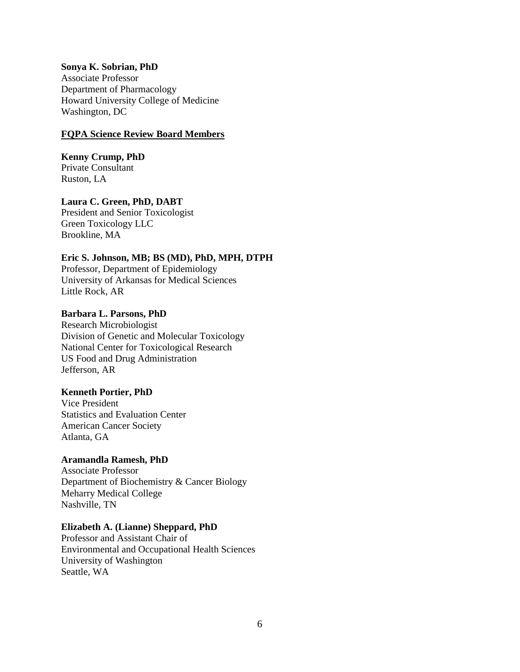#### **Sonya K. Sobrian, PhD**

Associate Professor Department of Pharmacology Howard University College of Medicine Washington, DC

#### **FQPA Science Review Board Members**

**Kenny Crump, PhD**  Private Consultant Ruston, LA

### **Laura C. Green, PhD, DABT**

President and Senior Toxicologist Green Toxicology LLC Brookline, MA

# **Eric S. Johnson, MB; BS (MD), PhD, MPH, DTPH**

Professor, Department of Epidemiology University of Arkansas for Medical Sciences Little Rock, AR

#### **Barbara L. Parsons, PhD**

Research Microbiologist Division of Genetic and Molecular Toxicology National Center for Toxicological Research US Food and Drug Administration Jefferson, AR

#### **Kenneth Portier, PhD**

Vice President Statistics and Evaluation Center American Cancer Society Atlanta, GA

#### **Aramandla Ramesh, PhD**

Associate Professor Department of Biochemistry & Cancer Biology Meharry Medical College Nashville, TN

### **Elizabeth A. (Lianne) Sheppard, PhD**

Professor and Assistant Chair of Environmental and Occupational Health Sciences University of Washington Seattle, WA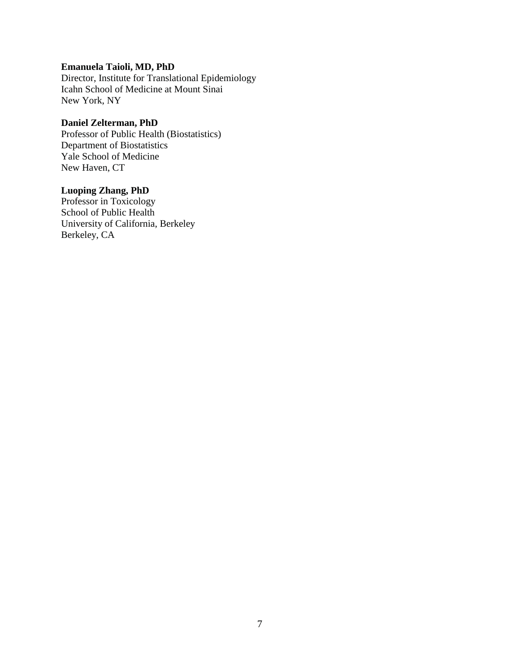# **Emanuela Taioli, MD, PhD**

Director, Institute for Translational Epidemiology Icahn School of Medicine at Mount Sinai New York, NY

# **Daniel Zelterman, PhD**

Professor of Public Health (Biostatistics) Department of Biostatistics Yale School of Medicine New Haven, CT

# **Luoping Zhang, PhD**

Professor in Toxicology School of Public Health University of California, Berkeley Berkeley, CA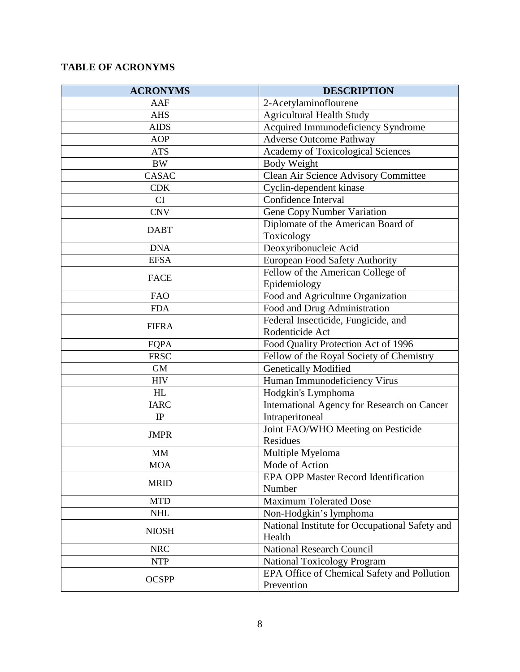# **TABLE OF ACRONYMS**

| <b>ACRONYMS</b> | <b>DESCRIPTION</b>                                                       |
|-----------------|--------------------------------------------------------------------------|
| AAF             | 2-Acetylaminoflourene                                                    |
| <b>AHS</b>      | <b>Agricultural Health Study</b>                                         |
| <b>AIDS</b>     | Acquired Immunodeficiency Syndrome                                       |
| <b>AOP</b>      | <b>Adverse Outcome Pathway</b>                                           |
| <b>ATS</b>      | Academy of Toxicological Sciences                                        |
| <b>BW</b>       | Body Weight                                                              |
| CASAC           | Clean Air Science Advisory Committee                                     |
| <b>CDK</b>      | Cyclin-dependent kinase                                                  |
| CI              | Confidence Interval                                                      |
| <b>CNV</b>      | <b>Gene Copy Number Variation</b>                                        |
| <b>DABT</b>     | Diplomate of the American Board of                                       |
|                 | Toxicology                                                               |
| <b>DNA</b>      | Deoxyribonucleic Acid                                                    |
| <b>EFSA</b>     | European Food Safety Authority                                           |
| <b>FACE</b>     | Fellow of the American College of                                        |
|                 | Epidemiology                                                             |
| <b>FAO</b>      | Food and Agriculture Organization                                        |
| <b>FDA</b>      | Food and Drug Administration                                             |
| <b>FIFRA</b>    | Federal Insecticide, Fungicide, and                                      |
|                 | Rodenticide Act                                                          |
| FQPA            | Food Quality Protection Act of 1996                                      |
| <b>FRSC</b>     | Fellow of the Royal Society of Chemistry                                 |
| <b>GM</b>       | <b>Genetically Modified</b>                                              |
| <b>HIV</b>      | Human Immunodeficiency Virus                                             |
| HL              | Hodgkin's Lymphoma                                                       |
| <b>IARC</b>     | International Agency for Research on Cancer                              |
| IP              | Intraperitoneal                                                          |
| <b>JMPR</b>     | Joint FAO/WHO Meeting on Pesticide                                       |
|                 | <b>Residues</b>                                                          |
| <b>MM</b>       | Multiple Myeloma                                                         |
| <b>MOA</b>      | Mode of Action                                                           |
| <b>MRID</b>     | <b>EPA OPP Master Record Identification</b><br>Number                    |
| <b>MTD</b>      | <b>Maximum Tolerated Dose</b>                                            |
| <b>NHL</b>      |                                                                          |
|                 | Non-Hodgkin's lymphoma<br>National Institute for Occupational Safety and |
| <b>NIOSH</b>    | Health                                                                   |
| <b>NRC</b>      | <b>National Research Council</b>                                         |
| <b>NTP</b>      | <b>National Toxicology Program</b>                                       |
| <b>OCSPP</b>    | EPA Office of Chemical Safety and Pollution                              |
|                 | Prevention                                                               |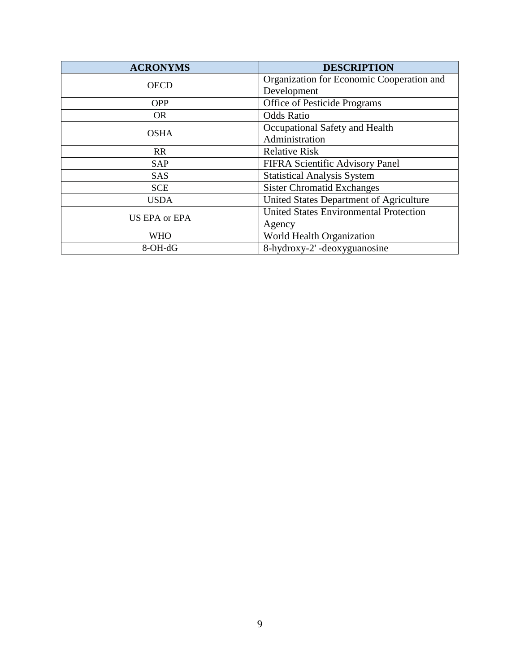| <b>ACRONYMS</b> | <b>DESCRIPTION</b>                            |
|-----------------|-----------------------------------------------|
| <b>OECD</b>     | Organization for Economic Cooperation and     |
|                 | Development                                   |
| <b>OPP</b>      | Office of Pesticide Programs                  |
| <b>OR</b>       | <b>Odds Ratio</b>                             |
| <b>OSHA</b>     | Occupational Safety and Health                |
|                 | Administration                                |
| <b>RR</b>       | <b>Relative Risk</b>                          |
| <b>SAP</b>      | FIFRA Scientific Advisory Panel               |
| <b>SAS</b>      | <b>Statistical Analysis System</b>            |
| <b>SCE</b>      | <b>Sister Chromatid Exchanges</b>             |
| <b>USDA</b>     | United States Department of Agriculture       |
| US EPA or EPA   | <b>United States Environmental Protection</b> |
|                 | Agency                                        |
| <b>WHO</b>      | World Health Organization                     |
| 8-OH-dG         | 8-hydroxy-2'-deoxyguanosine                   |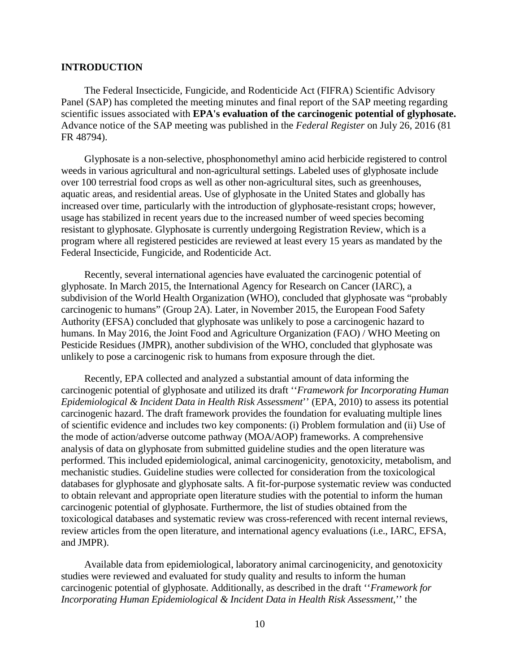## **INTRODUCTION**

The Federal Insecticide, Fungicide, and Rodenticide Act (FIFRA) Scientific Advisory Panel (SAP) has completed the meeting minutes and final report of the SAP meeting regarding scientific issues associated with **EPA's evaluation of the carcinogenic potential of glyphosate.** Advance notice of the SAP meeting was published in the *Federal Register* on July 26, 2016 (81 FR 48794).

Glyphosate is a non-selective, phosphonomethyl amino acid herbicide registered to control weeds in various agricultural and non-agricultural settings. Labeled uses of glyphosate include over 100 terrestrial food crops as well as other non-agricultural sites, such as greenhouses, aquatic areas, and residential areas. Use of glyphosate in the United States and globally has increased over time, particularly with the introduction of glyphosate-resistant crops; however, usage has stabilized in recent years due to the increased number of weed species becoming resistant to glyphosate. Glyphosate is currently undergoing Registration Review, which is a program where all registered pesticides are reviewed at least every 15 years as mandated by the Federal Insecticide, Fungicide, and Rodenticide Act.

Recently, several international agencies have evaluated the carcinogenic potential of glyphosate. In March 2015, the International Agency for Research on Cancer (IARC), a subdivision of the World Health Organization (WHO), concluded that glyphosate was "probably carcinogenic to humans" (Group 2A). Later, in November 2015, the European Food Safety Authority (EFSA) concluded that glyphosate was unlikely to pose a carcinogenic hazard to humans. In May 2016, the Joint Food and Agriculture Organization (FAO) / WHO Meeting on Pesticide Residues (JMPR), another subdivision of the WHO, concluded that glyphosate was unlikely to pose a carcinogenic risk to humans from exposure through the diet.

Recently, EPA collected and analyzed a substantial amount of data informing the carcinogenic potential of glyphosate and utilized its draft ''*Framework for Incorporating Human Epidemiological & Incident Data in Health Risk Assessment*'' (EPA, 2010) to assess its potential carcinogenic hazard. The draft framework provides the foundation for evaluating multiple lines of scientific evidence and includes two key components: (i) Problem formulation and (ii) Use of the mode of action/adverse outcome pathway (MOA/AOP) frameworks. A comprehensive analysis of data on glyphosate from submitted guideline studies and the open literature was performed. This included epidemiological, animal carcinogenicity, genotoxicity, metabolism, and mechanistic studies. Guideline studies were collected for consideration from the toxicological databases for glyphosate and glyphosate salts. A fit-for-purpose systematic review was conducted to obtain relevant and appropriate open literature studies with the potential to inform the human carcinogenic potential of glyphosate. Furthermore, the list of studies obtained from the toxicological databases and systematic review was cross-referenced with recent internal reviews, review articles from the open literature, and international agency evaluations (i.e., IARC, EFSA, and JMPR).

Available data from epidemiological, laboratory animal carcinogenicity, and genotoxicity studies were reviewed and evaluated for study quality and results to inform the human carcinogenic potential of glyphosate. Additionally, as described in the draft ''*Framework for Incorporating Human Epidemiological & Incident Data in Health Risk Assessment*,'' the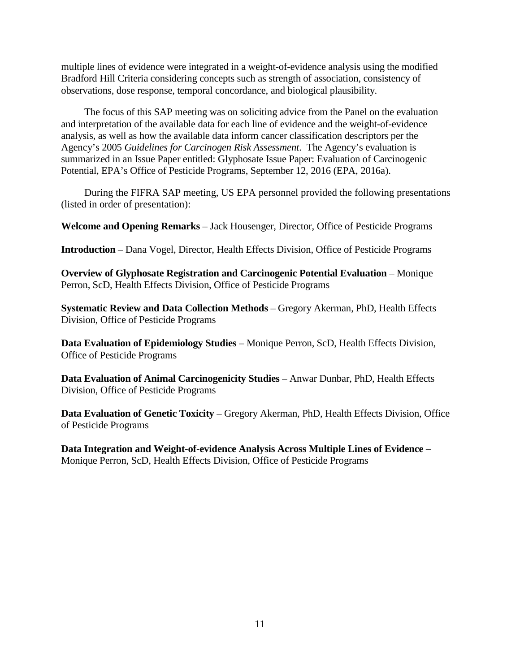multiple lines of evidence were integrated in a weight-of-evidence analysis using the modified Bradford Hill Criteria considering concepts such as strength of association, consistency of observations, dose response, temporal concordance, and biological plausibility.

The focus of this SAP meeting was on soliciting advice from the Panel on the evaluation and interpretation of the available data for each line of evidence and the weight-of-evidence analysis, as well as how the available data inform cancer classification descriptors per the Agency's 2005 *Guidelines for Carcinogen Risk Assessment*. The Agency's evaluation is summarized in an Issue Paper entitled: Glyphosate Issue Paper: Evaluation of Carcinogenic Potential, EPA's Office of Pesticide Programs, September 12, 2016 (EPA, 2016a).

During the FIFRA SAP meeting, US EPA personnel provided the following presentations (listed in order of presentation):

**Welcome and Opening Remarks** – Jack Housenger, Director, Office of Pesticide Programs

**Introduction** – Dana Vogel, Director, Health Effects Division, Office of Pesticide Programs

**Overview of Glyphosate Registration and Carcinogenic Potential Evaluation** – Monique Perron, ScD, Health Effects Division, Office of Pesticide Programs

**Systematic Review and Data Collection Methods** – Gregory Akerman, PhD, Health Effects Division, Office of Pesticide Programs

**Data Evaluation of Epidemiology Studies** – Monique Perron, ScD, Health Effects Division, Office of Pesticide Programs

**Data Evaluation of Animal Carcinogenicity Studies** – Anwar Dunbar, PhD, Health Effects Division, Office of Pesticide Programs

**Data Evaluation of Genetic Toxicity** – Gregory Akerman, PhD, Health Effects Division, Office of Pesticide Programs

**Data Integration and Weight-of-evidence Analysis Across Multiple Lines of Evidence** – Monique Perron, ScD, Health Effects Division, Office of Pesticide Programs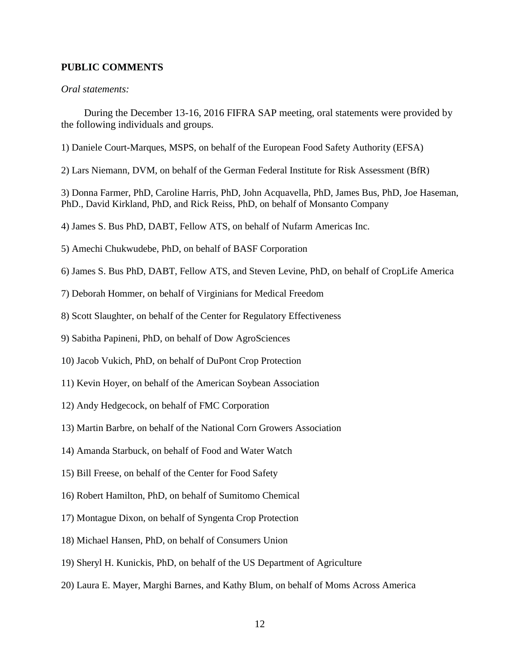### **PUBLIC COMMENTS**

#### *Oral statements:*

During the December 13-16, 2016 FIFRA SAP meeting, oral statements were provided by the following individuals and groups.

1) Daniele Court-Marques, MSPS, on behalf of the European Food Safety Authority (EFSA)

2) Lars Niemann, DVM, on behalf of the German Federal Institute for Risk Assessment (BfR)

3) Donna Farmer, PhD, Caroline Harris, PhD, John Acquavella, PhD, James Bus, PhD, Joe Haseman, PhD., David Kirkland, PhD, and Rick Reiss, PhD, on behalf of Monsanto Company

4) James S. Bus PhD, DABT, Fellow ATS, on behalf of Nufarm Americas Inc.

5) Amechi Chukwudebe, PhD, on behalf of BASF Corporation

6) James S. Bus PhD, DABT, Fellow ATS, and Steven Levine, PhD, on behalf of CropLife America

7) Deborah Hommer, on behalf of Virginians for Medical Freedom

8) Scott Slaughter, on behalf of the Center for Regulatory Effectiveness

9) Sabitha Papineni, PhD, on behalf of Dow AgroSciences

10) Jacob Vukich, PhD, on behalf of DuPont Crop Protection

11) Kevin Hoyer, on behalf of the American Soybean Association

12) Andy Hedgecock, on behalf of FMC Corporation

13) Martin Barbre, on behalf of the National Corn Growers Association

14) Amanda Starbuck, on behalf of Food and Water Watch

15) Bill Freese, on behalf of the Center for Food Safety

16) Robert Hamilton, PhD, on behalf of Sumitomo Chemical

17) Montague Dixon, on behalf of Syngenta Crop Protection

18) Michael Hansen, PhD, on behalf of Consumers Union

19) Sheryl H. Kunickis, PhD, on behalf of the US Department of Agriculture

20) Laura E. Mayer, Marghi Barnes, and Kathy Blum, on behalf of Moms Across America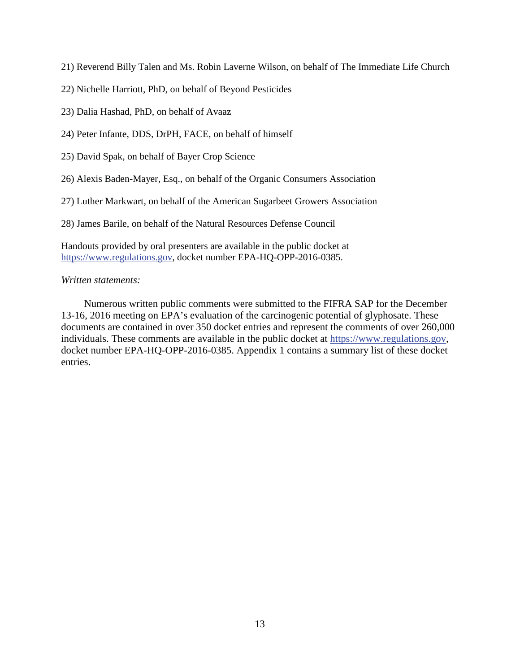21) Reverend Billy Talen and Ms. Robin Laverne Wilson, on behalf of The Immediate Life Church

- 22) Nichelle Harriott, PhD, on behalf of Beyond Pesticides
- 23) Dalia Hashad, PhD, on behalf of Avaaz
- 24) Peter Infante, DDS, DrPH, FACE, on behalf of himself
- 25) David Spak, on behalf of Bayer Crop Science
- 26) Alexis Baden-Mayer, Esq., on behalf of the Organic Consumers Association
- 27) Luther Markwart, on behalf of the American Sugarbeet Growers Association

28) James Barile, on behalf of the Natural Resources Defense Council

Handouts provided by oral presenters are available in the public docket at https://www.regulations.gov, docket number EPA-HQ-OPP-2016-0385.

#### *Written statements:*

Numerous written public comments were submitted to the FIFRA SAP for the December 13-16, 2016 meeting on EPA's evaluation of the carcinogenic potential of glyphosate. These documents are contained in over 350 docket entries and represent the comments of over 260,000 individuals. These comments are available in the public docket at https://www.regulations.gov, docket number EPA-HQ-OPP-2016-0385. Appendix 1 contains a summary list of these docket entries.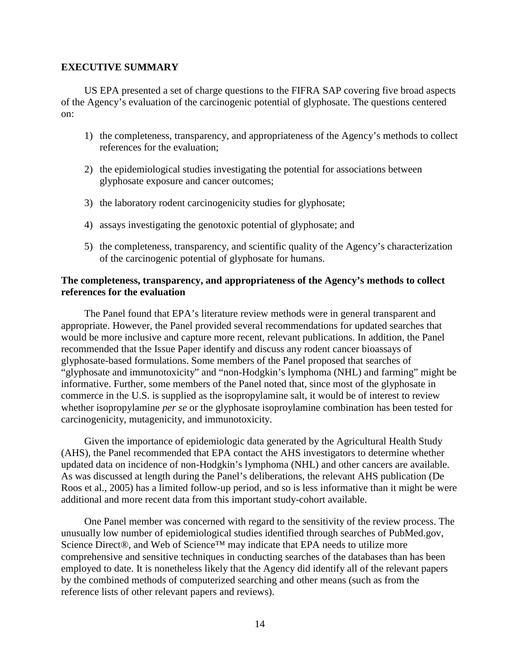### **EXECUTIVE SUMMARY**

US EPA presented a set of charge questions to the FIFRA SAP covering five broad aspects of the Agency's evaluation of the carcinogenic potential of glyphosate. The questions centered on:

- 1) the completeness, transparency, and appropriateness of the Agency's methods to collect references for the evaluation;
- 2) the epidemiological studies investigating the potential for associations between glyphosate exposure and cancer outcomes;
- 3) the laboratory rodent carcinogenicity studies for glyphosate;
- 4) assays investigating the genotoxic potential of glyphosate; and
- 5) the completeness, transparency, and scientific quality of the Agency's characterization of the carcinogenic potential of glyphosate for humans.

# **The completeness, transparency, and appropriateness of the Agency's methods to collect references for the evaluation**

The Panel found that EPA's literature review methods were in general transparent and appropriate. However, the Panel provided several recommendations for updated searches that would be more inclusive and capture more recent, relevant publications. In addition, the Panel recommended that the Issue Paper identify and discuss any rodent cancer bioassays of glyphosate-based formulations. Some members of the Panel proposed that searches of "glyphosate and immunotoxicity" and "non-Hodgkin's lymphoma (NHL) and farming" might be informative. Further, some members of the Panel noted that, since most of the glyphosate in commerce in the U.S. is supplied as the isopropylamine salt, it would be of interest to review whether isopropylamine *per se* or the glyphosate isoproylamine combination has been tested for carcinogenicity, mutagenicity, and immunotoxicity.

Given the importance of epidemiologic data generated by the Agricultural Health Study (AHS), the Panel recommended that EPA contact the AHS investigators to determine whether updated data on incidence of non-Hodgkin's lymphoma (NHL) and other cancers are available. As was discussed at length during the Panel's deliberations, the relevant AHS publication (De Roos et al., 2005) has a limited follow-up period, and so is less informative than it might be were additional and more recent data from this important study-cohort available.

One Panel member was concerned with regard to the sensitivity of the review process. The unusually low number of epidemiological studies identified through searches of PubMed.gov, Science Direct®, and Web of Science™ may indicate that EPA needs to utilize more comprehensive and sensitive techniques in conducting searches of the databases than has been employed to date. It is nonetheless likely that the Agency did identify all of the relevant papers by the combined methods of computerized searching and other means (such as from the reference lists of other relevant papers and reviews).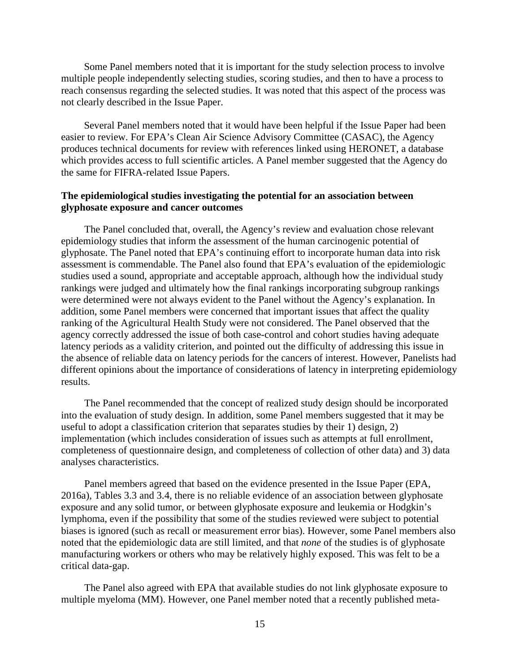Some Panel members noted that it is important for the study selection process to involve multiple people independently selecting studies, scoring studies, and then to have a process to reach consensus regarding the selected studies. It was noted that this aspect of the process was not clearly described in the Issue Paper.

Several Panel members noted that it would have been helpful if the Issue Paper had been easier to review. For EPA's Clean Air Science Advisory Committee (CASAC), the Agency produces technical documents for review with references linked using HERONET, a database which provides access to full scientific articles. A Panel member suggested that the Agency do the same for FIFRA-related Issue Papers.

## **The epidemiological studies investigating the potential for an association between glyphosate exposure and cancer outcomes**

The Panel concluded that, overall, the Agency's review and evaluation chose relevant epidemiology studies that inform the assessment of the human carcinogenic potential of glyphosate. The Panel noted that EPA's continuing effort to incorporate human data into risk assessment is commendable. The Panel also found that EPA's evaluation of the epidemiologic studies used a sound, appropriate and acceptable approach, although how the individual study rankings were judged and ultimately how the final rankings incorporating subgroup rankings were determined were not always evident to the Panel without the Agency's explanation. In addition, some Panel members were concerned that important issues that affect the quality ranking of the Agricultural Health Study were not considered. The Panel observed that the agency correctly addressed the issue of both case-control and cohort studies having adequate latency periods as a validity criterion, and pointed out the difficulty of addressing this issue in the absence of reliable data on latency periods for the cancers of interest. However, Panelists had different opinions about the importance of considerations of latency in interpreting epidemiology results.

The Panel recommended that the concept of realized study design should be incorporated into the evaluation of study design. In addition, some Panel members suggested that it may be useful to adopt a classification criterion that separates studies by their 1) design, 2) implementation (which includes consideration of issues such as attempts at full enrollment, completeness of questionnaire design, and completeness of collection of other data) and 3) data analyses characteristics.

Panel members agreed that based on the evidence presented in the Issue Paper (EPA, 2016a), Tables 3.3 and 3.4, there is no reliable evidence of an association between glyphosate exposure and any solid tumor, or between glyphosate exposure and leukemia or Hodgkin's lymphoma, even if the possibility that some of the studies reviewed were subject to potential biases is ignored (such as recall or measurement error bias). However, some Panel members also noted that the epidemiologic data are still limited, and that *none* of the studies is of glyphosate manufacturing workers or others who may be relatively highly exposed. This was felt to be a critical data-gap.

The Panel also agreed with EPA that available studies do not link glyphosate exposure to multiple myeloma (MM). However, one Panel member noted that a recently published meta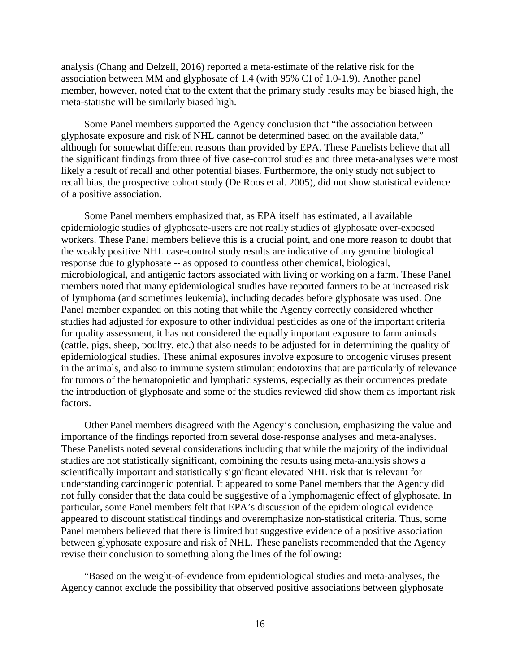analysis (Chang and Delzell, 2016) reported a meta-estimate of the relative risk for the association between MM and glyphosate of 1.4 (with 95% CI of 1.0-1.9). Another panel member, however, noted that to the extent that the primary study results may be biased high, the meta-statistic will be similarly biased high.

Some Panel members supported the Agency conclusion that "the association between glyphosate exposure and risk of NHL cannot be determined based on the available data," although for somewhat different reasons than provided by EPA. These Panelists believe that all the significant findings from three of five case-control studies and three meta-analyses were most likely a result of recall and other potential biases. Furthermore, the only study not subject to recall bias, the prospective cohort study (De Roos et al. 2005), did not show statistical evidence of a positive association.

Some Panel members emphasized that, as EPA itself has estimated, all available epidemiologic studies of glyphosate-users are not really studies of glyphosate over-exposed workers. These Panel members believe this is a crucial point, and one more reason to doubt that the weakly positive NHL case-control study results are indicative of any genuine biological response due to glyphosate -- as opposed to countless other chemical, biological, microbiological, and antigenic factors associated with living or working on a farm. These Panel members noted that many epidemiological studies have reported farmers to be at increased risk of lymphoma (and sometimes leukemia), including decades before glyphosate was used. One Panel member expanded on this noting that while the Agency correctly considered whether studies had adjusted for exposure to other individual pesticides as one of the important criteria for quality assessment, it has not considered the equally important exposure to farm animals (cattle, pigs, sheep, poultry, etc.) that also needs to be adjusted for in determining the quality of epidemiological studies. These animal exposures involve exposure to oncogenic viruses present in the animals, and also to immune system stimulant endotoxins that are particularly of relevance for tumors of the hematopoietic and lymphatic systems, especially as their occurrences predate the introduction of glyphosate and some of the studies reviewed did show them as important risk factors.

Other Panel members disagreed with the Agency's conclusion, emphasizing the value and importance of the findings reported from several dose-response analyses and meta-analyses. These Panelists noted several considerations including that while the majority of the individual studies are not statistically significant, combining the results using meta-analysis shows a scientifically important and statistically significant elevated NHL risk that is relevant for understanding carcinogenic potential. It appeared to some Panel members that the Agency did not fully consider that the data could be suggestive of a lymphomagenic effect of glyphosate. In particular, some Panel members felt that EPA's discussion of the epidemiological evidence appeared to discount statistical findings and overemphasize non-statistical criteria. Thus, some Panel members believed that there is limited but suggestive evidence of a positive association between glyphosate exposure and risk of NHL. These panelists recommended that the Agency revise their conclusion to something along the lines of the following:

"Based on the weight-of-evidence from epidemiological studies and meta-analyses, the Agency cannot exclude the possibility that observed positive associations between glyphosate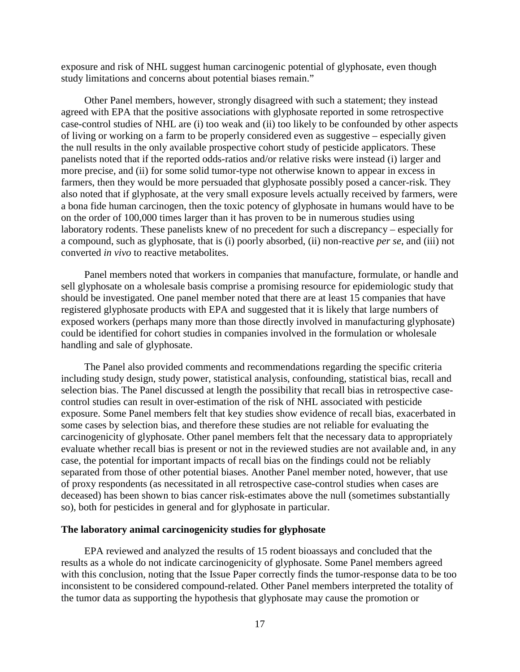exposure and risk of NHL suggest human carcinogenic potential of glyphosate, even though study limitations and concerns about potential biases remain."

Other Panel members, however, strongly disagreed with such a statement; they instead agreed with EPA that the positive associations with glyphosate reported in some retrospective case-control studies of [NHL](https://www.baumhedlundlaw.com/toxic-tort-law/monsanto-roundup-lawsuit/) are (i) too weak and (ii) too likely to be confounded by other aspects of living or working on a farm to be properly considered even as suggestive – especially given the null results in the only available prospective cohort study of pesticide applicators. These panelists noted that if the reported odds-ratios and/or relative risks were instead (i) larger and more precise, and (ii) for some solid tumor-type not otherwise known to appear in excess in farmers, then they would be more persuaded that glyphosate possibly posed a cancer-risk. They also noted that if glyphosate, at the very small exposure levels actually received by farmers, were a bona fide human carcinogen, then the toxic potency of glyphosate in humans would have to be on the order of 100,000 times larger than it has proven to be in numerous studies using laboratory rodents. These panelists knew of no precedent for such a discrepancy – especially for a compound, such as glyphosate, that is (i) poorly absorbed, (ii) non-reactive *per se*, and (iii) not converted *in vivo* to reactive metabolites.

Panel members noted that workers in companies that manufacture, formulate, or handle and sell glyphosate on a wholesale basis comprise a promising resource for epidemiologic study that should be investigated. One panel member noted that there are at least 15 companies that have registered glyphosate products with EPA and suggested that it is likely that large numbers of exposed workers (perhaps many more than those directly involved in manufacturing glyphosate) could be identified for cohort studies in companies involved in the formulation or wholesale handling and sale of glyphosate.

The Panel also provided comments and recommendations regarding the specific criteria including study design, study power, statistical analysis, confounding, statistical bias, recall and selection bias. The Panel discussed at length the possibility that recall bias in retrospective casecontrol studies can result in over-estimation of the risk of NHL associated with pesticide exposure. Some Panel members felt that key studies show evidence of recall bias, exacerbated in some cases by selection bias, and therefore these studies are not reliable for evaluating the carcinogenicity of glyphosate. Other panel members felt that the necessary data to appropriately evaluate whether recall bias is present or not in the reviewed studies are not available and, in any case, the potential for important impacts of recall bias on the findings could not be reliably separated from those of other potential biases. Another Panel member noted, however, that use of proxy respondents (as necessitated in all retrospective case-control studies when cases are deceased) has been shown to bias cancer risk-estimates above the null (sometimes substantially so), both for pesticides in general and for glyphosate in particular.

#### **The laboratory animal carcinogenicity studies for glyphosate**

EPA reviewed and analyzed the results of 15 rodent bioassays and concluded that the results as a whole do not indicate carcinogenicity of glyphosate. Some Panel members agreed with this conclusion, noting that the Issue Paper correctly finds the tumor-response data to be too inconsistent to be considered compound-related. Other Panel members interpreted the totality of the tumor data as supporting the hypothesis that glyphosate may cause the promotion or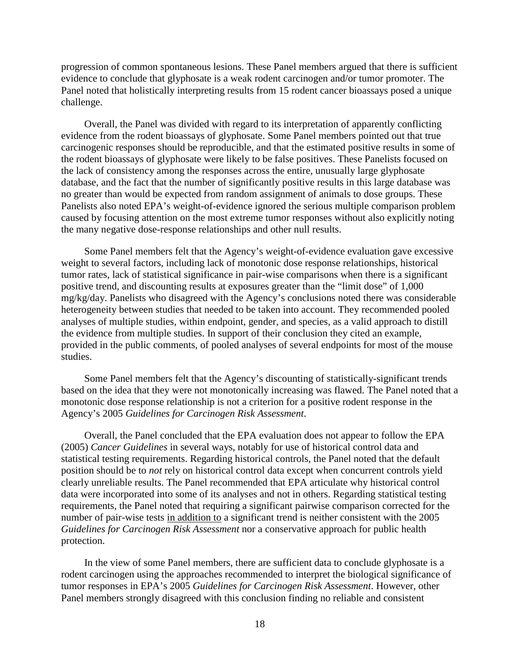progression of common spontaneous lesions. These Panel members argued that there is sufficient evidence to conclude that glyphosate is a weak rodent carcinogen and/or tumor promoter. The Panel noted that holistically interpreting results from 15 rodent cancer bioassays posed a unique challenge.

Overall, the Panel was divided with regard to its interpretation of apparently conflicting evidence from the rodent bioassays of glyphosate. Some Panel members pointed out that true carcinogenic responses should be reproducible, and that the estimated positive results in some of the rodent bioassays of glyphosate were likely to be false positives. These Panelists focused on the lack of consistency among the responses across the entire, unusually large glyphosate database, and the fact that the number of significantly positive results in this large database was no greater than would be expected from random assignment of animals to dose groups. These Panelists also noted EPA's weight-of-evidence ignored the serious multiple comparison problem caused by focusing attention on the most extreme tumor responses without also explicitly noting the many negative dose-response relationships and other null results.

Some Panel members felt that the Agency's weight-of-evidence evaluation gave excessive weight to several factors, including lack of monotonic dose response relationships, historical tumor rates, lack of statistical significance in pair-wise comparisons when there is a significant positive trend, and discounting results at exposures greater than the "limit dose" of 1,000 mg/kg/day. Panelists who disagreed with the Agency's conclusions noted there was considerable heterogeneity between studies that needed to be taken into account. They recommended pooled analyses of multiple studies, within endpoint, gender, and species, as a valid approach to distill the evidence from multiple studies. In support of their conclusion they cited an example, provided in the public comments, of pooled analyses of several endpoints for most of the mouse studies.

Some Panel members felt that the Agency's discounting of statistically-significant trends based on the idea that they were not monotonically increasing was flawed. The Panel noted that a monotonic dose response relationship is not a criterion for a positive rodent response in the Agency's 2005 *Guidelines for Carcinogen Risk Assessment*.

Overall, the Panel concluded that the EPA evaluation does not appear to follow the EPA (2005) *Cancer Guidelines* in several ways, notably for use of historical control data and statistical testing requirements. Regarding historical controls, the Panel noted that the default position should be to *not* rely on historical control data except when concurrent controls yield clearly unreliable results. The Panel recommended that EPA articulate why historical control data were incorporated into some of its analyses and not in others. Regarding statistical testing requirements, the Panel noted that requiring a significant pairwise comparison corrected for the number of pair-wise tests in addition to a significant trend is neither consistent with the 2005 *Guidelines for Carcinogen Risk Assessment* nor a conservative approach for public health protection.

In the view of some Panel members, there are sufficient data to conclude glyphosate is a rodent carcinogen using the approaches recommended to interpret the biological significance of tumor responses in EPA's 2005 *Guidelines for Carcinogen Risk Assessment*. However, other Panel members strongly disagreed with this conclusion finding no reliable and consistent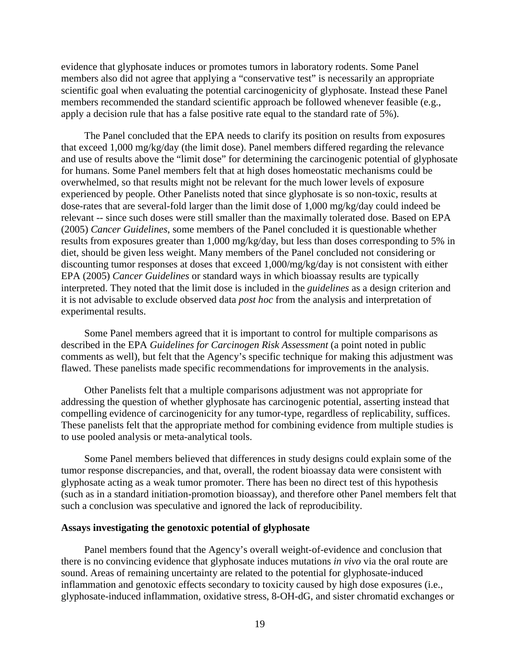evidence that glyphosate induces or promotes tumors in laboratory rodents. Some Panel members also did not agree that applying a "conservative test" is necessarily an appropriate scientific goal when evaluating the potential carcinogenicity of glyphosate. Instead these Panel members recommended the standard scientific approach be followed whenever feasible (e.g., apply a decision rule that has a false positive rate equal to the standard rate of 5%).

The Panel concluded that the EPA needs to clarify its position on results from exposures that exceed 1,000 mg/kg/day (the limit dose). Panel members differed regarding the relevance and use of results above the "limit dose" for determining the carcinogenic potential of glyphosate for humans. Some Panel members felt that at high doses homeostatic mechanisms could be overwhelmed, so that results might not be relevant for the much lower levels of exposure experienced by people. Other Panelists noted that since glyphosate is so non-toxic, results at dose-rates that are several-fold larger than the limit dose of 1,000 mg/kg/day could indeed be relevant -- since such doses were still smaller than the maximally tolerated dose. Based on EPA (2005) *Cancer Guidelines*, some members of the Panel concluded it is questionable whether results from exposures greater than 1,000 mg/kg/day, but less than doses corresponding to 5% in diet, should be given less weight. Many members of the Panel concluded not considering or discounting tumor responses at doses that exceed 1,000/mg/kg/day is not consistent with either EPA (2005) *Cancer Guidelines* or standard ways in which bioassay results are typically interpreted. They noted that the limit dose is included in the *guidelines* as a design criterion and it is not advisable to exclude observed data *post hoc* from the analysis and interpretation of experimental results.

Some Panel members agreed that it is important to control for multiple comparisons as described in the EPA *Guidelines for Carcinogen Risk Assessment* (a point noted in public comments as well), but felt that the Agency's specific technique for making this adjustment was flawed. These panelists made specific recommendations for improvements in the analysis.

Other Panelists felt that a multiple comparisons adjustment was not appropriate for addressing the question of whether glyphosate has carcinogenic potential, asserting instead that compelling evidence of carcinogenicity for any tumor-type, regardless of replicability, suffices. These panelists felt that the appropriate method for combining evidence from multiple studies is to use pooled analysis or meta-analytical tools.

Some Panel members believed that differences in study designs could explain some of the tumor response discrepancies, and that, overall, the rodent bioassay data were consistent with glyphosate acting as a weak tumor promoter. There has been no direct test of this hypothesis (such as in a standard initiation-promotion bioassay), and therefore other Panel members felt that such a conclusion was speculative and ignored the lack of reproducibility.

#### **Assays investigating the genotoxic potential of glyphosate**

Panel members found that the Agency's overall weight-of-evidence and conclusion that there is no convincing evidence that glyphosate induces mutations *in vivo* via the oral route are sound. Areas of remaining uncertainty are related to the potential for glyphosate-induced inflammation and genotoxic effects secondary to toxicity caused by high dose exposures (i.e., glyphosate-induced inflammation, oxidative stress, 8-OH-dG, and sister chromatid exchanges or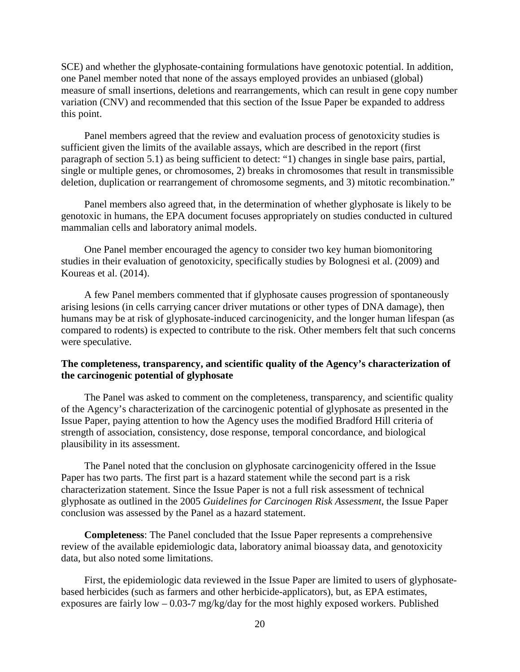SCE) and whether the glyphosate-containing formulations have genotoxic potential. In addition, one Panel member noted that none of the assays employed provides an unbiased (global) measure of small insertions, deletions and rearrangements, which can result in gene copy number variation (CNV) and recommended that this section of the Issue Paper be expanded to address this point.

Panel members agreed that the review and evaluation process of genotoxicity studies is sufficient given the limits of the available assays, which are described in the report (first paragraph of section 5.1) as being sufficient to detect: "1) changes in single base pairs, partial, single or multiple genes, or chromosomes, 2) breaks in chromosomes that result in transmissible deletion, duplication or rearrangement of chromosome segments, and 3) mitotic recombination."

Panel members also agreed that, in the determination of whether glyphosate is likely to be genotoxic in humans, the EPA document focuses appropriately on studies conducted in cultured mammalian cells and laboratory animal models.

One Panel member encouraged the agency to consider two key human biomonitoring studies in their evaluation of genotoxicity, specifically studies by Bolognesi et al. (2009) and Koureas et al. (2014).

A few Panel members commented that if glyphosate causes progression of spontaneously arising lesions (in cells carrying cancer driver mutations or other types of DNA damage), then humans may be at risk of glyphosate-induced carcinogenicity, and the longer human lifespan (as compared to rodents) is expected to contribute to the risk. Other members felt that such concerns were speculative.

# **The completeness, transparency, and scientific quality of the Agency's characterization of the carcinogenic potential of glyphosate**

The Panel was asked to comment on the completeness, transparency, and scientific quality of the Agency's characterization of the carcinogenic potential of glyphosate as presented in the Issue Paper, paying attention to how the Agency uses the modified Bradford Hill criteria of strength of association, consistency, dose response, temporal concordance, and biological plausibility in its assessment.

The Panel noted that the conclusion on glyphosate carcinogenicity offered in the Issue Paper has two parts. The first part is a hazard statement while the second part is a risk characterization statement. Since the Issue Paper is not a full risk assessment of technical glyphosate as outlined in the 2005 *Guidelines for Carcinogen Risk Assessment*, the Issue Paper conclusion was assessed by the Panel as a hazard statement.

**Completeness**: The Panel concluded that the Issue Paper represents a comprehensive review of the available epidemiologic data, laboratory animal bioassay data, and genotoxicity data, but also noted some limitations.

First, the epidemiologic data reviewed in the Issue Paper are limited to users of glyphosatebased herbicides (such as farmers and other herbicide-applicators), but, as EPA estimates, exposures are fairly low  $-0.03$ -7 mg/kg/day for the most highly exposed workers. Published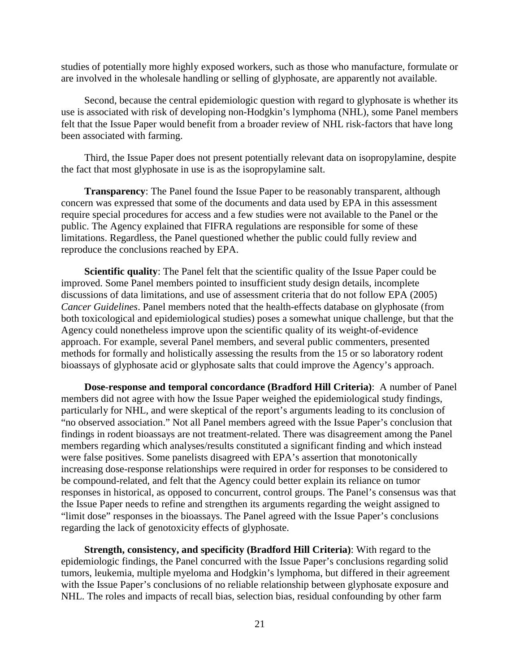studies of potentially more highly exposed workers, such as those who manufacture, formulate or are involved in the wholesale handling or selling of glyphosate, are apparently not available.

Second, because the central epidemiologic question with regard to glyphosate is whether its use is associated with risk of developing non-Hodgkin's lymphoma (NHL), some Panel members felt that the Issue Paper would benefit from a broader review of NHL risk-factors that have long been associated with farming.

Third, the Issue Paper does not present potentially relevant data on isopropylamine, despite the fact that most glyphosate in use is as the isopropylamine salt.

**Transparency**: The Panel found the Issue Paper to be reasonably transparent, although concern was expressed that some of the documents and data used by EPA in this assessment require special procedures for access and a few studies were not available to the Panel or the public. The Agency explained that FIFRA regulations are responsible for some of these limitations. Regardless, the Panel questioned whether the public could fully review and reproduce the conclusions reached by EPA.

**Scientific quality**: The Panel felt that the scientific quality of the Issue Paper could be improved. Some Panel members pointed to insufficient study design details, incomplete discussions of data limitations, and use of assessment criteria that do not follow EPA (2005) *Cancer Guidelines*. Panel members noted that the health-effects database on glyphosate (from both toxicological and epidemiological studies) poses a somewhat unique challenge, but that the Agency could nonetheless improve upon the scientific quality of its weight-of-evidence approach. For example, several Panel members, and several public commenters, presented methods for formally and holistically assessing the results from the 15 or so laboratory rodent bioassays of glyphosate acid or glyphosate salts that could improve the Agency's approach.

**Dose-response and temporal concordance (Bradford Hill Criteria)**: A number of Panel members did not agree with how the Issue Paper weighed the epidemiological study findings, particularly for NHL, and were skeptical of the report's arguments leading to its conclusion of "no observed association." Not all Panel members agreed with the Issue Paper's conclusion that findings in rodent bioassays are not treatment-related. There was disagreement among the Panel members regarding which analyses/results constituted a significant finding and which instead were false positives. Some panelists disagreed with EPA's assertion that monotonically increasing dose-response relationships were required in order for responses to be considered to be compound-related, and felt that the Agency could better explain its reliance on tumor responses in historical, as opposed to concurrent, control groups. The Panel's consensus was that the Issue Paper needs to refine and strengthen its arguments regarding the weight assigned to "limit dose" responses in the bioassays. The Panel agreed with the Issue Paper's conclusions regarding the lack of genotoxicity effects of glyphosate.

**Strength, consistency, and specificity (Bradford Hill Criteria)**: With regard to the epidemiologic findings, the Panel concurred with the Issue Paper's conclusions regarding solid tumors, leukemia, multiple myeloma and Hodgkin's lymphoma, but differed in their agreement with the Issue Paper's conclusions of no reliable relationship between glyphosate exposure and NHL. The roles and impacts of recall bias, selection bias, residual confounding by other farm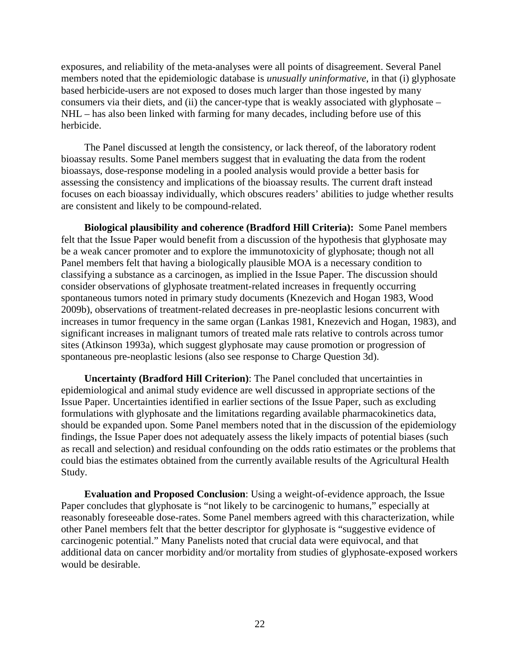exposures, and reliability of the meta-analyses were all points of disagreement. Several Panel members noted that the epidemiologic database is *unusually uninformative*, in that (i) glyphosate based herbicide-users are not exposed to doses much larger than those ingested by many consumers via their diets, and (ii) the cancer-type that is weakly associated with glyphosate – NHL – has also been linked with farming for many decades, including before use of this herbicide.

The Panel discussed at length the consistency, or lack thereof, of the laboratory rodent bioassay results. Some Panel members suggest that in evaluating the data from the rodent bioassays, dose-response modeling in a pooled analysis would provide a better basis for assessing the consistency and implications of the bioassay results. The current draft instead focuses on each bioassay individually, which obscures readers' abilities to judge whether results are consistent and likely to be compound-related.

**Biological plausibility and coherence (Bradford Hill Criteria):** Some Panel members felt that the Issue Paper would benefit from a discussion of the hypothesis that glyphosate may be a weak cancer promoter and to explore the immunotoxicity of glyphosate; though not all Panel members felt that having a biologically plausible MOA is a necessary condition to classifying a substance as a carcinogen, as implied in the Issue Paper. The discussion should consider observations of glyphosate treatment-related increases in frequently occurring spontaneous tumors noted in primary study documents (Knezevich and Hogan 1983, Wood 2009b), observations of treatment-related decreases in pre-neoplastic lesions concurrent with increases in tumor frequency in the same organ (Lankas 1981, Knezevich and Hogan, 1983), and significant increases in malignant tumors of treated male rats relative to controls across tumor sites (Atkinson 1993a), which suggest glyphosate may cause promotion or progression of spontaneous pre-neoplastic lesions (also see response to Charge Question 3d).

**Uncertainty (Bradford Hill Criterion)**: The Panel concluded that uncertainties in epidemiological and animal study evidence are well discussed in appropriate sections of the Issue Paper. Uncertainties identified in earlier sections of the Issue Paper, such as excluding formulations with glyphosate and the limitations regarding available pharmacokinetics data, should be expanded upon. Some Panel members noted that in the discussion of the epidemiology findings, the Issue Paper does not adequately assess the likely impacts of potential biases (such as recall and selection) and residual confounding on the odds ratio estimates or the problems that could bias the estimates obtained from the currently available results of the Agricultural Health Study.

**Evaluation and Proposed Conclusion**: Using a weight-of-evidence approach, the Issue Paper concludes that glyphosate is "not likely to be carcinogenic to humans," especially at reasonably foreseeable dose-rates. Some Panel members agreed with this characterization, while other Panel members felt that the better descriptor for glyphosate is "suggestive evidence of carcinogenic potential." Many Panelists noted that crucial data were equivocal, and that additional data on cancer morbidity and/or mortality from studies of glyphosate-exposed workers would be desirable.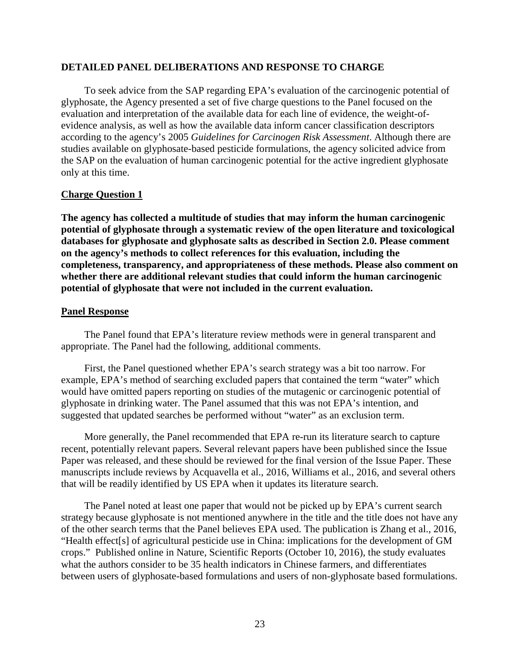#### **DETAILED PANEL DELIBERATIONS AND RESPONSE TO CHARGE**

To seek advice from the SAP regarding EPA's evaluation of the carcinogenic potential of glyphosate, the Agency presented a set of five charge questions to the Panel focused on the evaluation and interpretation of the available data for each line of evidence, the weight-ofevidence analysis, as well as how the available data inform cancer classification descriptors according to the agency's 2005 *Guidelines for Carcinogen Risk Assessment*. Although there are studies available on glyphosate-based pesticide formulations, the agency solicited advice from the SAP on the evaluation of human carcinogenic potential for the active ingredient glyphosate only at this time.

#### **Charge Question 1**

**The agency has collected a multitude of studies that may inform the human carcinogenic potential of glyphosate through a systematic review of the open literature and toxicological databases for glyphosate and glyphosate salts as described in Section 2.0. Please comment on the agency's methods to collect references for this evaluation, including the completeness, transparency, and appropriateness of these methods. Please also comment on whether there are additional relevant studies that could inform the human carcinogenic potential of glyphosate that were not included in the current evaluation.**

#### **Panel Response**

The Panel found that EPA's literature review methods were in general transparent and appropriate. The Panel had the following, additional comments.

First, the Panel questioned whether EPA's search strategy was a bit too narrow. For example, EPA's method of searching excluded papers that contained the term "water" which would have omitted papers reporting on studies of the mutagenic or carcinogenic potential of glyphosate in drinking water. The Panel assumed that this was not EPA's intention, and suggested that updated searches be performed without "water" as an exclusion term.

More generally, the Panel recommended that EPA re-run its literature search to capture recent, potentially relevant papers. Several relevant papers have been published since the Issue Paper was released, and these should be reviewed for the final version of the Issue Paper. These manuscripts include reviews by Acquavella et al., 2016, Williams et al., 2016, and several others that will be readily identified by US EPA when it updates its literature search.

The Panel noted at least one paper that would not be picked up by EPA's current search strategy because glyphosate is not mentioned anywhere in the title and the title does not have any of the other search terms that the Panel believes EPA used. The publication is Zhang et al., 2016, "Health effect[s] of agricultural pesticide use in China: implications for the development of GM crops." Published online in Nature, Scientific Reports (October 10, 2016), the study evaluates what the authors consider to be 35 health indicators in Chinese farmers, and differentiates between users of glyphosate-based formulations and users of non-glyphosate based formulations.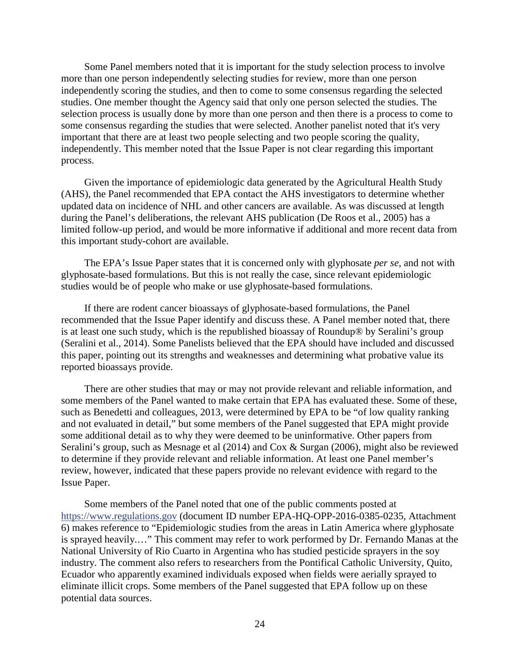Some Panel members noted that it is important for the study selection process to involve more than one person independently selecting studies for review, more than one person independently scoring the studies, and then to come to some consensus regarding the selected studies. One member thought the Agency said that only one person selected the studies. The selection process is usually done by more than one person and then there is a process to come to some consensus regarding the studies that were selected. Another panelist noted that it's very important that there are at least two people selecting and two people scoring the quality, independently. This member noted that the Issue Paper is not clear regarding this important process.

Given the importance of epidemiologic data generated by the Agricultural Health Study (AHS), the Panel recommended that EPA contact the AHS investigators to determine whether updated data on incidence of NHL and other cancers are available. As was discussed at length during the Panel's deliberations, the relevant AHS publication (De Roos et al., 2005) has a limited follow-up period, and would be more informative if additional and more recent data from this important study-cohort are available.

The EPA's Issue Paper states that it is concerned only with glyphosate *per se*, and not with glyphosate-based formulations. But this is not really the case, since relevant epidemiologic studies would be of people who make or use glyphosate-based formulations.

If there are rodent cancer bioassays of glyphosate-based formulations, the Panel recommended that the Issue Paper identify and discuss these. A Panel member noted that, there is at least one such study, which is the republished bioassay of Roundup® by Seralini's group (Seralini et al., 2014). Some Panelists believed that the EPA should have included and discussed this paper, pointing out its strengths and weaknesses and determining what probative value its reported bioassays provide.

There are other studies that may or may not provide relevant and reliable information, and some members of the Panel wanted to make certain that EPA has evaluated these. Some of these, such as Benedetti and colleagues, 2013, were determined by EPA to be "of low quality ranking and not evaluated in detail," but some members of the Panel suggested that EPA might provide some additional detail as to why they were deemed to be uninformative. Other papers from Seralini's group, such as Mesnage et al (2014) and Cox & Surgan (2006), might also be reviewed to determine if they provide relevant and reliable information. At least one Panel member's review, however, indicated that these papers provide no relevant evidence with regard to the Issue Paper.

Some members of the Panel noted that one of the public comments posted at https://www.regulations.gov (document ID number EPA-HQ-OPP-2016-0385-0235, Attachment 6) makes reference to "Epidemiologic studies from the areas in Latin America where glyphosate is sprayed heavily.…" This comment may refer to work performed by Dr. Fernando Manas at the National University of Rio Cuarto in Argentina who has studied pesticide sprayers in the soy industry. The comment also refers to researchers from the Pontifical Catholic University, Quito, Ecuador who apparently examined individuals exposed when fields were aerially sprayed to eliminate illicit crops. Some members of the Panel suggested that EPA follow up on these potential data sources.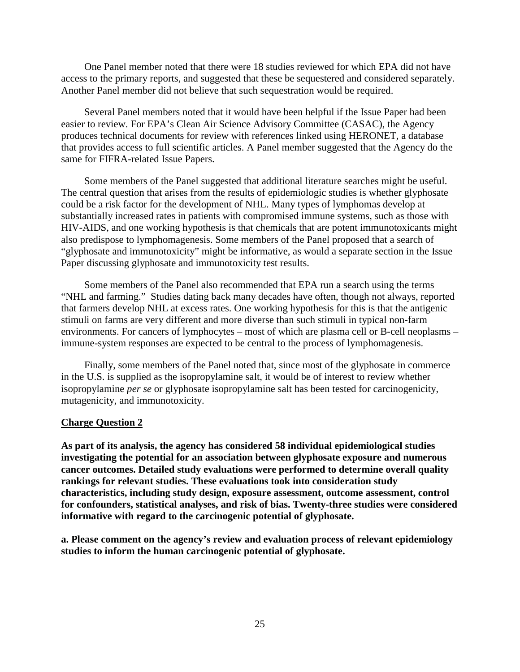One Panel member noted that there were 18 studies reviewed for which EPA did not have access to the primary reports, and suggested that these be sequestered and considered separately. Another Panel member did not believe that such sequestration would be required.

Several Panel members noted that it would have been helpful if the Issue Paper had been easier to review. For EPA's Clean Air Science Advisory Committee (CASAC), the Agency produces technical documents for review with references linked using HERONET, a database that provides access to full scientific articles. A Panel member suggested that the Agency do the same for FIFRA-related Issue Papers.

Some members of the Panel suggested that additional literature searches might be useful. The central question that arises from the results of epidemiologic studies is whether glyphosate could be a risk factor for the development of NHL. Many types of lymphomas develop at substantially increased rates in patients with compromised immune systems, such as those with HIV-AIDS, and one working hypothesis is that chemicals that are potent immunotoxicants might also predispose to lymphomagenesis. Some members of the Panel proposed that a search of "glyphosate and immunotoxicity" might be informative, as would a separate section in the Issue Paper discussing glyphosate and immunotoxicity test results.

Some members of the Panel also recommended that EPA run a search using the terms "NHL and farming." Studies dating back many decades have often, though not always, reported that farmers develop NHL at excess rates. One working hypothesis for this is that the antigenic stimuli on farms are very different and more diverse than such stimuli in typical non-farm environments. For cancers of lymphocytes – most of which are plasma cell or B-cell neoplasms – immune-system responses are expected to be central to the process of lymphomagenesis.

Finally, some members of the Panel noted that, since most of the glyphosate in commerce in the U.S. is supplied as the isopropylamine salt, it would be of interest to review whether isopropylamine *per se* or glyphosate isopropylamine salt has been tested for carcinogenicity, mutagenicity, and immunotoxicity.

#### **Charge Question 2**

**As part of its analysis, the agency has considered 58 individual epidemiological studies investigating the potential for an association between glyphosate exposure and numerous cancer outcomes. Detailed study evaluations were performed to determine overall quality rankings for relevant studies. These evaluations took into consideration study characteristics, including study design, exposure assessment, outcome assessment, control for confounders, statistical analyses, and risk of bias. Twenty-three studies were considered informative with regard to the carcinogenic potential of glyphosate.**

**a. Please comment on the agency's review and evaluation process of relevant epidemiology studies to inform the human carcinogenic potential of glyphosate.**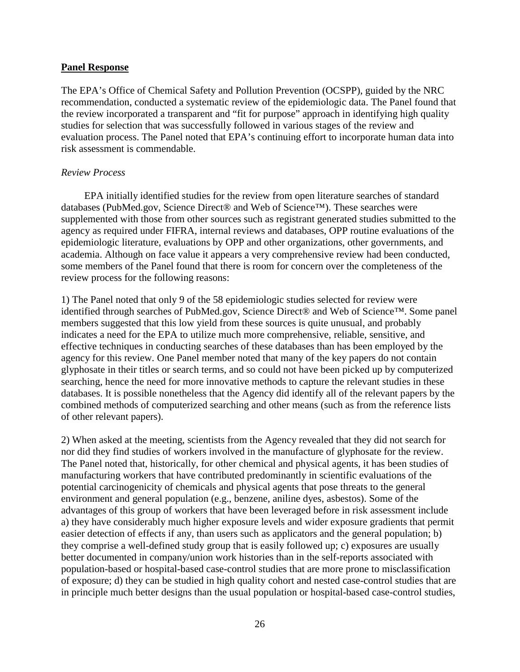### **Panel Response**

The EPA's Office of Chemical Safety and Pollution Prevention (OCSPP), guided by the NRC recommendation, conducted a systematic review of the epidemiologic data. The Panel found that the review incorporated a transparent and "fit for purpose" approach in identifying high quality studies for selection that was successfully followed in various stages of the review and evaluation process. The Panel noted that EPA's continuing effort to incorporate human data into risk assessment is commendable.

## *Review Process*

EPA initially identified studies for the review from open literature searches of standard databases (PubMed.gov, Science Direct® and Web of Science™). These searches were supplemented with those from other sources such as registrant generated studies submitted to the agency as required under FIFRA, internal reviews and databases, OPP routine evaluations of the epidemiologic literature, evaluations by OPP and other organizations, other governments, and academia. Although on face value it appears a very comprehensive review had been conducted, some members of the Panel found that there is room for concern over the completeness of the review process for the following reasons:

1) The Panel noted that only 9 of the 58 epidemiologic studies selected for review were identified through searches of PubMed.gov, Science Direct® and Web of Science™. Some panel members suggested that this low yield from these sources is quite unusual, and probably indicates a need for the EPA to utilize much more comprehensive, reliable, sensitive, and effective techniques in conducting searches of these databases than has been employed by the agency for this review. One Panel member noted that many of the key papers do not contain glyphosate in their titles or search terms, and so could not have been picked up by computerized searching, hence the need for more innovative methods to capture the relevant studies in these databases. It is possible nonetheless that the Agency did identify all of the relevant papers by the combined methods of computerized searching and other means (such as from the reference lists of other relevant papers).

2) When asked at the meeting, scientists from the Agency revealed that they did not search for nor did they find studies of workers involved in the manufacture of glyphosate for the review. The Panel noted that, historically, for other chemical and physical agents, it has been studies of manufacturing workers that have contributed predominantly in scientific evaluations of the potential carcinogenicity of chemicals and physical agents that pose threats to the general environment and general population (e.g., benzene, aniline dyes, asbestos). Some of the advantages of this group of workers that have been leveraged before in risk assessment include a) they have considerably much higher exposure levels and wider exposure gradients that permit easier detection of effects if any, than users such as applicators and the general population; b) they comprise a well-defined study group that is easily followed up; c) exposures are usually better documented in company/union work histories than in the self-reports associated with population-based or hospital-based case-control studies that are more prone to misclassification of exposure; d) they can be studied in high quality cohort and nested case-control studies that are in principle much better designs than the usual population or hospital-based case-control studies,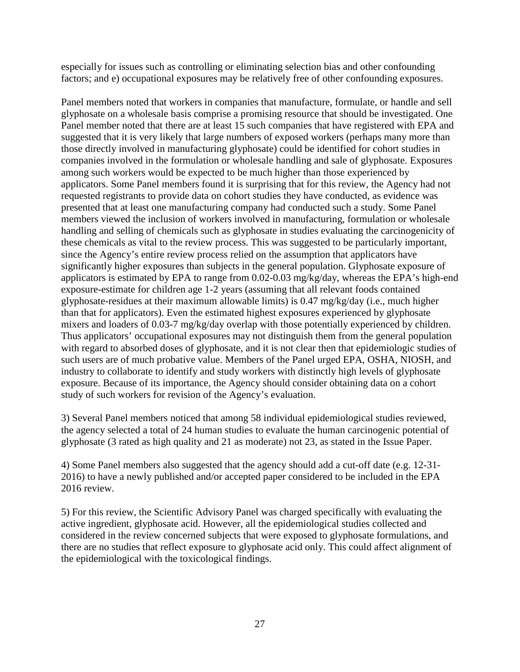especially for issues such as controlling or eliminating selection bias and other confounding factors; and e) occupational exposures may be relatively free of other confounding exposures.

Panel members noted that workers in companies that manufacture, formulate, or handle and sell glyphosate on a wholesale basis comprise a promising resource that should be investigated. One Panel member noted that there are at least 15 such companies that have registered with EPA and suggested that it is very likely that large numbers of exposed workers (perhaps many more than those directly involved in manufacturing glyphosate) could be identified for cohort studies in companies involved in the formulation or wholesale handling and sale of glyphosate. Exposures among such workers would be expected to be much higher than those experienced by applicators. Some Panel members found it is surprising that for this review, the Agency had not requested registrants to provide data on cohort studies they have conducted, as evidence was presented that at least one manufacturing company had conducted such a study. Some Panel members viewed the inclusion of workers involved in manufacturing, formulation or wholesale handling and selling of chemicals such as glyphosate in studies evaluating the carcinogenicity of these chemicals as vital to the review process. This was suggested to be particularly important, since the Agency's entire review process relied on the assumption that applicators have significantly higher exposures than subjects in the general population. Glyphosate exposure of applicators is estimated by EPA to range from 0.02-0.03 mg/kg/day, whereas the EPA's high-end exposure-estimate for children age 1-2 years (assuming that all relevant foods contained glyphosate-residues at their maximum allowable limits) is 0.47 mg/kg/day (i.e., much higher than that for applicators). Even the estimated highest exposures experienced by glyphosate mixers and loaders of 0.03-7 mg/kg/day overlap with those potentially experienced by children. Thus applicators' occupational exposures may not distinguish them from the general population with regard to absorbed doses of glyphosate, and it is not clear then that epidemiologic studies of such users are of much probative value. Members of the Panel urged EPA, OSHA, NIOSH, and industry to collaborate to identify and study workers with distinctly high levels of glyphosate exposure. Because of its importance, the Agency should consider obtaining data on a cohort study of such workers for revision of the Agency's evaluation.

3) Several Panel members noticed that among 58 individual epidemiological studies reviewed, the agency selected a total of 24 human studies to evaluate the human carcinogenic potential of glyphosate (3 rated as high quality and 21 as moderate) not 23, as stated in the Issue Paper.

4) Some Panel members also suggested that the agency should add a cut-off date (e.g. 12-31- 2016) to have a newly published and/or accepted paper considered to be included in the EPA 2016 review.

5) For this review, the Scientific Advisory Panel was charged specifically with evaluating the active ingredient, glyphosate acid. However, all the epidemiological studies collected and considered in the review concerned subjects that were exposed to glyphosate formulations, and there are no studies that reflect exposure to glyphosate acid only. This could affect alignment of the epidemiological with the toxicological findings.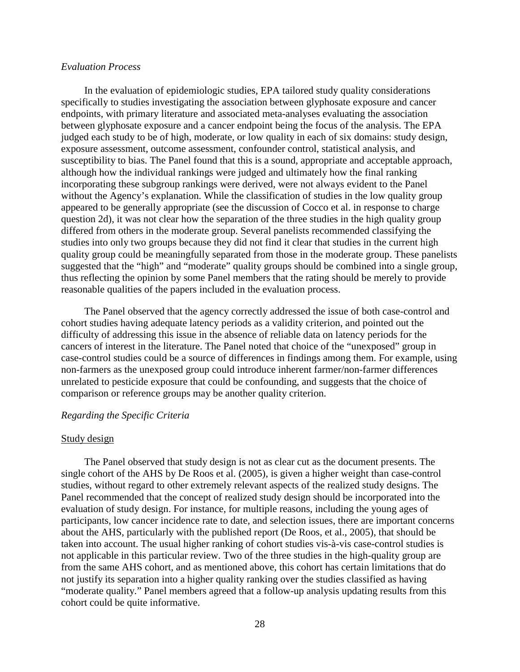#### *Evaluation Process*

In the evaluation of epidemiologic studies, EPA tailored study quality considerations specifically to studies investigating the association between glyphosate exposure and cancer endpoints, with primary literature and associated meta-analyses evaluating the association between glyphosate exposure and a cancer endpoint being the focus of the analysis. The EPA judged each study to be of high, moderate, or low quality in each of six domains: study design, exposure assessment, outcome assessment, confounder control, statistical analysis, and susceptibility to bias. The Panel found that this is a sound, appropriate and acceptable approach, although how the individual rankings were judged and ultimately how the final ranking incorporating these subgroup rankings were derived, were not always evident to the Panel without the Agency's explanation. While the classification of studies in the low quality group appeared to be generally appropriate (see the discussion of Cocco et al. in response to charge question 2d), it was not clear how the separation of the three studies in the high quality group differed from others in the moderate group. Several panelists recommended classifying the studies into only two groups because they did not find it clear that studies in the current high quality group could be meaningfully separated from those in the moderate group. These panelists suggested that the "high" and "moderate" quality groups should be combined into a single group, thus reflecting the opinion by some Panel members that the rating should be merely to provide reasonable qualities of the papers included in the evaluation process.

The Panel observed that the agency correctly addressed the issue of both case-control and cohort studies having adequate latency periods as a validity criterion, and pointed out the difficulty of addressing this issue in the absence of reliable data on latency periods for the cancers of interest in the literature. The Panel noted that choice of the "unexposed" group in case-control studies could be a source of differences in findings among them. For example, using non-farmers as the unexposed group could introduce inherent farmer/non-farmer differences unrelated to pesticide exposure that could be confounding, and suggests that the choice of comparison or reference groups may be another quality criterion.

#### *Regarding the Specific Criteria*

#### Study design

The Panel observed that study design is not as clear cut as the document presents. The single cohort of the AHS by De Roos et al. (2005), is given a higher weight than case-control studies, without regard to other extremely relevant aspects of the realized study designs. The Panel recommended that the concept of realized study design should be incorporated into the evaluation of study design. For instance, for multiple reasons, including the young ages of participants, low cancer incidence rate to date, and selection issues, there are important concerns about the AHS, particularly with the published report (De Roos, et al., 2005), that should be taken into account. The usual higher ranking of cohort studies vis-à-vis case-control studies is not applicable in this particular review. Two of the three studies in the high-quality group are from the same AHS cohort, and as mentioned above, this cohort has certain limitations that do not justify its separation into a higher quality ranking over the studies classified as having "moderate quality." Panel members agreed that a follow-up analysis updating results from this cohort could be quite informative.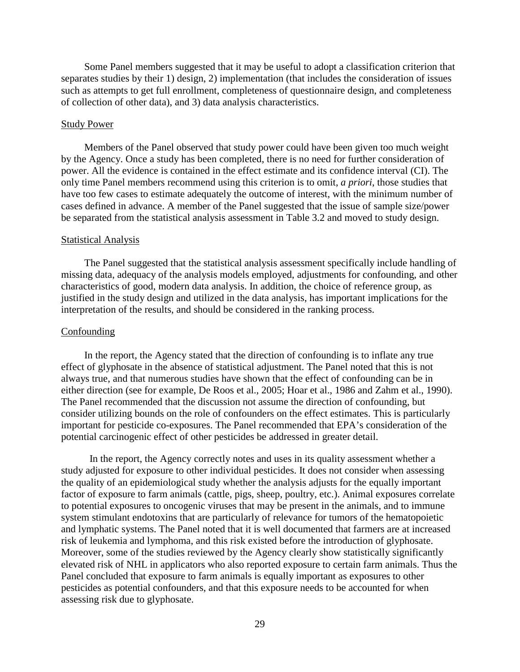Some Panel members suggested that it may be useful to adopt a classification criterion that separates studies by their 1) design, 2) implementation (that includes the consideration of issues such as attempts to get full enrollment, completeness of questionnaire design, and completeness of collection of other data), and 3) data analysis characteristics.

#### Study Power

Members of the Panel observed that study power could have been given too much weight by the Agency. Once a study has been completed, there is no need for further consideration of power. All the evidence is contained in the effect estimate and its confidence interval (CI). The only time Panel members recommend using this criterion is to omit, *a priori*, those studies that have too few cases to estimate adequately the outcome of interest, with the minimum number of cases defined in advance. A member of the Panel suggested that the issue of sample size/power be separated from the statistical analysis assessment in Table 3.2 and moved to study design.

#### Statistical Analysis

The Panel suggested that the statistical analysis assessment specifically include handling of missing data, adequacy of the analysis models employed, adjustments for confounding, and other characteristics of good, modern data analysis. In addition, the choice of reference group, as justified in the study design and utilized in the data analysis, has important implications for the interpretation of the results, and should be considered in the ranking process.

#### Confounding

In the report, the Agency stated that the direction of confounding is to inflate any true effect of glyphosate in the absence of statistical adjustment. The Panel noted that this is not always true, and that numerous studies have shown that the effect of confounding can be in either direction (see for example, De Roos et al., 2005; Hoar et al., 1986 and Zahm et al., 1990). The Panel recommended that the discussion not assume the direction of confounding, but consider utilizing bounds on the role of confounders on the effect estimates. This is particularly important for pesticide co-exposures. The Panel recommended that EPA's consideration of the potential carcinogenic effect of other pesticides be addressed in greater detail.

In the report, the Agency correctly notes and uses in its quality assessment whether a study adjusted for exposure to other individual pesticides. It does not consider when assessing the quality of an epidemiological study whether the analysis adjusts for the equally important factor of exposure to farm animals (cattle, pigs, sheep, poultry, etc.). Animal exposures correlate to potential exposures to oncogenic viruses that may be present in the animals, and to immune system stimulant endotoxins that are particularly of relevance for tumors of the hematopoietic and lymphatic systems. The Panel noted that it is well documented that farmers are at increased risk of leukemia and lymphoma, and this risk existed before the introduction of glyphosate. Moreover, some of the studies reviewed by the Agency clearly show statistically significantly elevated risk of NHL in applicators who also reported exposure to certain farm animals. Thus the Panel concluded that exposure to farm animals is equally important as exposures to other pesticides as potential confounders, and that this exposure needs to be accounted for when assessing risk due to glyphosate.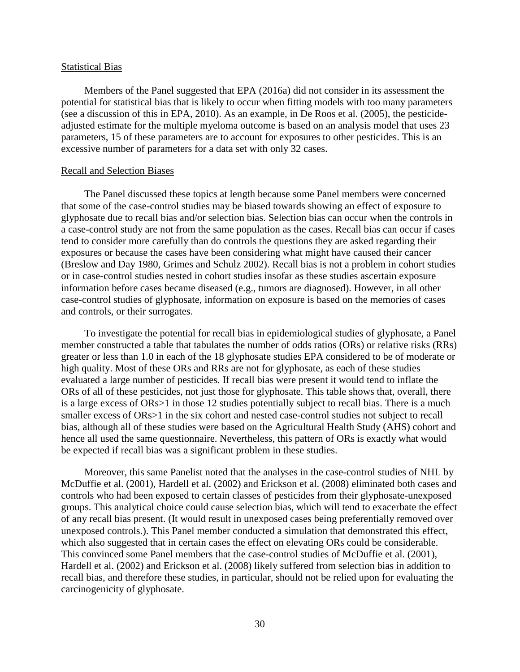#### Statistical Bias

Members of the Panel suggested that EPA (2016a) did not consider in its assessment the potential for statistical bias that is likely to occur when fitting models with too many parameters (see a discussion of this in EPA, 2010). As an example, in De Roos et al. (2005), the pesticideadjusted estimate for the multiple myeloma outcome is based on an analysis model that uses 23 parameters, 15 of these parameters are to account for exposures to other pesticides. This is an excessive number of parameters for a data set with only 32 cases.

#### Recall and Selection Biases

The Panel discussed these topics at length because some Panel members were concerned that some of the case-control studies may be biased towards showing an effect of exposure to glyphosate due to recall bias and/or selection bias. Selection bias can occur when the controls in a case-control study are not from the same population as the cases. Recall bias can occur if cases tend to consider more carefully than do controls the questions they are asked regarding their exposures or because the cases have been considering what might have caused their cancer (Breslow and Day 1980, Grimes and Schulz 2002). Recall bias is not a problem in cohort studies or in case-control studies nested in cohort studies insofar as these studies ascertain exposure information before cases became diseased (e.g., tumors are diagnosed). However, in all other case-control studies of glyphosate, information on exposure is based on the memories of cases and controls, or their surrogates.

To investigate the potential for recall bias in epidemiological studies of glyphosate, a Panel member constructed a table that tabulates the number of odds ratios (ORs) or relative risks (RRs) greater or less than 1.0 in each of the 18 glyphosate studies EPA considered to be of moderate or high quality. Most of these ORs and RRs are not for glyphosate, as each of these studies evaluated a large number of pesticides. If recall bias were present it would tend to inflate the ORs of all of these pesticides, not just those for glyphosate. This table shows that, overall, there is a large excess of ORs>1 in those 12 studies potentially subject to recall bias. There is a much smaller excess of ORs>1 in the six cohort and nested case-control studies not subject to recall bias, although all of these studies were based on the Agricultural Health Study (AHS) cohort and hence all used the same questionnaire. Nevertheless, this pattern of ORs is exactly what would be expected if recall bias was a significant problem in these studies.

Moreover, this same Panelist noted that the analyses in the case-control studies of NHL by McDuffie et al. (2001), Hardell et al. (2002) and Erickson et al. (2008) eliminated both cases and controls who had been exposed to certain classes of pesticides from their glyphosate-unexposed groups. This analytical choice could cause selection bias, which will tend to exacerbate the effect of any recall bias present. (It would result in unexposed cases being preferentially removed over unexposed controls.). This Panel member conducted a simulation that demonstrated this effect, which also suggested that in certain cases the effect on elevating ORs could be considerable. This convinced some Panel members that the case-control studies of McDuffie et al. (2001), Hardell et al. (2002) and Erickson et al. (2008) likely suffered from selection bias in addition to recall bias, and therefore these studies, in particular, should not be relied upon for evaluating the carcinogenicity of glyphosate.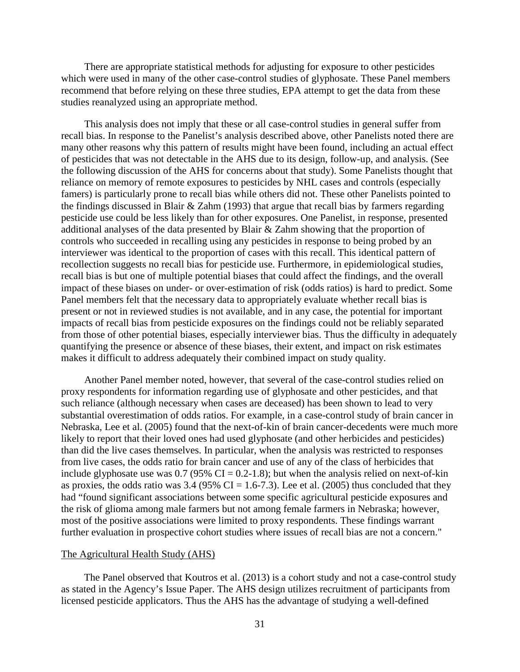There are appropriate statistical methods for adjusting for exposure to other pesticides which were used in many of the other case-control studies of glyphosate. These Panel members recommend that before relying on these three studies, EPA attempt to get the data from these studies reanalyzed using an appropriate method.

This analysis does not imply that these or all case-control studies in general suffer from recall bias. In response to the Panelist's analysis described above, other Panelists noted there are many other reasons why this pattern of results might have been found, including an actual effect of pesticides that was not detectable in the AHS due to its design, follow-up, and analysis. (See the following discussion of the AHS for concerns about that study). Some Panelists thought that reliance on memory of remote exposures to pesticides by NHL cases and controls (especially famers) is particularly prone to recall bias while others did not. These other Panelists pointed to the findings discussed in Blair & Zahm (1993) that argue that recall bias by farmers regarding pesticide use could be less likely than for other exposures. One Panelist, in response, presented additional analyses of the data presented by Blair & Zahm showing that the proportion of controls who succeeded in recalling using any pesticides in response to being probed by an interviewer was identical to the proportion of cases with this recall. This identical pattern of recollection suggests no recall bias for pesticide use. Furthermore, in epidemiological studies, recall bias is but one of multiple potential biases that could affect the findings, and the overall impact of these biases on under- or over-estimation of risk (odds ratios) is hard to predict. Some Panel members felt that the necessary data to appropriately evaluate whether recall bias is present or not in reviewed studies is not available, and in any case, the potential for important impacts of recall bias from pesticide exposures on the findings could not be reliably separated from those of other potential biases, especially interviewer bias. Thus the difficulty in adequately quantifying the presence or absence of these biases, their extent, and impact on risk estimates makes it difficult to address adequately their combined impact on study quality.

Another Panel member noted, however, that several of the case-control studies relied on proxy respondents for information regarding use of glyphosate and other pesticides, and that such reliance (although necessary when cases are deceased) has been shown to lead to very substantial overestimation of odds ratios. For example, in a case-control study of brain cancer in Nebraska, Lee et al. (2005) found that the next-of-kin of brain cancer-decedents were much more likely to report that their loved ones had used glyphosate (and other herbicides and pesticides) than did the live cases themselves. In particular, when the analysis was restricted to responses from live cases, the odds ratio for brain cancer and use of any of the class of herbicides that include glyphosate use was  $0.7$  (95% CI = 0.2-1.8); but when the analysis relied on next-of-kin as proxies, the odds ratio was  $3.4$  (95% CI = 1.6-7.3). Lee et al. (2005) thus concluded that they had "found significant associations between some specific agricultural pesticide exposures and the risk of glioma among male farmers but not among female farmers in Nebraska; however, most of the positive associations were limited to proxy respondents. These findings warrant further evaluation in prospective cohort studies where issues of recall bias are not a concern."

#### The Agricultural Health Study (AHS)

The Panel observed that Koutros et al. (2013) is a cohort study and not a case-control study as stated in the Agency's Issue Paper. The AHS design utilizes recruitment of participants from licensed pesticide applicators. Thus the AHS has the advantage of studying a well-defined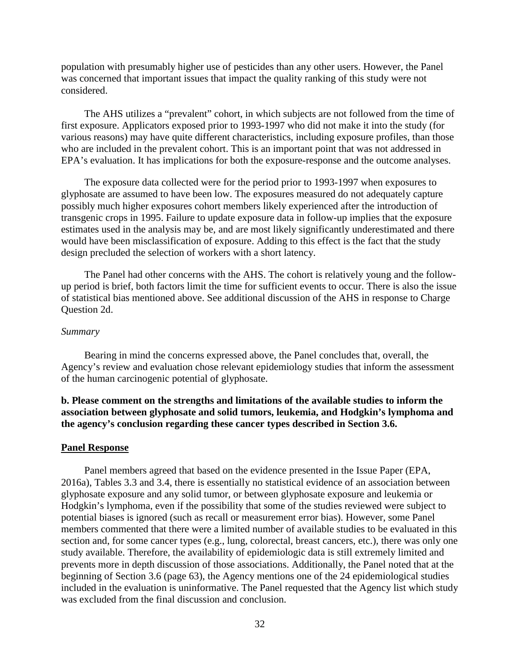population with presumably higher use of pesticides than any other users. However, the Panel was concerned that important issues that impact the quality ranking of this study were not considered.

The AHS utilizes a "prevalent" cohort, in which subjects are not followed from the time of first exposure. Applicators exposed prior to 1993-1997 who did not make it into the study (for various reasons) may have quite different characteristics, including exposure profiles, than those who are included in the prevalent cohort. This is an important point that was not addressed in EPA's evaluation. It has implications for both the exposure-response and the outcome analyses.

The exposure data collected were for the period prior to 1993-1997 when exposures to glyphosate are assumed to have been low. The exposures measured do not adequately capture possibly much higher exposures cohort members likely experienced after the introduction of transgenic crops in 1995. Failure to update exposure data in follow-up implies that the exposure estimates used in the analysis may be, and are most likely significantly underestimated and there would have been misclassification of exposure. Adding to this effect is the fact that the study design precluded the selection of workers with a short latency.

The Panel had other concerns with the AHS. The cohort is relatively young and the followup period is brief, both factors limit the time for sufficient events to occur. There is also the issue of statistical bias mentioned above. See additional discussion of the AHS in response to Charge Question 2d.

#### *Summary*

Bearing in mind the concerns expressed above, the Panel concludes that, overall, the Agency's review and evaluation chose relevant epidemiology studies that inform the assessment of the human carcinogenic potential of glyphosate.

# **b. Please comment on the strengths and limitations of the available studies to inform the association between glyphosate and solid tumors, leukemia, and Hodgkin's lymphoma and the agency's conclusion regarding these cancer types described in Section 3.6.**

#### **Panel Response**

Panel members agreed that based on the evidence presented in the Issue Paper (EPA, 2016a), Tables 3.3 and 3.4, there is essentially no statistical evidence of an association between glyphosate exposure and any solid tumor, or between glyphosate exposure and leukemia or Hodgkin's lymphoma, even if the possibility that some of the studies reviewed were subject to potential biases is ignored (such as recall or measurement error bias). However, some Panel members commented that there were a limited number of available studies to be evaluated in this section and, for some cancer types (e.g., lung, colorectal, breast cancers, etc.), there was only one study available. Therefore, the availability of epidemiologic data is still extremely limited and prevents more in depth discussion of those associations. Additionally, the Panel noted that at the beginning of Section 3.6 (page 63), the Agency mentions one of the 24 epidemiological studies included in the evaluation is uninformative. The Panel requested that the Agency list which study was excluded from the final discussion and conclusion.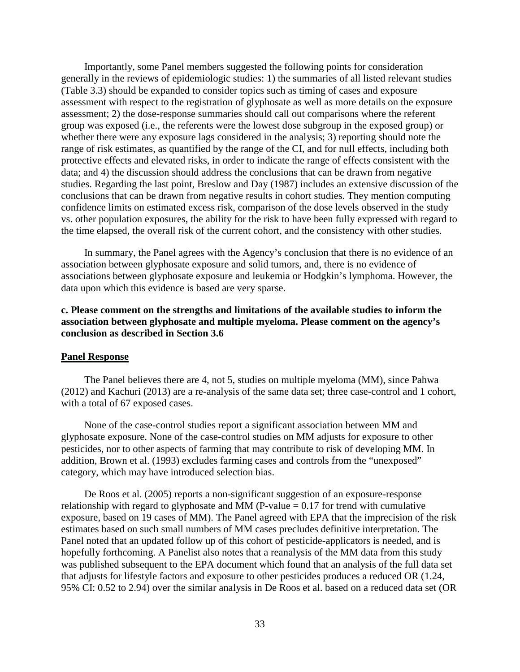Importantly, some Panel members suggested the following points for consideration generally in the reviews of epidemiologic studies: 1) the summaries of all listed relevant studies (Table 3.3) should be expanded to consider topics such as timing of cases and exposure assessment with respect to the registration of glyphosate as well as more details on the exposure assessment; 2) the dose-response summaries should call out comparisons where the referent group was exposed (i.e., the referents were the lowest dose subgroup in the exposed group) or whether there were any exposure lags considered in the analysis; 3) reporting should note the range of risk estimates, as quantified by the range of the CI, and for null effects, including both protective effects and elevated risks, in order to indicate the range of effects consistent with the data; and 4) the discussion should address the conclusions that can be drawn from negative studies. Regarding the last point, Breslow and Day (1987) includes an extensive discussion of the conclusions that can be drawn from negative results in cohort studies. They mention computing confidence limits on estimated excess risk, comparison of the dose levels observed in the study vs. other population exposures, the ability for the risk to have been fully expressed with regard to the time elapsed, the overall risk of the current cohort, and the consistency with other studies.

In summary, the Panel agrees with the Agency's conclusion that there is no evidence of an association between glyphosate exposure and solid tumors, and, there is no evidence of associations between glyphosate exposure and leukemia or Hodgkin's lymphoma. However, the data upon which this evidence is based are very sparse.

# **c. Please comment on the strengths and limitations of the available studies to inform the association between glyphosate and multiple myeloma. Please comment on the agency's conclusion as described in Section 3.6**

#### **Panel Response**

The Panel believes there are 4, not 5, studies on multiple myeloma (MM), since Pahwa (2012) and Kachuri (2013) are a re-analysis of the same data set; three case-control and 1 cohort, with a total of 67 exposed cases.

None of the case-control studies report a significant association between MM and glyphosate exposure. None of the case-control studies on MM adjusts for exposure to other pesticides, nor to other aspects of farming that may contribute to risk of developing MM. In addition, Brown et al. (1993) excludes farming cases and controls from the "unexposed" category, which may have introduced selection bias.

De Roos et al. (2005) reports a non-significant suggestion of an exposure-response relationship with regard to glyphosate and MM (P-value  $= 0.17$  for trend with cumulative exposure, based on 19 cases of MM). The Panel agreed with EPA that the imprecision of the risk estimates based on such small numbers of MM cases precludes definitive interpretation. The Panel noted that an updated follow up of this cohort of pesticide-applicators is needed, and is hopefully forthcoming. A Panelist also notes that a reanalysis of the MM data from this study was published subsequent to the EPA document which found that an analysis of the full data set that adjusts for lifestyle factors and exposure to other pesticides produces a reduced OR (1.24, 95% CI: 0.52 to 2.94) over the similar analysis in De Roos et al. based on a reduced data set (OR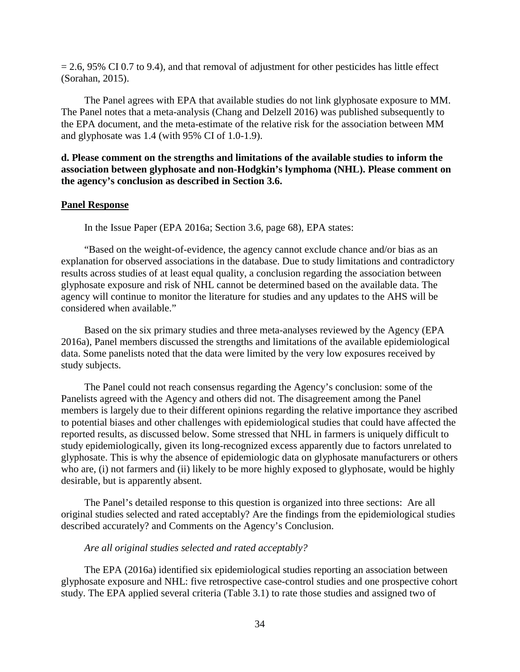$= 2.6$ , 95% CI 0.7 to 9.4), and that removal of adjustment for other pesticides has little effect (Sorahan, 2015).

The Panel agrees with EPA that available studies do not link glyphosate exposure to MM. The Panel notes that a meta-analysis (Chang and Delzell 2016) was published subsequently to the EPA document, and the meta-estimate of the relative risk for the association between MM and glyphosate was 1.4 (with 95% CI of 1.0-1.9).

# **d. Please comment on the strengths and limitations of the available studies to inform the association between glyphosate and non-Hodgkin's lymphoma (NHL). Please comment on the agency's conclusion as described in Section 3.6.**

#### **Panel Response**

In the Issue Paper (EPA 2016a; Section 3.6, page 68), EPA states:

"Based on the weight-of-evidence, the agency cannot exclude chance and/or bias as an explanation for observed associations in the database. Due to study limitations and contradictory results across studies of at least equal quality, a conclusion regarding the association between glyphosate exposure and risk of NHL cannot be determined based on the available data. The agency will continue to monitor the literature for studies and any updates to the AHS will be considered when available."

Based on the six primary studies and three meta-analyses reviewed by the Agency (EPA 2016a), Panel members discussed the strengths and limitations of the available epidemiological data. Some panelists noted that the data were limited by the very low exposures received by study subjects.

The Panel could not reach consensus regarding the Agency's conclusion: some of the Panelists agreed with the Agency and others did not. The disagreement among the Panel members is largely due to their different opinions regarding the relative importance they ascribed to potential biases and other challenges with epidemiological studies that could have affected the reported results, as discussed below. Some stressed that NHL in farmers is uniquely difficult to study epidemiologically, given its long-recognized excess apparently due to factors unrelated to glyphosate. This is why the absence of epidemiologic data on glyphosate manufacturers or others who are, (i) not farmers and (ii) likely to be more highly exposed to glyphosate, would be highly desirable, but is apparently absent.

The Panel's detailed response to this question is organized into three sections: Are all original studies selected and rated acceptably? Are the findings from the epidemiological studies described accurately? and Comments on the Agency's Conclusion.

#### *Are all original studies selected and rated acceptably?*

The EPA (2016a) identified six epidemiological studies reporting an association between glyphosate exposure and NHL: five retrospective case-control studies and one prospective cohort study. The EPA applied several criteria (Table 3.1) to rate those studies and assigned two of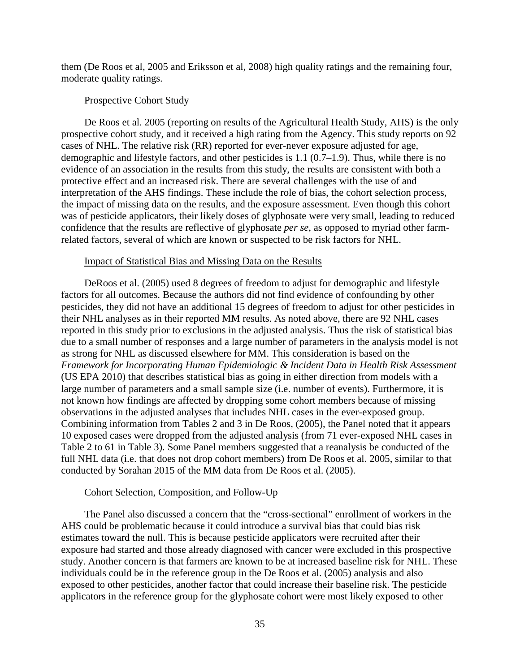them (De Roos et al, 2005 and Eriksson et al, 2008) high quality ratings and the remaining four, moderate quality ratings.

### Prospective Cohort Study

De Roos et al. 2005 (reporting on results of the Agricultural Health Study, AHS) is the only prospective cohort study, and it received a high rating from the Agency. This study reports on 92 cases of NHL. The relative risk (RR) reported for ever-never exposure adjusted for age, demographic and lifestyle factors, and other pesticides is 1.1 (0.7–1.9). Thus, while there is no evidence of an association in the results from this study, the results are consistent with both a protective effect and an increased risk. There are several challenges with the use of and interpretation of the AHS findings. These include the role of bias, the cohort selection process, the impact of missing data on the results, and the exposure assessment. Even though this cohort was of pesticide applicators, their likely doses of glyphosate were very small, leading to reduced confidence that the results are reflective of glyphosate *per se*, as opposed to myriad other farmrelated factors, several of which are known or suspected to be risk factors for NHL.

#### Impact of Statistical Bias and Missing Data on the Results

DeRoos et al. (2005) used 8 degrees of freedom to adjust for demographic and lifestyle factors for all outcomes. Because the authors did not find evidence of confounding by other pesticides, they did not have an additional 15 degrees of freedom to adjust for other pesticides in their NHL analyses as in their reported MM results. As noted above, there are 92 NHL cases reported in this study prior to exclusions in the adjusted analysis. Thus the risk of statistical bias due to a small number of responses and a large number of parameters in the analysis model is not as strong for NHL as discussed elsewhere for MM. This consideration is based on the *Framework for Incorporating Human Epidemiologic & Incident Data in Health Risk Assessment* (US EPA 2010) that describes statistical bias as going in either direction from models with a large number of parameters and a small sample size (i.e. number of events). Furthermore, it is not known how findings are affected by dropping some cohort members because of missing observations in the adjusted analyses that includes NHL cases in the ever-exposed group. Combining information from Tables 2 and 3 in De Roos, (2005), the Panel noted that it appears 10 exposed cases were dropped from the adjusted analysis (from 71 ever-exposed NHL cases in Table 2 to 61 in Table 3). Some Panel members suggested that a reanalysis be conducted of the full NHL data (i.e. that does not drop cohort members) from De Roos et al. 2005, similar to that conducted by Sorahan 2015 of the MM data from De Roos et al. (2005).

### Cohort Selection, Composition, and Follow-Up

The Panel also discussed a concern that the "cross-sectional" enrollment of workers in the AHS could be problematic because it could introduce a survival bias that could bias risk estimates toward the null. This is because pesticide applicators were recruited after their exposure had started and those already diagnosed with cancer were excluded in this prospective study. Another concern is that farmers are known to be at increased baseline risk for NHL. These individuals could be in the reference group in the De Roos et al. (2005) analysis and also exposed to other pesticides, another factor that could increase their baseline risk. The pesticide applicators in the reference group for the glyphosate cohort were most likely exposed to other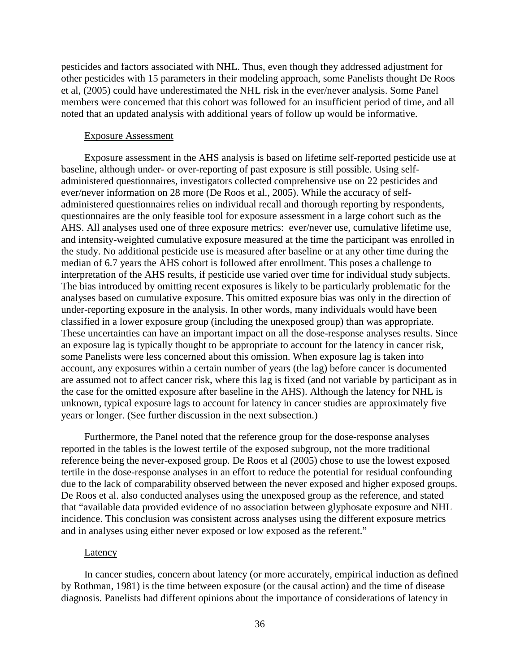pesticides and factors associated with NHL. Thus, even though they addressed adjustment for other pesticides with 15 parameters in their modeling approach, some Panelists thought De Roos et al, (2005) could have underestimated the NHL risk in the ever/never analysis. Some Panel members were concerned that this cohort was followed for an insufficient period of time, and all noted that an updated analysis with additional years of follow up would be informative.

### Exposure Assessment

Exposure assessment in the AHS analysis is based on lifetime self-reported pesticide use at baseline, although under- or over-reporting of past exposure is still possible. Using selfadministered questionnaires, investigators collected comprehensive use on 22 pesticides and ever/never information on 28 more (De Roos et al., 2005). While the accuracy of selfadministered questionnaires relies on individual recall and thorough reporting by respondents, questionnaires are the only feasible tool for exposure assessment in a large cohort such as the AHS. All analyses used one of three exposure metrics: ever/never use, cumulative lifetime use, and intensity-weighted cumulative exposure measured at the time the participant was enrolled in the study. No additional pesticide use is measured after baseline or at any other time during the median of 6.7 years the AHS cohort is followed after enrollment. This poses a challenge to interpretation of the AHS results, if pesticide use varied over time for individual study subjects. The bias introduced by omitting recent exposures is likely to be particularly problematic for the analyses based on cumulative exposure. This omitted exposure bias was only in the direction of under-reporting exposure in the analysis. In other words, many individuals would have been classified in a lower exposure group (including the unexposed group) than was appropriate. These uncertainties can have an important impact on all the dose-response analyses results. Since an exposure lag is typically thought to be appropriate to account for the latency in cancer risk, some Panelists were less concerned about this omission. When exposure lag is taken into account, any exposures within a certain number of years (the lag) before cancer is documented are assumed not to affect cancer risk, where this lag is fixed (and not variable by participant as in the case for the omitted exposure after baseline in the AHS). Although the latency for NHL is unknown, typical exposure lags to account for latency in cancer studies are approximately five years or longer. (See further discussion in the next subsection.)

Furthermore, the Panel noted that the reference group for the dose-response analyses reported in the tables is the lowest tertile of the exposed subgroup, not the more traditional reference being the never-exposed group. De Roos et al (2005) chose to use the lowest exposed tertile in the dose-response analyses in an effort to reduce the potential for residual confounding due to the lack of comparability observed between the never exposed and higher exposed groups. De Roos et al. also conducted analyses using the unexposed group as the reference, and stated that "available data provided evidence of no association between glyphosate exposure and NHL incidence. This conclusion was consistent across analyses using the different exposure metrics and in analyses using either never exposed or low exposed as the referent."

#### **Latency**

In cancer studies, concern about latency (or more accurately, empirical induction as defined by Rothman, 1981) is the time between exposure (or the causal action) and the time of disease diagnosis. Panelists had different opinions about the importance of considerations of latency in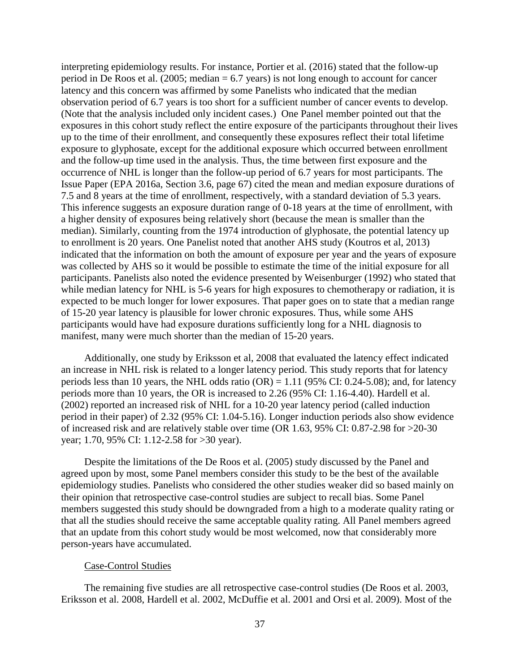interpreting epidemiology results. For instance, Portier et al. (2016) stated that the follow-up period in De Roos et al. (2005; median = 6.7 years) is not long enough to account for cancer latency and this concern was affirmed by some Panelists who indicated that the median observation period of 6.7 years is too short for a sufficient number of cancer events to develop. (Note that the analysis included only incident cases.) One Panel member pointed out that the exposures in this cohort study reflect the entire exposure of the participants throughout their lives up to the time of their enrollment, and consequently these exposures reflect their total lifetime exposure to glyphosate, except for the additional exposure which occurred between enrollment and the follow-up time used in the analysis. Thus, the time between first exposure and the occurrence of NHL is longer than the follow-up period of 6.7 years for most participants. The Issue Paper (EPA 2016a, Section 3.6, page 67) cited the mean and median exposure durations of 7.5 and 8 years at the time of enrollment, respectively, with a standard deviation of 5.3 years. This inference suggests an exposure duration range of 0-18 years at the time of enrollment, with a higher density of exposures being relatively short (because the mean is smaller than the median). Similarly, counting from the 1974 introduction of glyphosate, the potential latency up to enrollment is 20 years. One Panelist noted that another AHS study (Koutros et al, 2013) indicated that the information on both the amount of exposure per year and the years of exposure was collected by AHS so it would be possible to estimate the time of the initial exposure for all participants. Panelists also noted the evidence presented by Weisenburger (1992) who stated that while median latency for NHL is 5-6 years for high exposures to chemotherapy or radiation, it is expected to be much longer for lower exposures. That paper goes on to state that a median range of 15-20 year latency is plausible for lower chronic exposures. Thus, while some AHS participants would have had exposure durations sufficiently long for a NHL diagnosis to manifest, many were much shorter than the median of 15-20 years.

Additionally, one study by Eriksson et al, 2008 that evaluated the latency effect indicated an increase in NHL risk is related to a longer latency period. This study reports that for latency periods less than 10 years, the NHL odds ratio  $(OR) = 1.11$  (95% CI: 0.24-5.08); and, for latency periods more than 10 years, the OR is increased to 2.26 (95% CI: 1.16-4.40). Hardell et al. (2002) reported an increased risk of NHL for a 10-20 year latency period (called induction period in their paper) of 2.32 (95% CI: 1.04-5.16). Longer induction periods also show evidence of increased risk and are relatively stable over time (OR 1.63, 95% CI: 0.87-2.98 for >20-30 year; 1.70, 95% CI: 1.12-2.58 for >30 year).

Despite the limitations of the De Roos et al. (2005) study discussed by the Panel and agreed upon by most, some Panel members consider this study to be the best of the available epidemiology studies. Panelists who considered the other studies weaker did so based mainly on their opinion that retrospective case-control studies are subject to recall bias. Some Panel members suggested this study should be downgraded from a high to a moderate quality rating or that all the studies should receive the same acceptable quality rating. All Panel members agreed that an update from this cohort study would be most welcomed, now that considerably more person-years have accumulated.

#### Case-Control Studies

The remaining five studies are all retrospective case-control studies (De Roos et al. 2003, Eriksson et al. 2008, Hardell et al. 2002, McDuffie et al. 2001 and Orsi et al. 2009). Most of the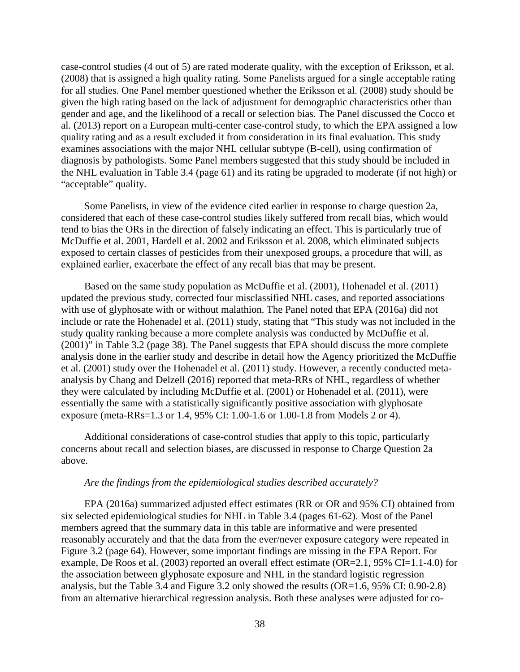case-control studies (4 out of 5) are rated moderate quality, with the exception of Eriksson, et al. (2008) that is assigned a high quality rating. Some Panelists argued for a single acceptable rating for all studies. One Panel member questioned whether the Eriksson et al. (2008) study should be given the high rating based on the lack of adjustment for demographic characteristics other than gender and age, and the likelihood of a recall or selection bias. The Panel discussed the Cocco et al. (2013) report on a European multi-center case-control study, to which the EPA assigned a low quality rating and as a result excluded it from consideration in its final evaluation. This study examines associations with the major NHL cellular subtype (B-cell), using confirmation of diagnosis by pathologists. Some Panel members suggested that this study should be included in the NHL evaluation in Table 3.4 (page 61) and its rating be upgraded to moderate (if not high) or "acceptable" quality.

Some Panelists, in view of the evidence cited earlier in response to charge question 2a, considered that each of these case-control studies likely suffered from recall bias, which would tend to bias the ORs in the direction of falsely indicating an effect. This is particularly true of McDuffie et al. 2001, Hardell et al. 2002 and Eriksson et al. 2008, which eliminated subjects exposed to certain classes of pesticides from their unexposed groups, a procedure that will, as explained earlier, exacerbate the effect of any recall bias that may be present.

Based on the same study population as McDuffie et al. (2001), Hohenadel et al. (2011) updated the previous study, corrected four misclassified NHL cases, and reported associations with use of glyphosate with or without malathion. The Panel noted that EPA (2016a) did not include or rate the Hohenadel et al. (2011) study, stating that "This study was not included in the study quality ranking because a more complete analysis was conducted by McDuffie et al. (2001)" in Table 3.2 (page 38). The Panel suggests that EPA should discuss the more complete analysis done in the earlier study and describe in detail how the Agency prioritized the McDuffie et al. (2001) study over the Hohenadel et al. (2011) study. However, a recently conducted metaanalysis by Chang and Delzell (2016) reported that meta-RRs of NHL, regardless of whether they were calculated by including McDuffie et al. (2001) or Hohenadel et al. (2011), were essentially the same with a statistically significantly positive association with glyphosate exposure (meta-RRs=1.3 or 1.4, 95% CI: 1.00-1.6 or 1.00-1.8 from Models 2 or 4).

Additional considerations of case-control studies that apply to this topic, particularly concerns about recall and selection biases, are discussed in response to Charge Question 2a above.

### *Are the findings from the epidemiological studies described accurately?*

EPA (2016a) summarized adjusted effect estimates (RR or OR and 95% CI) obtained from six selected epidemiological studies for NHL in Table 3.4 (pages 61-62). Most of the Panel members agreed that the summary data in this table are informative and were presented reasonably accurately and that the data from the ever/never exposure category were repeated in Figure 3.2 (page 64). However, some important findings are missing in the EPA Report. For example, De Roos et al. (2003) reported an overall effect estimate (OR=2.1, 95% CI=1.1-4.0) for the association between glyphosate exposure and NHL in the standard logistic regression analysis, but the Table 3.4 and Figure 3.2 only showed the results (OR=1.6, 95% CI: 0.90-2.8) from an alternative hierarchical regression analysis. Both these analyses were adjusted for co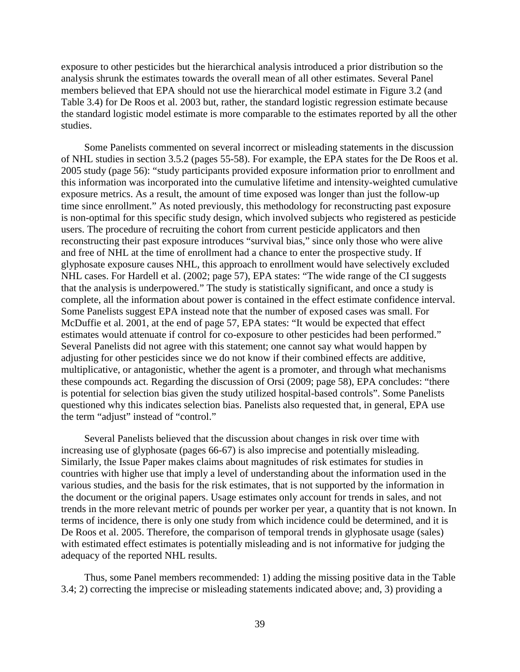exposure to other pesticides but the hierarchical analysis introduced a prior distribution so the analysis shrunk the estimates towards the overall mean of all other estimates. Several Panel members believed that EPA should not use the hierarchical model estimate in Figure 3.2 (and Table 3.4) for De Roos et al. 2003 but, rather, the standard logistic regression estimate because the standard logistic model estimate is more comparable to the estimates reported by all the other studies.

Some Panelists commented on several incorrect or misleading statements in the discussion of NHL studies in section 3.5.2 (pages 55-58). For example, the EPA states for the De Roos et al. 2005 study (page 56): "study participants provided exposure information prior to enrollment and this information was incorporated into the cumulative lifetime and intensity-weighted cumulative exposure metrics. As a result, the amount of time exposed was longer than just the follow-up time since enrollment." As noted previously, this methodology for reconstructing past exposure is non-optimal for this specific study design, which involved subjects who registered as pesticide users. The procedure of recruiting the cohort from current pesticide applicators and then reconstructing their past exposure introduces "survival bias," since only those who were alive and free of NHL at the time of enrollment had a chance to enter the prospective study. If glyphosate exposure causes NHL, this approach to enrollment would have selectively excluded NHL cases. For Hardell et al. (2002; page 57), EPA states: "The wide range of the CI suggests that the analysis is underpowered." The study is statistically significant, and once a study is complete, all the information about power is contained in the effect estimate confidence interval. Some Panelists suggest EPA instead note that the number of exposed cases was small. For McDuffie et al. 2001, at the end of page 57, EPA states: "It would be expected that effect estimates would attenuate if control for co-exposure to other pesticides had been performed." Several Panelists did not agree with this statement; one cannot say what would happen by adjusting for other pesticides since we do not know if their combined effects are additive, multiplicative, or antagonistic, whether the agent is a promoter, and through what mechanisms these compounds act. Regarding the discussion of Orsi (2009; page 58), EPA concludes: "there is potential for selection bias given the study utilized hospital-based controls". Some Panelists questioned why this indicates selection bias. Panelists also requested that, in general, EPA use the term "adjust" instead of "control."

Several Panelists believed that the discussion about changes in risk over time with increasing use of glyphosate (pages 66-67) is also imprecise and potentially misleading. Similarly, the Issue Paper makes claims about magnitudes of risk estimates for studies in countries with higher use that imply a level of understanding about the information used in the various studies, and the basis for the risk estimates, that is not supported by the information in the document or the original papers. Usage estimates only account for trends in sales, and not trends in the more relevant metric of pounds per worker per year, a quantity that is not known. In terms of incidence, there is only one study from which incidence could be determined, and it is De Roos et al. 2005. Therefore, the comparison of temporal trends in glyphosate usage (sales) with estimated effect estimates is potentially misleading and is not informative for judging the adequacy of the reported NHL results.

Thus, some Panel members recommended: 1) adding the missing positive data in the Table 3.4; 2) correcting the imprecise or misleading statements indicated above; and, 3) providing a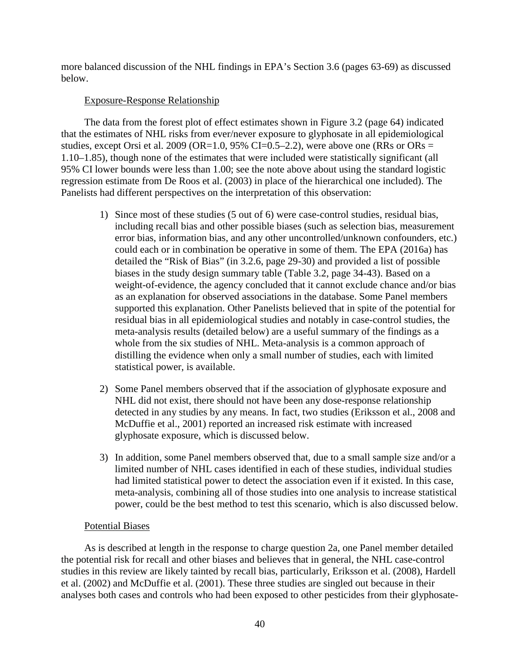more balanced discussion of the NHL findings in EPA's Section 3.6 (pages 63-69) as discussed below.

## Exposure-Response Relationship

The data from the forest plot of effect estimates shown in Figure 3.2 (page 64) indicated that the estimates of NHL risks from ever/never exposure to glyphosate in all epidemiological studies, except Orsi et al. 2009 (OR=1.0, 95% CI=0.5–2.2), were above one (RRs or ORs = 1.10–1.85), though none of the estimates that were included were statistically significant (all 95% CI lower bounds were less than 1.00; see the note above about using the standard logistic regression estimate from De Roos et al. (2003) in place of the hierarchical one included). The Panelists had different perspectives on the interpretation of this observation:

- 1) Since most of these studies (5 out of 6) were case-control studies, residual bias, including recall bias and other possible biases (such as selection bias, measurement error bias, information bias, and any other uncontrolled/unknown confounders, etc.) could each or in combination be operative in some of them. The EPA (2016a) has detailed the "Risk of Bias" (in 3.2.6, page 29-30) and provided a list of possible biases in the study design summary table (Table 3.2, page 34-43). Based on a weight-of-evidence, the agency concluded that it cannot exclude chance and/or bias as an explanation for observed associations in the database. Some Panel members supported this explanation. Other Panelists believed that in spite of the potential for residual bias in all epidemiological studies and notably in case-control studies, the meta-analysis results (detailed below) are a useful summary of the findings as a whole from the six studies of NHL. Meta-analysis is a common approach of distilling the evidence when only a small number of studies, each with limited statistical power, is available.
- 2) Some Panel members observed that if the association of glyphosate exposure and NHL did not exist, there should not have been any dose-response relationship detected in any studies by any means. In fact, two studies (Eriksson et al., 2008 and McDuffie et al., 2001) reported an increased risk estimate with increased glyphosate exposure, which is discussed below.
- 3) In addition, some Panel members observed that, due to a small sample size and/or a limited number of NHL cases identified in each of these studies, individual studies had limited statistical power to detect the association even if it existed. In this case, meta-analysis, combining all of those studies into one analysis to increase statistical power, could be the best method to test this scenario, which is also discussed below.

## Potential Biases

As is described at length in the response to charge question 2a, one Panel member detailed the potential risk for recall and other biases and believes that in general, the NHL case-control studies in this review are likely tainted by recall bias, particularly, Eriksson et al. (2008), Hardell et al. (2002) and McDuffie et al. (2001). These three studies are singled out because in their analyses both cases and controls who had been exposed to other pesticides from their glyphosate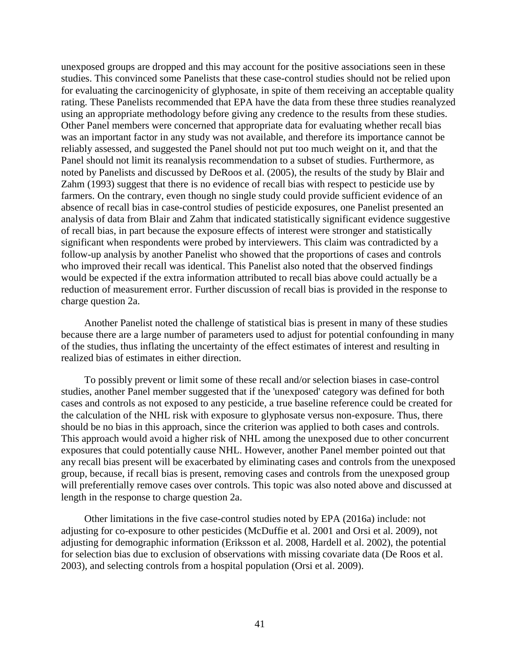unexposed groups are dropped and this may account for the positive associations seen in these studies. This convinced some Panelists that these case-control studies should not be relied upon for evaluating the carcinogenicity of glyphosate, in spite of them receiving an acceptable quality rating. These Panelists recommended that EPA have the data from these three studies reanalyzed using an appropriate methodology before giving any credence to the results from these studies. Other Panel members were concerned that appropriate data for evaluating whether recall bias was an important factor in any study was not available, and therefore its importance cannot be reliably assessed, and suggested the Panel should not put too much weight on it, and that the Panel should not limit its reanalysis recommendation to a subset of studies. Furthermore, as noted by Panelists and discussed by DeRoos et al. (2005), the results of the study by Blair and Zahm (1993) suggest that there is no evidence of recall bias with respect to pesticide use by farmers. On the contrary, even though no single study could provide sufficient evidence of an absence of recall bias in case-control studies of pesticide exposures, one Panelist presented an analysis of data from Blair and Zahm that indicated statistically significant evidence suggestive of recall bias, in part because the exposure effects of interest were stronger and statistically significant when respondents were probed by interviewers. This claim was contradicted by a follow-up analysis by another Panelist who showed that the proportions of cases and controls who improved their recall was identical. This Panelist also noted that the observed findings would be expected if the extra information attributed to recall bias above could actually be a reduction of measurement error. Further discussion of recall bias is provided in the response to charge question 2a.

Another Panelist noted the challenge of statistical bias is present in many of these studies because there are a large number of parameters used to adjust for potential confounding in many of the studies, thus inflating the uncertainty of the effect estimates of interest and resulting in realized bias of estimates in either direction.

To possibly prevent or limit some of these recall and/or selection biases in case-control studies, another Panel member suggested that if the 'unexposed' category was defined for both cases and controls as not exposed to any pesticide, a true baseline reference could be created for the calculation of the NHL risk with exposure to glyphosate versus non-exposure. Thus, there should be no bias in this approach, since the criterion was applied to both cases and controls. This approach would avoid a higher risk of NHL among the unexposed due to other concurrent exposures that could potentially cause NHL. However, another Panel member pointed out that any recall bias present will be exacerbated by eliminating cases and controls from the unexposed group, because, if recall bias is present, removing cases and controls from the unexposed group will preferentially remove cases over controls. This topic was also noted above and discussed at length in the response to charge question 2a.

Other limitations in the five case-control studies noted by EPA (2016a) include: not adjusting for co-exposure to other pesticides (McDuffie et al. 2001 and Orsi et al. 2009), not adjusting for demographic information (Eriksson et al. 2008, Hardell et al. 2002), the potential for selection bias due to exclusion of observations with missing covariate data (De Roos et al. 2003), and selecting controls from a hospital population (Orsi et al. 2009).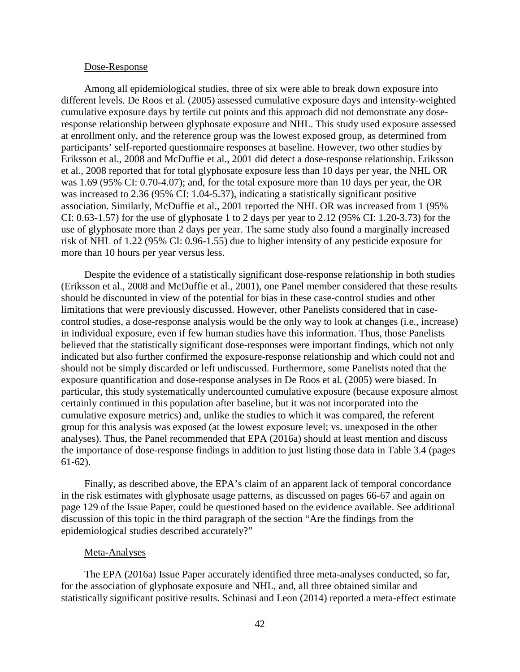#### Dose-Response

Among all epidemiological studies, three of six were able to break down exposure into different levels. De Roos et al. (2005) assessed cumulative exposure days and intensity-weighted cumulative exposure days by tertile cut points and this approach did not demonstrate any doseresponse relationship between glyphosate exposure and NHL. This study used exposure assessed at enrollment only, and the reference group was the lowest exposed group, as determined from participants' self-reported questionnaire responses at baseline. However, two other studies by Eriksson et al., 2008 and McDuffie et al., 2001 did detect a dose-response relationship. Eriksson et al., 2008 reported that for total glyphosate exposure less than 10 days per year, the NHL OR was 1.69 (95% CI: 0.70-4.07); and, for the total exposure more than 10 days per year, the OR was increased to 2.36 (95% CI: 1.04-5.37), indicating a statistically significant positive association. Similarly, McDuffie et al., 2001 reported the NHL OR was increased from 1 (95% CI: 0.63-1.57) for the use of glyphosate 1 to 2 days per year to 2.12 (95% CI: 1.20-3.73) for the use of glyphosate more than 2 days per year. The same study also found a marginally increased risk of NHL of 1.22 (95% CI: 0.96-1.55) due to higher intensity of any pesticide exposure for more than 10 hours per year versus less.

Despite the evidence of a statistically significant dose-response relationship in both studies (Eriksson et al., 2008 and McDuffie et al., 2001), one Panel member considered that these results should be discounted in view of the potential for bias in these case-control studies and other limitations that were previously discussed. However, other Panelists considered that in casecontrol studies, a dose-response analysis would be the only way to look at changes (i.e., increase) in individual exposure, even if few human studies have this information. Thus, those Panelists believed that the statistically significant dose-responses were important findings, which not only indicated but also further confirmed the exposure-response relationship and which could not and should not be simply discarded or left undiscussed. Furthermore, some Panelists noted that the exposure quantification and dose-response analyses in De Roos et al. (2005) were biased. In particular, this study systematically undercounted cumulative exposure (because exposure almost certainly continued in this population after baseline, but it was not incorporated into the cumulative exposure metrics) and, unlike the studies to which it was compared, the referent group for this analysis was exposed (at the lowest exposure level; vs. unexposed in the other analyses). Thus, the Panel recommended that EPA (2016a) should at least mention and discuss the importance of dose-response findings in addition to just listing those data in Table 3.4 (pages 61-62).

Finally, as described above, the EPA's claim of an apparent lack of temporal concordance in the risk estimates with glyphosate usage patterns, as discussed on pages 66-67 and again on page 129 of the Issue Paper, could be questioned based on the evidence available. See additional discussion of this topic in the third paragraph of the section "Are the findings from the epidemiological studies described accurately?"

#### Meta-Analyses

The EPA (2016a) Issue Paper accurately identified three meta-analyses conducted, so far, for the association of glyphosate exposure and NHL, and, all three obtained similar and statistically significant positive results. Schinasi and Leon (2014) reported a meta-effect estimate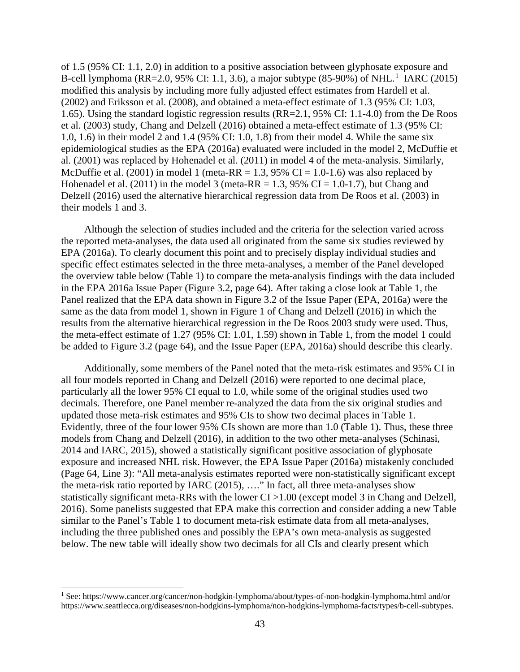of 1.5 (95% CI: 1.1, 2.0) in addition to a positive association between glyphosate exposure and B-cell lymphoma (RR=2.0, 95% CI: 1.1, 3.6), a major subtype (85-90%) of NHL.<sup>1</sup> IARC (2015) modified this analysis by including more fully adjusted effect estimates from Hardell et al. (2002) and Eriksson et al. (2008), and obtained a meta-effect estimate of 1.3 (95% CI: 1.03, 1.65). Using the standard logistic regression results (RR=2.1, 95% CI: 1.1-4.0) from the De Roos et al. (2003) study, Chang and Delzell (2016) obtained a meta-effect estimate of 1.3 (95% CI: 1.0, 1.6) in their model 2 and 1.4 (95% CI: 1.0, 1.8) from their model 4. While the same six epidemiological studies as the EPA (2016a) evaluated were included in the model 2, McDuffie et al. (2001) was replaced by Hohenadel et al. (2011) in model 4 of the meta-analysis. Similarly, McDuffie et al. (2001) in model 1 (meta-RR = 1.3, 95% CI = 1.0-1.6) was also replaced by Hohenadel et al. (2011) in the model 3 (meta-RR = 1.3, 95% CI = 1.0-1.7), but Chang and Delzell (2016) used the alternative hierarchical regression data from De Roos et al. (2003) in their models 1 and 3.

Although the selection of studies included and the criteria for the selection varied across the reported meta-analyses, the data used all originated from the same six studies reviewed by EPA (2016a). To clearly document this point and to precisely display individual studies and specific effect estimates selected in the three meta-analyses, a member of the Panel developed the overview table below (Table 1) to compare the meta-analysis findings with the data included in the EPA 2016a Issue Paper (Figure 3.2, page 64). After taking a close look at Table 1, the Panel realized that the EPA data shown in Figure 3.2 of the Issue Paper (EPA, 2016a) were the same as the data from model 1, shown in Figure 1 of Chang and Delzell (2016) in which the results from the alternative hierarchical regression in the De Roos 2003 study were used. Thus, the meta-effect estimate of 1.27 (95% CI: 1.01, 1.59) shown in Table 1, from the model 1 could be added to Figure 3.2 (page 64), and the Issue Paper (EPA, 2016a) should describe this clearly.

Additionally, some members of the Panel noted that the meta-risk estimates and 95% CI in all four models reported in Chang and Delzell (2016) were reported to one decimal place, particularly all the lower 95% CI equal to 1.0, while some of the original studies used two decimals. Therefore, one Panel member re-analyzed the data from the six original studies and updated those meta-risk estimates and 95% CIs to show two decimal places in Table 1. Evidently, three of the four lower 95% CIs shown are more than 1.0 (Table 1). Thus, these three models from Chang and Delzell (2016), in addition to the two other meta-analyses (Schinasi, 2014 and IARC, 2015), showed a statistically significant positive association of glyphosate exposure and increased NHL risk. However, the EPA Issue Paper (2016a) mistakenly concluded (Page 64, Line 3): "All meta-analysis estimates reported were non-statistically significant except the meta-risk ratio reported by IARC (2015), …." In fact, all three meta-analyses show statistically significant meta-RRs with the lower CI >1.00 (except model 3 in Chang and Delzell, 2016). Some panelists suggested that EPA make this correction and consider adding a new Table similar to the Panel's Table 1 to document meta-risk estimate data from all meta-analyses, including the three published ones and possibly the EPA's own meta-analysis as suggested below. The new table will ideally show two decimals for all CIs and clearly present which

<sup>1</sup> See: https://www.cancer.org/cancer/non-hodgkin-lymphoma/about/types-of-non-hodgkin-lymphoma.html and/or https://www.seattlecca.org/diseases/non-hodgkins-lymphoma/non-hodgkins-lymphoma-facts/types/b-cell-subtypes.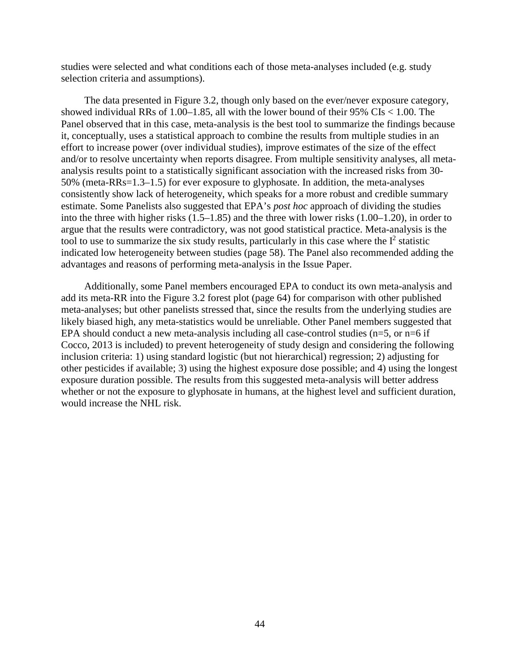studies were selected and what conditions each of those meta-analyses included (e.g. study selection criteria and assumptions).

The data presented in Figure 3.2, though only based on the ever/never exposure category, showed individual RRs of 1.00–1.85, all with the lower bound of their 95% CIs < 1.00. The Panel observed that in this case, meta-analysis is the best tool to summarize the findings because it, conceptually, uses a statistical approach to combine the results from multiple studies in an effort to increase power (over individual studies), improve estimates of the size of the effect and/or to resolve uncertainty when reports disagree. From multiple sensitivity analyses, all metaanalysis results point to a statistically significant association with the increased risks from 30- 50% (meta-RRs=1.3–1.5) for ever exposure to glyphosate. In addition, the meta-analyses consistently show lack of heterogeneity, which speaks for a more robust and credible summary estimate. Some Panelists also suggested that EPA's *post hoc* approach of dividing the studies into the three with higher risks (1.5–1.85) and the three with lower risks (1.00–1.20), in order to argue that the results were contradictory, was not good statistical practice. Meta-analysis is the tool to use to summarize the six study results, particularly in this case where the  $I<sup>2</sup>$  statistic indicated low heterogeneity between studies (page 58). The Panel also recommended adding the advantages and reasons of performing meta-analysis in the Issue Paper.

Additionally, some Panel members encouraged EPA to conduct its own meta-analysis and add its meta-RR into the Figure 3.2 forest plot (page 64) for comparison with other published meta-analyses; but other panelists stressed that, since the results from the underlying studies are likely biased high, any meta-statistics would be unreliable. Other Panel members suggested that EPA should conduct a new meta-analysis including all case-control studies ( $n=5$ , or  $n=6$  if Cocco, 2013 is included) to prevent heterogeneity of study design and considering the following inclusion criteria: 1) using standard logistic (but not hierarchical) regression; 2) adjusting for other pesticides if available; 3) using the highest exposure dose possible; and 4) using the longest exposure duration possible. The results from this suggested meta-analysis will better address whether or not the exposure to glyphosate in humans, at the highest level and sufficient duration, would increase the NHL risk.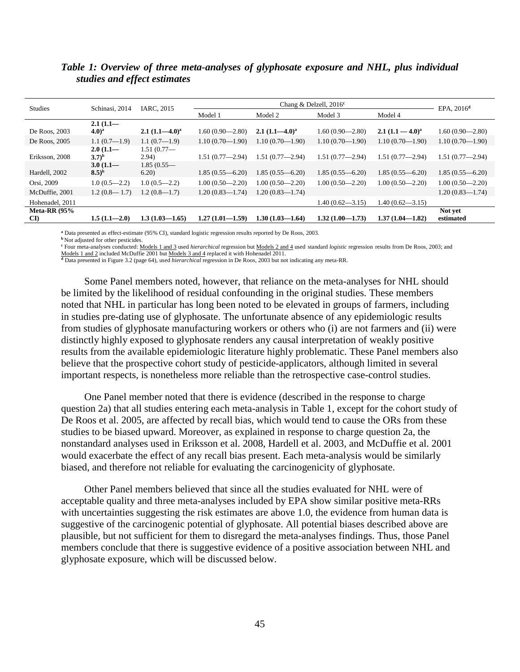| <b>Studies</b>         | Schinasi, 2014   | IARC, 2015          |                     | EPA. $2016d$        |                     |                     |                     |
|------------------------|------------------|---------------------|---------------------|---------------------|---------------------|---------------------|---------------------|
|                        |                  |                     | Model 1             | Model 2             | Model 3             | Model 4             |                     |
|                        | $2.1(1.1-$       |                     |                     |                     |                     |                     |                     |
| De Roos, 2003          | $(4.0)^{a}$      | $2.1 (1.1 - 4.0)^a$ | $1.60(0.90 - 2.80)$ | $2.1 (1.1 - 4.0)^a$ | $1.60(0.90 - 2.80)$ | $2.1 (1.1 - 4.0)^a$ | $1.60(0.90 - 2.80)$ |
| De Roos, 2005          | $1.1(0.7-1.9)$   | $1.1(0.7-1.9)$      | $1.10(0.70 - 1.90)$ | $1.10(0.70 - 1.90)$ | $1.10(0.70 - 1.90)$ | $1.10(0.70 - 1.90)$ | $1.10(0.70 - 1.90)$ |
|                        | $2.0(1.1-$       | 1.51(0.77)          |                     |                     |                     |                     |                     |
| Eriksson, 2008         | $(3.7)^{b}$      | 2.94)               | $1.51(0.77 - 2.94)$ | $1.51(0.77 - 2.94)$ | $1.51(0.77 - 2.94)$ | $1.51(0.77 - 2.94)$ | $1.51(0.77 - 2.94)$ |
|                        | $3.0(1.1-$       | 1.85(0.55)          |                     |                     |                     |                     |                     |
| Hardell, 2002          | $(8.5)^{b}$      | 6.20                | $1.85(0.55 - 6.20)$ | $1.85(0.55 - 6.20)$ | $1.85(0.55 - 6.20)$ | $1.85(0.55 - 6.20)$ | $1.85(0.55 - 6.20)$ |
| Orsi, 2009             | $1.0(0.5-2.2)$   | $1.0(0.5-2.2)$      | $1.00(0.50 - 2.20)$ | $1.00(0.50 - 2.20)$ | $1.00(0.50 - 2.20)$ | $1.00(0.50 - 2.20)$ | $1.00(0.50 - 2.20)$ |
| McDuffie, 2001         | $1.2(0.8 - 1.7)$ | $1.2(0.8 - 1.7)$    | $1.20(0.83 - 1.74)$ | $1.20(0.83 - 1.74)$ |                     |                     | $1.20(0.83 - 1.74)$ |
| Hohenadel, 2011        |                  |                     |                     |                     | $1.40(0.62 - 3.15)$ | $1.40(0.62 - 3.15)$ |                     |
| Meta-RR $(95%$         |                  |                     |                     |                     |                     |                     | Not yet             |
| $\mathbf{C}\mathbf{D}$ | $1.5(1.1 - 2.0)$ | $1.3(1.03 - 1.65)$  | $1.27(1.01 - 1.59)$ | $1.30(1.03 - 1.64)$ | $1.32(1.00 - 1.73)$ | $1.37(1.04 - 1.82)$ | estimated           |

## *Table 1: Overview of three meta-analyses of glyphosate exposure and NHL, plus individual studies and effect estimates*

**<sup>a</sup>** Data presented as effect-estimate (95% CI), standard logistic regression results reported by De Roos, 2003.

**b** Not adjusted for other pesticides.

**<sup>c</sup>** Four meta-analyses conducted: Models 1 and 3 used *hierarchical* regression but Models 2 and 4 used standard *logistic* regression results from De Roos, 2003; and

Models 1 and 2 included McDuffie 2001 but Models 3 and 4 replaced it with Hohenadel 2011. **<sup>d</sup>** Data presented in Figure 3.2 (page 64), used *hierarchical* regression in De Roos, 2003 but not indicating any meta-RR.

Some Panel members noted, however, that reliance on the meta-analyses for NHL should be limited by the likelihood of residual confounding in the original studies. These members noted that NHL in particular has long been noted to be elevated in groups of farmers, including in studies pre-dating use of glyphosate. The unfortunate absence of any epidemiologic results from studies of glyphosate manufacturing workers or others who (i) are not farmers and (ii) were distinctly highly exposed to glyphosate renders any causal interpretation of weakly positive results from the available epidemiologic literature highly problematic. These Panel members also believe that the prospective cohort study of pesticide-applicators, although limited in several important respects, is nonetheless more reliable than the retrospective case-control studies.

One Panel member noted that there is evidence (described in the response to charge question 2a) that all studies entering each meta-analysis in Table 1, except for the cohort study of De Roos et al. 2005, are affected by recall bias, which would tend to cause the ORs from these studies to be biased upward. Moreover, as explained in response to charge question 2a, the nonstandard analyses used in Eriksson et al. 2008, Hardell et al. 2003, and McDuffie et al. 2001 would exacerbate the effect of any recall bias present. Each meta-analysis would be similarly biased, and therefore not reliable for evaluating the carcinogenicity of glyphosate.

Other Panel members believed that since all the studies evaluated for NHL were of acceptable quality and three meta-analyses included by EPA show similar positive meta-RRs with uncertainties suggesting the risk estimates are above 1.0, the evidence from human data is suggestive of the carcinogenic potential of glyphosate. All potential biases described above are plausible, but not sufficient for them to disregard the meta-analyses findings. Thus, those Panel members conclude that there is suggestive evidence of a positive association between NHL and glyphosate exposure, which will be discussed below.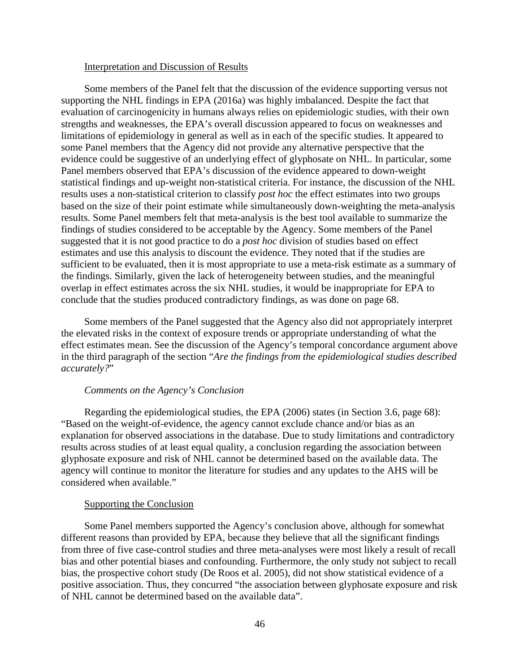#### Interpretation and Discussion of Results

Some members of the Panel felt that the discussion of the evidence supporting versus not supporting the NHL findings in EPA (2016a) was highly imbalanced. Despite the fact that evaluation of carcinogenicity in humans always relies on epidemiologic studies, with their own strengths and weaknesses, the EPA's overall discussion appeared to focus on weaknesses and limitations of epidemiology in general as well as in each of the specific studies. It appeared to some Panel members that the Agency did not provide any alternative perspective that the evidence could be suggestive of an underlying effect of glyphosate on NHL. In particular, some Panel members observed that EPA's discussion of the evidence appeared to down-weight statistical findings and up-weight non-statistical criteria. For instance, the discussion of the NHL results uses a non-statistical criterion to classify *post hoc* the effect estimates into two groups based on the size of their point estimate while simultaneously down-weighting the meta-analysis results. Some Panel members felt that meta-analysis is the best tool available to summarize the findings of studies considered to be acceptable by the Agency. Some members of the Panel suggested that it is not good practice to do a *post hoc* division of studies based on effect estimates and use this analysis to discount the evidence. They noted that if the studies are sufficient to be evaluated, then it is most appropriate to use a meta-risk estimate as a summary of the findings. Similarly, given the lack of heterogeneity between studies, and the meaningful overlap in effect estimates across the six NHL studies, it would be inappropriate for EPA to conclude that the studies produced contradictory findings, as was done on page 68.

Some members of the Panel suggested that the Agency also did not appropriately interpret the elevated risks in the context of exposure trends or appropriate understanding of what the effect estimates mean. See the discussion of the Agency's temporal concordance argument above in the third paragraph of the section "*Are the findings from the epidemiological studies described accurately?*"

### *Comments on the Agency's Conclusion*

Regarding the epidemiological studies, the EPA (2006) states (in Section 3.6, page 68): "Based on the weight-of-evidence, the agency cannot exclude chance and/or bias as an explanation for observed associations in the database. Due to study limitations and contradictory results across studies of at least equal quality, a conclusion regarding the association between glyphosate exposure and risk of NHL cannot be determined based on the available data. The agency will continue to monitor the literature for studies and any updates to the AHS will be considered when available."

#### Supporting the Conclusion

Some Panel members supported the Agency's conclusion above, although for somewhat different reasons than provided by EPA, because they believe that all the significant findings from three of five case-control studies and three meta-analyses were most likely a result of recall bias and other potential biases and confounding. Furthermore, the only study not subject to recall bias, the prospective cohort study (De Roos et al. 2005), did not show statistical evidence of a positive association. Thus, they concurred "the association between glyphosate exposure and risk of NHL cannot be determined based on the available data".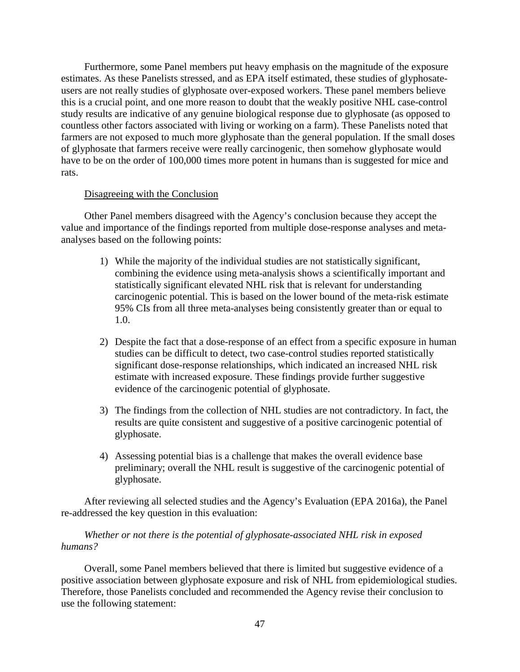Furthermore, some Panel members put heavy emphasis on the magnitude of the exposure estimates. As these Panelists stressed, and as EPA itself estimated, these studies of glyphosateusers are not really studies of glyphosate over-exposed workers. These panel members believe this is a crucial point, and one more reason to doubt that the weakly positive NHL case-control study results are indicative of any genuine biological response due to glyphosate (as opposed to countless other factors associated with living or working on a farm). These Panelists noted that farmers are not exposed to much more glyphosate than the general population. If the small doses of glyphosate that farmers receive were really carcinogenic, then somehow glyphosate would have to be on the order of 100,000 times more potent in humans than is suggested for mice and rats.

### Disagreeing with the Conclusion

Other Panel members disagreed with the Agency's conclusion because they accept the value and importance of the findings reported from multiple dose-response analyses and metaanalyses based on the following points:

- 1) While the majority of the individual studies are not statistically significant, combining the evidence using meta-analysis shows a scientifically important and statistically significant elevated NHL risk that is relevant for understanding carcinogenic potential. This is based on the lower bound of the meta-risk estimate 95% CIs from all three meta-analyses being consistently greater than or equal to 1.0.
- 2) Despite the fact that a dose-response of an effect from a specific exposure in human studies can be difficult to detect, two case-control studies reported statistically significant dose-response relationships, which indicated an increased NHL risk estimate with increased exposure. These findings provide further suggestive evidence of the carcinogenic potential of glyphosate.
- 3) The findings from the collection of NHL studies are not contradictory. In fact, the results are quite consistent and suggestive of a positive carcinogenic potential of glyphosate.
- 4) Assessing potential bias is a challenge that makes the overall evidence base preliminary; overall the NHL result is suggestive of the carcinogenic potential of glyphosate.

After reviewing all selected studies and the Agency's Evaluation (EPA 2016a), the Panel re-addressed the key question in this evaluation:

## *Whether or not there is the potential of glyphosate-associated NHL risk in exposed humans?*

Overall, some Panel members believed that there is limited but suggestive evidence of a positive association between glyphosate exposure and risk of NHL from epidemiological studies. Therefore, those Panelists concluded and recommended the Agency revise their conclusion to use the following statement: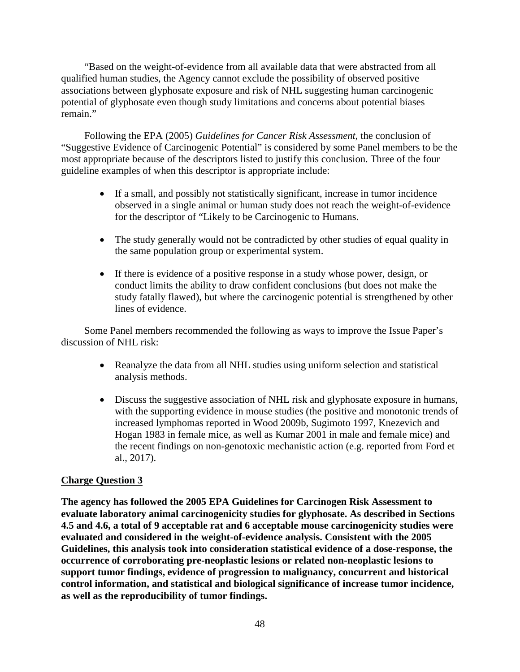"Based on the weight-of-evidence from all available data that were abstracted from all qualified human studies, the Agency cannot exclude the possibility of observed positive associations between glyphosate exposure and risk of NHL suggesting human carcinogenic potential of glyphosate even though study limitations and concerns about potential biases remain."

Following the EPA (2005) *Guidelines for Cancer Risk Assessment*, the conclusion of "Suggestive Evidence of Carcinogenic Potential" is considered by some Panel members to be the most appropriate because of the descriptors listed to justify this conclusion. Three of the four guideline examples of when this descriptor is appropriate include:

- If a small, and possibly not statistically significant, increase in tumor incidence observed in a single animal or human study does not reach the weight-of-evidence for the descriptor of "Likely to be Carcinogenic to Humans.
- The study generally would not be contradicted by other studies of equal quality in the same population group or experimental system.
- If there is evidence of a positive response in a study whose power, design, or conduct limits the ability to draw confident conclusions (but does not make the study fatally flawed), but where the carcinogenic potential is strengthened by other lines of evidence.

Some Panel members recommended the following as ways to improve the Issue Paper's discussion of NHL risk:

- Reanalyze the data from all NHL studies using uniform selection and statistical analysis methods.
- Discuss the suggestive association of NHL risk and glyphosate exposure in humans, with the supporting evidence in mouse studies (the positive and monotonic trends of increased lymphomas reported in Wood 2009b, Sugimoto 1997, Knezevich and Hogan 1983 in female mice, as well as Kumar 2001 in male and female mice) and the recent findings on non-genotoxic mechanistic action (e.g. reported from Ford et al., 2017).

# **Charge Question 3**

**The agency has followed the 2005 EPA Guidelines for Carcinogen Risk Assessment to evaluate laboratory animal carcinogenicity studies for glyphosate. As described in Sections 4.5 and 4.6, a total of 9 acceptable rat and 6 acceptable mouse carcinogenicity studies were evaluated and considered in the weight-of-evidence analysis. Consistent with the 2005 Guidelines, this analysis took into consideration statistical evidence of a dose-response, the occurrence of corroborating pre-neoplastic lesions or related non-neoplastic lesions to support tumor findings, evidence of progression to malignancy, concurrent and historical control information, and statistical and biological significance of increase tumor incidence, as well as the reproducibility of tumor findings.**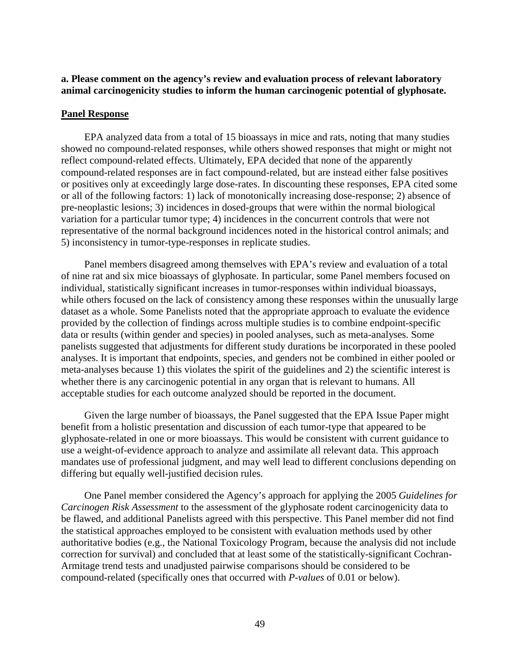## **a. Please comment on the agency's review and evaluation process of relevant laboratory animal carcinogenicity studies to inform the human carcinogenic potential of glyphosate.**

### **Panel Response**

EPA analyzed data from a total of 15 bioassays in mice and rats, noting that many studies showed no compound-related responses, while others showed responses that might or might not reflect compound-related effects. Ultimately, EPA decided that none of the apparently compound-related responses are in fact compound-related, but are instead either false positives or positives only at exceedingly large dose-rates. In discounting these responses, EPA cited some or all of the following factors: 1) lack of monotonically increasing dose-response; 2) absence of pre-neoplastic lesions; 3) incidences in dosed-groups that were within the normal biological variation for a particular tumor type; 4) incidences in the concurrent controls that were not representative of the normal background incidences noted in the historical control animals; and 5) inconsistency in tumor-type-responses in replicate studies.

Panel members disagreed among themselves with EPA's review and evaluation of a total of nine rat and six mice bioassays of glyphosate. In particular, some Panel members focused on individual, statistically significant increases in tumor-responses within individual bioassays, while others focused on the lack of consistency among these responses within the unusually large dataset as a whole. Some Panelists noted that the appropriate approach to evaluate the evidence provided by the collection of findings across multiple studies is to combine endpoint-specific data or results (within gender and species) in pooled analyses, such as meta-analyses. Some panelists suggested that adjustments for different study durations be incorporated in these pooled analyses. It is important that endpoints, species, and genders not be combined in either pooled or meta-analyses because 1) this violates the spirit of the guidelines and 2) the scientific interest is whether there is any carcinogenic potential in any organ that is relevant to humans. All acceptable studies for each outcome analyzed should be reported in the document.

Given the large number of bioassays, the Panel suggested that the EPA Issue Paper might benefit from a holistic presentation and discussion of each tumor-type that appeared to be glyphosate-related in one or more bioassays. This would be consistent with current guidance to use a weight-of-evidence approach to analyze and assimilate all relevant data. This approach mandates use of professional judgment, and may well lead to different conclusions depending on differing but equally well-justified decision rules.

One Panel member considered the Agency's approach for applying the 2005 *Guidelines for Carcinogen Risk Assessment* to the assessment of the glyphosate rodent carcinogenicity data to be flawed, and additional Panelists agreed with this perspective. This Panel member did not find the statistical approaches employed to be consistent with evaluation methods used by other authoritative bodies (e.g., the National Toxicology Program, because the analysis did not include correction for survival) and concluded that at least some of the statistically-significant Cochran-Armitage trend tests and unadjusted pairwise comparisons should be considered to be compound-related (specifically ones that occurred with *P-values* of 0.01 or below).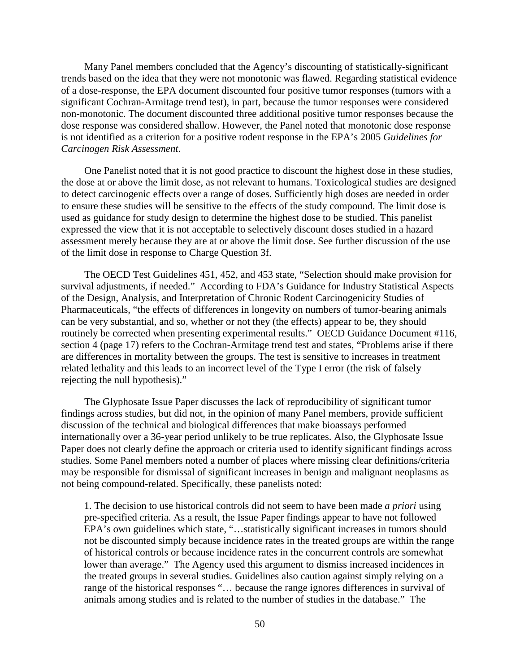Many Panel members concluded that the Agency's discounting of statistically-significant trends based on the idea that they were not monotonic was flawed. Regarding statistical evidence of a dose-response, the EPA document discounted four positive tumor responses (tumors with a significant Cochran-Armitage trend test), in part, because the tumor responses were considered non-monotonic. The document discounted three additional positive tumor responses because the dose response was considered shallow. However, the Panel noted that monotonic dose response is not identified as a criterion for a positive rodent response in the EPA's 2005 *Guidelines for Carcinogen Risk Assessment*.

One Panelist noted that it is not good practice to discount the highest dose in these studies, the dose at or above the limit dose, as not relevant to humans. Toxicological studies are designed to detect carcinogenic effects over a range of doses. Sufficiently high doses are needed in order to ensure these studies will be sensitive to the effects of the study compound. The limit dose is used as guidance for study design to determine the highest dose to be studied. This panelist expressed the view that it is not acceptable to selectively discount doses studied in a hazard assessment merely because they are at or above the limit dose. See further discussion of the use of the limit dose in response to Charge Question 3f.

The OECD Test Guidelines 451, 452, and 453 state, "Selection should make provision for survival adjustments, if needed." According to FDA's Guidance for Industry Statistical Aspects of the Design, Analysis, and Interpretation of Chronic Rodent Carcinogenicity Studies of Pharmaceuticals, "the effects of differences in longevity on numbers of tumor-bearing animals can be very substantial, and so, whether or not they (the effects) appear to be, they should routinely be corrected when presenting experimental results." OECD Guidance Document #116, section 4 (page 17) refers to the Cochran-Armitage trend test and states, "Problems arise if there are differences in mortality between the groups. The test is sensitive to increases in treatment related lethality and this leads to an incorrect level of the Type I error (the risk of falsely rejecting the null hypothesis)."

The Glyphosate Issue Paper discusses the lack of reproducibility of significant tumor findings across studies, but did not, in the opinion of many Panel members, provide sufficient discussion of the technical and biological differences that make bioassays performed internationally over a 36-year period unlikely to be true replicates. Also, the Glyphosate Issue Paper does not clearly define the approach or criteria used to identify significant findings across studies. Some Panel members noted a number of places where missing clear definitions/criteria may be responsible for dismissal of significant increases in benign and malignant neoplasms as not being compound-related. Specifically, these panelists noted:

1. The decision to use historical controls did not seem to have been made *a priori* using pre-specified criteria. As a result, the Issue Paper findings appear to have not followed EPA's own guidelines which state, "…statistically significant increases in tumors should not be discounted simply because incidence rates in the treated groups are within the range of historical controls or because incidence rates in the concurrent controls are somewhat lower than average." The Agency used this argument to dismiss increased incidences in the treated groups in several studies. Guidelines also caution against simply relying on a range of the historical responses "… because the range ignores differences in survival of animals among studies and is related to the number of studies in the database." The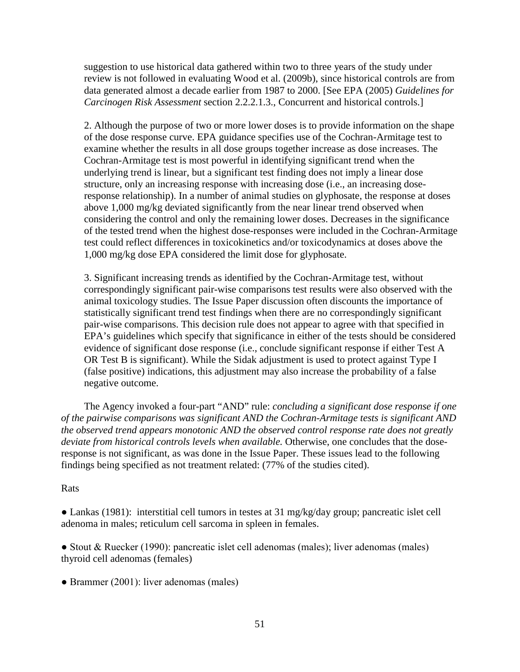suggestion to use historical data gathered within two to three years of the study under review is not followed in evaluating Wood et al. (2009b), since historical controls are from data generated almost a decade earlier from 1987 to 2000. [See EPA (2005) *Guidelines for Carcinogen Risk Assessment* section 2.2.2.1.3., Concurrent and historical controls.]

2. Although the purpose of two or more lower doses is to provide information on the shape of the dose response curve. EPA guidance specifies use of the Cochran-Armitage test to examine whether the results in all dose groups together increase as dose increases. The Cochran-Armitage test is most powerful in identifying significant trend when the underlying trend is linear, but a significant test finding does not imply a linear dose structure, only an increasing response with increasing dose (i.e., an increasing doseresponse relationship). In a number of animal studies on glyphosate, the response at doses above 1,000 mg/kg deviated significantly from the near linear trend observed when considering the control and only the remaining lower doses. Decreases in the significance of the tested trend when the highest dose-responses were included in the Cochran-Armitage test could reflect differences in toxicokinetics and/or toxicodynamics at doses above the 1,000 mg/kg dose EPA considered the limit dose for glyphosate.

3. Significant increasing trends as identified by the Cochran-Armitage test, without correspondingly significant pair-wise comparisons test results were also observed with the animal toxicology studies. The Issue Paper discussion often discounts the importance of statistically significant trend test findings when there are no correspondingly significant pair-wise comparisons. This decision rule does not appear to agree with that specified in EPA's guidelines which specify that significance in either of the tests should be considered evidence of significant dose response (i.e., conclude significant response if either Test A OR Test B is significant). While the Sidak adjustment is used to protect against Type I (false positive) indications, this adjustment may also increase the probability of a false negative outcome.

The Agency invoked a four-part "AND" rule: *concluding a significant dose response if one of the pairwise comparisons was significant AND the Cochran-Armitage tests is significant AND the observed trend appears monotonic AND the observed control response rate does not greatly deviate from historical controls levels when available.* Otherwise, one concludes that the doseresponse is not significant, as was done in the Issue Paper. These issues lead to the following findings being specified as not treatment related: (77% of the studies cited).

## Rats

• Lankas (1981): interstitial cell tumors in testes at 31 mg/kg/day group; pancreatic islet cell adenoma in males; reticulum cell sarcoma in spleen in females.

• Stout & Ruecker (1990): pancreatic islet cell adenomas (males); liver adenomas (males) thyroid cell adenomas (females)

• Brammer (2001): liver adenomas (males)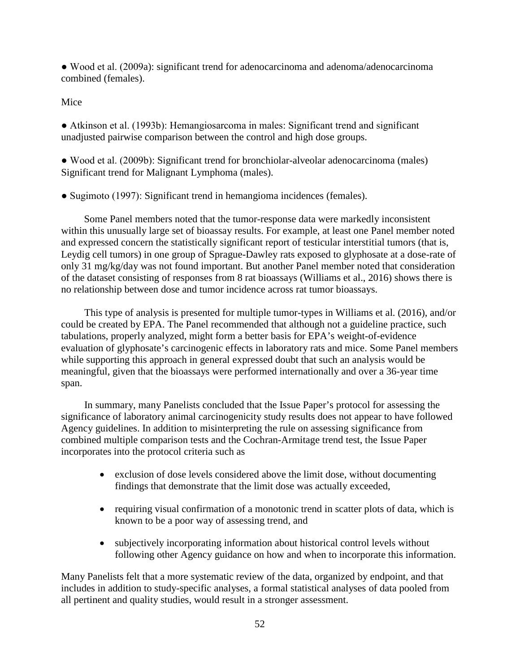• Wood et al. (2009a): significant trend for adenocarcinoma and adenoma/adenocarcinoma combined (females).

# Mice

• Atkinson et al. (1993b): Hemangiosarcoma in males: Significant trend and significant unadjusted pairwise comparison between the control and high dose groups.

• Wood et al. (2009b): Significant trend for bronchiolar-alveolar adenocarcinoma (males) Significant trend for Malignant Lymphoma (males).

• Sugimoto (1997): Significant trend in hemangioma incidences (females).

Some Panel members noted that the tumor-response data were markedly inconsistent within this unusually large set of bioassay results. For example, at least one Panel member noted and expressed concern the statistically significant report of testicular interstitial tumors (that is, Leydig cell tumors) in one group of Sprague-Dawley rats exposed to glyphosate at a dose-rate of only 31 mg/kg/day was not found important. But another Panel member noted that consideration of the dataset consisting of responses from 8 rat bioassays (Williams et al., 2016) shows there is no relationship between dose and tumor incidence across rat tumor bioassays.

This type of analysis is presented for multiple tumor-types in Williams et al. (2016), and/or could be created by EPA. The Panel recommended that although not a guideline practice, such tabulations, properly analyzed, might form a better basis for EPA's weight-of-evidence evaluation of glyphosate's carcinogenic effects in laboratory rats and mice. Some Panel members while supporting this approach in general expressed doubt that such an analysis would be meaningful, given that the bioassays were performed internationally and over a 36-year time span.

In summary, many Panelists concluded that the Issue Paper's protocol for assessing the significance of laboratory animal carcinogenicity study results does not appear to have followed Agency guidelines. In addition to misinterpreting the rule on assessing significance from combined multiple comparison tests and the Cochran-Armitage trend test, the Issue Paper incorporates into the protocol criteria such as

- exclusion of dose levels considered above the limit dose, without documenting findings that demonstrate that the limit dose was actually exceeded,
- requiring visual confirmation of a monotonic trend in scatter plots of data, which is known to be a poor way of assessing trend, and
- subjectively incorporating information about historical control levels without following other Agency guidance on how and when to incorporate this information.

Many Panelists felt that a more systematic review of the data, organized by endpoint, and that includes in addition to study-specific analyses, a formal statistical analyses of data pooled from all pertinent and quality studies, would result in a stronger assessment.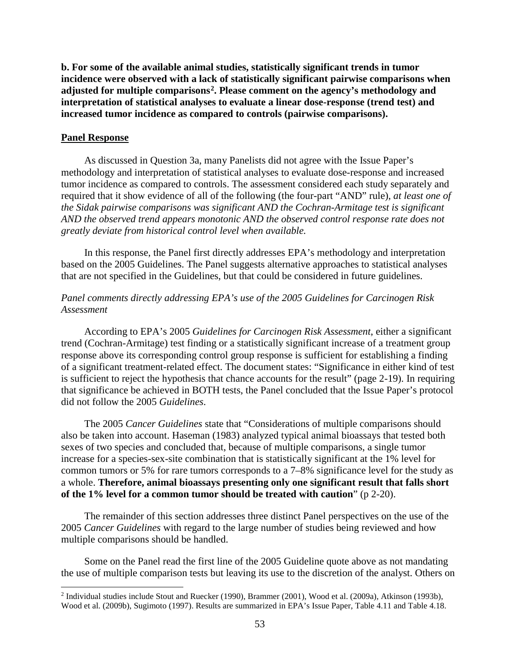**b. For some of the available animal studies, statistically significant trends in tumor incidence were observed with a lack of statistically significant pairwise comparisons when adjusted for multiple comparisons2. Please comment on the agency's methodology and interpretation of statistical analyses to evaluate a linear dose-response (trend test) and increased tumor incidence as compared to controls (pairwise comparisons).**

### **Panel Response**

As discussed in Question 3a, many Panelists did not agree with the Issue Paper's methodology and interpretation of statistical analyses to evaluate dose-response and increased tumor incidence as compared to controls. The assessment considered each study separately and required that it show evidence of all of the following (the four-part "AND" rule), *at least one of the Sidak pairwise comparisons was significant AND the Cochran-Armitage test is significant AND the observed trend appears monotonic AND the observed control response rate does not greatly deviate from historical control level when available.*

In this response, the Panel first directly addresses EPA's methodology and interpretation based on the 2005 Guidelines. The Panel suggests alternative approaches to statistical analyses that are not specified in the Guidelines, but that could be considered in future guidelines.

## *Panel comments directly addressing EPA's use of the 2005 Guidelines for Carcinogen Risk Assessment*

According to EPA's 2005 *Guidelines for Carcinogen Risk Assessment*, either a significant trend (Cochran-Armitage) test finding or a statistically significant increase of a treatment group response above its corresponding control group response is sufficient for establishing a finding of a significant treatment-related effect. The document states: "Significance in either kind of test is sufficient to reject the hypothesis that chance accounts for the result" (page 2-19). In requiring that significance be achieved in BOTH tests, the Panel concluded that the Issue Paper's protocol did not follow the 2005 *Guidelines*.

The 2005 *Cancer Guidelines* state that "Considerations of multiple comparisons should also be taken into account. Haseman (1983) analyzed typical animal bioassays that tested both sexes of two species and concluded that, because of multiple comparisons, a single tumor increase for a species-sex-site combination that is statistically significant at the 1% level for common tumors or 5% for rare tumors corresponds to a 7–8% significance level for the study as a whole. **Therefore, animal bioassays presenting only one significant result that falls short of the 1% level for a common tumor should be treated with caution**" (p 2-20).

The remainder of this section addresses three distinct Panel perspectives on the use of the 2005 *Cancer Guidelines* with regard to the large number of studies being reviewed and how multiple comparisons should be handled.

Some on the Panel read the first line of the 2005 Guideline quote above as not mandating the use of multiple comparison tests but leaving its use to the discretion of the analyst. Others on

<sup>2</sup> Individual studies include Stout and Ruecker (1990), Brammer (2001), Wood et al. (2009a), Atkinson (1993b), Wood et al. (2009b), Sugimoto (1997). Results are summarized in EPA's Issue Paper, Table 4.11 and Table 4.18.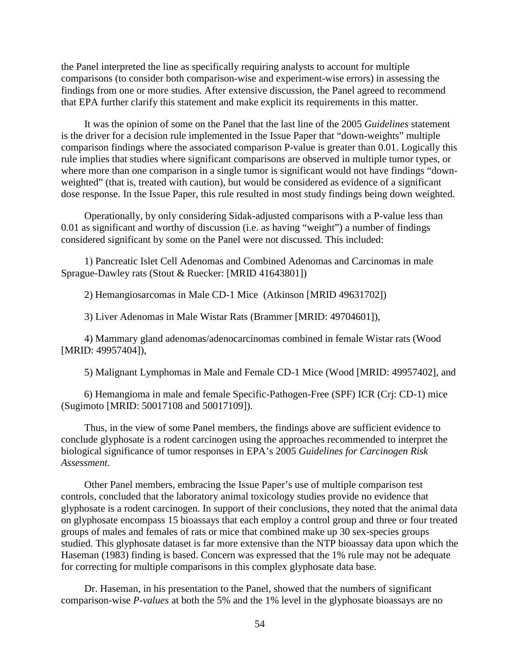the Panel interpreted the line as specifically requiring analysts to account for multiple comparisons (to consider both comparison-wise and experiment-wise errors) in assessing the findings from one or more studies. After extensive discussion, the Panel agreed to recommend that EPA further clarify this statement and make explicit its requirements in this matter.

It was the opinion of some on the Panel that the last line of the 2005 *Guidelines* statement is the driver for a decision rule implemented in the Issue Paper that "down-weights" multiple comparison findings where the associated comparison P-value is greater than 0.01. Logically this rule implies that studies where significant comparisons are observed in multiple tumor types, or where more than one comparison in a single tumor is significant would not have findings "downweighted" (that is, treated with caution), but would be considered as evidence of a significant dose response. In the Issue Paper, this rule resulted in most study findings being down weighted.

Operationally, by only considering Sidak-adjusted comparisons with a P-value less than 0.01 as significant and worthy of discussion (i.e. as having "weight") a number of findings considered significant by some on the Panel were not discussed. This included:

1) Pancreatic Islet Cell Adenomas and Combined Adenomas and Carcinomas in male Sprague-Dawley rats (Stout & Ruecker: [MRID 41643801])

2) Hemangiosarcomas in Male CD-1 Mice (Atkinson [MRID 49631702])

3) Liver Adenomas in Male Wistar Rats (Brammer [MRID: 49704601]),

4) Mammary gland adenomas/adenocarcinomas combined in female Wistar rats (Wood [MRID: 49957404]),

5) Malignant Lymphomas in Male and Female CD-1 Mice (Wood [MRID: 49957402], and

6) Hemangioma in male and female Specific-Pathogen-Free (SPF) ICR (Crj: CD-1) mice (Sugimoto [MRID: 50017108 and 50017109]).

Thus, in the view of some Panel members, the findings above are sufficient evidence to conclude glyphosate is a rodent carcinogen using the approaches recommended to interpret the biological significance of tumor responses in EPA's 2005 *Guidelines for Carcinogen Risk Assessment*.

Other Panel members, embracing the Issue Paper's use of multiple comparison test controls, concluded that the laboratory animal toxicology studies provide no evidence that glyphosate is a rodent carcinogen. In support of their conclusions, they noted that the animal data on glyphosate encompass 15 bioassays that each employ a control group and three or four treated groups of males and females of rats or mice that combined make up 30 sex-species groups studied. This glyphosate dataset is far more extensive than the NTP bioassay data upon which the Haseman (1983) finding is based. Concern was expressed that the 1% rule may not be adequate for correcting for multiple comparisons in this complex glyphosate data base.

Dr. Haseman, in his presentation to the Panel, showed that the numbers of significant comparison-wise *P-values* at both the 5% and the 1% level in the glyphosate bioassays are no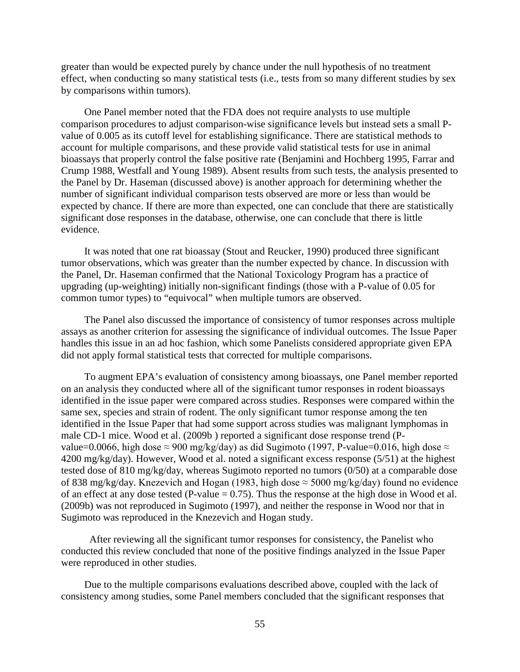greater than would be expected purely by chance under the null hypothesis of no treatment effect, when conducting so many statistical tests (i.e., tests from so many different studies by sex by comparisons within tumors).

One Panel member noted that the FDA does not require analysts to use multiple comparison procedures to adjust comparison-wise significance levels but instead sets a small Pvalue of 0.005 as its cutoff level for establishing significance. There are statistical methods to account for multiple comparisons, and these provide valid statistical tests for use in animal bioassays that properly control the false positive rate (Benjamini and Hochberg 1995, Farrar and Crump 1988, Westfall and Young 1989). Absent results from such tests, the analysis presented to the Panel by Dr. Haseman (discussed above) is another approach for determining whether the number of significant individual comparison tests observed are more or less than would be expected by chance. If there are more than expected, one can conclude that there are statistically significant dose responses in the database, otherwise, one can conclude that there is little evidence.

It was noted that one rat bioassay (Stout and Reucker, 1990) produced three significant tumor observations, which was greater than the number expected by chance. In discussion with the Panel, Dr. Haseman confirmed that the National Toxicology Program has a practice of upgrading (up-weighting) initially non-significant findings (those with a P-value of 0.05 for common tumor types) to "equivocal" when multiple tumors are observed.

The Panel also discussed the importance of consistency of tumor responses across multiple assays as another criterion for assessing the significance of individual outcomes. The Issue Paper handles this issue in an ad hoc fashion, which some Panelists considered appropriate given EPA did not apply formal statistical tests that corrected for multiple comparisons.

To augment EPA's evaluation of consistency among bioassays, one Panel member reported on an analysis they conducted where all of the significant tumor responses in rodent bioassays identified in the issue paper were compared across studies. Responses were compared within the same sex, species and strain of rodent. The only significant tumor response among the ten identified in the Issue Paper that had some support across studies was malignant lymphomas in male CD-1 mice. Wood et al. (2009b ) reported a significant dose response trend (Pvalue=0.0066, high dose  $\approx$  900 mg/kg/day) as did Sugimoto (1997, P-value=0.016, high dose  $\approx$ 4200 mg/kg/day). However, Wood et al. noted a significant excess response (5/51) at the highest tested dose of 810 mg/kg/day, whereas Sugimoto reported no tumors (0/50) at a comparable dose of 838 mg/kg/day. Knezevich and Hogan (1983, high dose  $\approx$  5000 mg/kg/day) found no evidence of an effect at any dose tested (P-value  $= 0.75$ ). Thus the response at the high dose in Wood et al. (2009b) was not reproduced in Sugimoto (1997), and neither the response in Wood nor that in Sugimoto was reproduced in the Knezevich and Hogan study.

After reviewing all the significant tumor responses for consistency, the Panelist who conducted this review concluded that none of the positive findings analyzed in the Issue Paper were reproduced in other studies.

Due to the multiple comparisons evaluations described above, coupled with the lack of consistency among studies, some Panel members concluded that the significant responses that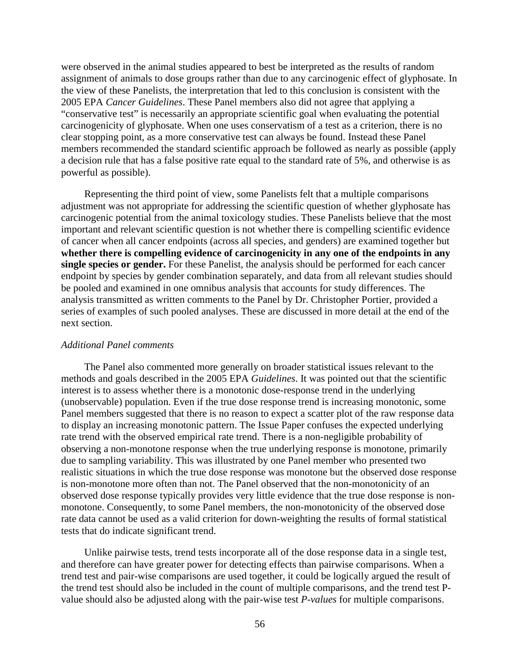were observed in the animal studies appeared to best be interpreted as the results of random assignment of animals to dose groups rather than due to any carcinogenic effect of glyphosate. In the view of these Panelists, the interpretation that led to this conclusion is consistent with the 2005 EPA *Cancer Guidelines*. These Panel members also did not agree that applying a "conservative test" is necessarily an appropriate scientific goal when evaluating the potential carcinogenicity of glyphosate. When one uses conservatism of a test as a criterion, there is no clear stopping point, as a more conservative test can always be found. Instead these Panel members recommended the standard scientific approach be followed as nearly as possible (apply a decision rule that has a false positive rate equal to the standard rate of 5%, and otherwise is as powerful as possible).

Representing the third point of view, some Panelists felt that a multiple comparisons adjustment was not appropriate for addressing the scientific question of whether glyphosate has carcinogenic potential from the animal toxicology studies. These Panelists believe that the most important and relevant scientific question is not whether there is compelling scientific evidence of cancer when all cancer endpoints (across all species, and genders) are examined together but **whether there is compelling evidence of carcinogenicity in any one of the endpoints in any single species or gender.** For these Panelist, the analysis should be performed for each cancer endpoint by species by gender combination separately, and data from all relevant studies should be pooled and examined in one omnibus analysis that accounts for study differences. The analysis transmitted as written comments to the Panel by Dr. Christopher Portier, provided a series of examples of such pooled analyses. These are discussed in more detail at the end of the next section.

#### *Additional Panel comments*

The Panel also commented more generally on broader statistical issues relevant to the methods and goals described in the 2005 EPA *Guidelines*. It was pointed out that the scientific interest is to assess whether there is a monotonic dose-response trend in the underlying (unobservable) population. Even if the true dose response trend is increasing monotonic, some Panel members suggested that there is no reason to expect a scatter plot of the raw response data to display an increasing monotonic pattern. The Issue Paper confuses the expected underlying rate trend with the observed empirical rate trend. There is a non-negligible probability of observing a non-monotone response when the true underlying response is monotone, primarily due to sampling variability. This was illustrated by one Panel member who presented two realistic situations in which the true dose response was monotone but the observed dose response is non-monotone more often than not. The Panel observed that the non-monotonicity of an observed dose response typically provides very little evidence that the true dose response is nonmonotone. Consequently, to some Panel members, the non-monotonicity of the observed dose rate data cannot be used as a valid criterion for down-weighting the results of formal statistical tests that do indicate significant trend.

Unlike pairwise tests, trend tests incorporate all of the dose response data in a single test, and therefore can have greater power for detecting effects than pairwise comparisons. When a trend test and pair-wise comparisons are used together, it could be logically argued the result of the trend test should also be included in the count of multiple comparisons, and the trend test Pvalue should also be adjusted along with the pair-wise test *P-values* for multiple comparisons.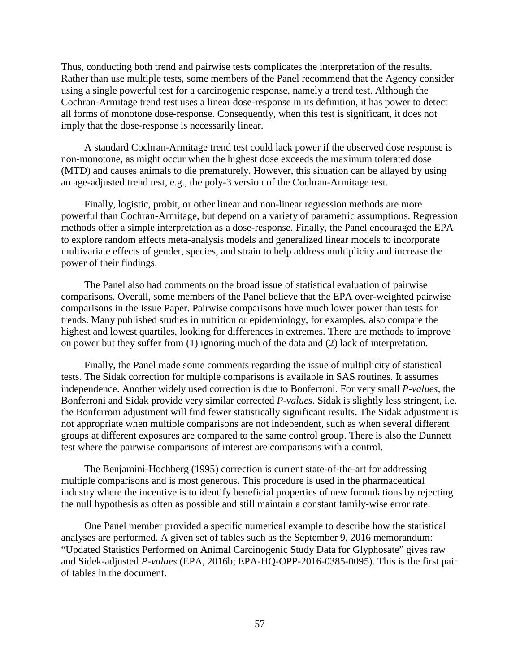Thus, conducting both trend and pairwise tests complicates the interpretation of the results. Rather than use multiple tests, some members of the Panel recommend that the Agency consider using a single powerful test for a carcinogenic response, namely a trend test. Although the Cochran-Armitage trend test uses a linear dose-response in its definition, it has power to detect all forms of monotone dose-response. Consequently, when this test is significant, it does not imply that the dose-response is necessarily linear.

A standard Cochran-Armitage trend test could lack power if the observed dose response is non-monotone, as might occur when the highest dose exceeds the maximum tolerated dose (MTD) and causes animals to die prematurely. However, this situation can be allayed by using an age-adjusted trend test, e.g., the poly-3 version of the Cochran-Armitage test.

Finally, logistic, probit, or other linear and non-linear regression methods are more powerful than Cochran-Armitage, but depend on a variety of parametric assumptions. Regression methods offer a simple interpretation as a dose-response. Finally, the Panel encouraged the EPA to explore random effects meta-analysis models and generalized linear models to incorporate multivariate effects of gender, species, and strain to help address multiplicity and increase the power of their findings.

The Panel also had comments on the broad issue of statistical evaluation of pairwise comparisons. Overall, some members of the Panel believe that the EPA over-weighted pairwise comparisons in the Issue Paper. Pairwise comparisons have much lower power than tests for trends. Many published studies in nutrition or epidemiology, for examples, also compare the highest and lowest quartiles, looking for differences in extremes. There are methods to improve on power but they suffer from (1) ignoring much of the data and (2) lack of interpretation.

Finally, the Panel made some comments regarding the issue of multiplicity of statistical tests. The Sidak correction for multiple comparisons is available in SAS routines. It assumes independence. Another widely used correction is due to Bonferroni. For very small *P-values*, the Bonferroni and Sidak provide very similar corrected *P-values*. Sidak is slightly less stringent, i.e. the Bonferroni adjustment will find fewer statistically significant results. The Sidak adjustment is not appropriate when multiple comparisons are not independent, such as when several different groups at different exposures are compared to the same control group. There is also the Dunnett test where the pairwise comparisons of interest are comparisons with a control.

The Benjamini-Hochberg (1995) correction is current state-of-the-art for addressing multiple comparisons and is most generous. This procedure is used in the pharmaceutical industry where the incentive is to identify beneficial properties of new formulations by rejecting the null hypothesis as often as possible and still maintain a constant family-wise error rate.

One Panel member provided a specific numerical example to describe how the statistical analyses are performed. A given set of tables such as the September 9, 2016 memorandum: "Updated Statistics Performed on Animal Carcinogenic Study Data for Glyphosate" gives raw and Sidek-adjusted *P-values* (EPA, 2016b; EPA-HQ-OPP-2016-0385-0095). This is the first pair of tables in the document.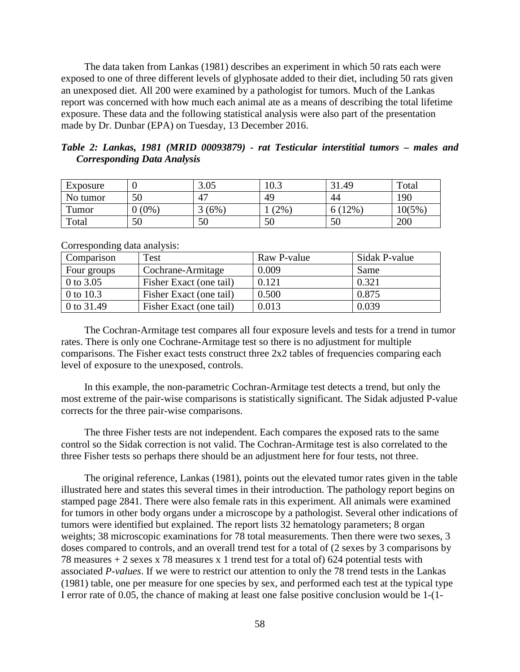The data taken from Lankas (1981) describes an experiment in which 50 rats each were exposed to one of three different levels of glyphosate added to their diet, including 50 rats given an unexposed diet. All 200 were examined by a pathologist for tumors. Much of the Lankas report was concerned with how much each animal ate as a means of describing the total lifetime exposure. These data and the following statistical analysis were also part of the presentation made by Dr. Dunbar (EPA) on Tuesday, 13 December 2016.

|                                    |  | Table 2: Lankas, 1981 (MRID 00093879) - rat Testicular interstitial tumors – males and |  |  |  |  |
|------------------------------------|--|----------------------------------------------------------------------------------------|--|--|--|--|
| <b>Corresponding Data Analysis</b> |  |                                                                                        |  |  |  |  |

| Exposure |             | 3.05       | 10.3   | 31.49   | Total |
|----------|-------------|------------|--------|---------|-------|
| No tumor | 50          | $\sqrt{2}$ | 49     | 44      | 190   |
| Tumor    | $(0\%$<br>0 | (6%        | $'2\%$ | $(12\%$ | 10(5% |
| Total    | 50          | 50         | 50     | 50      | 200   |

Corresponding data analysis:

| Comparison   | Test                    | Raw P-value | Sidak P-value |
|--------------|-------------------------|-------------|---------------|
| Four groups  | Cochrane-Armitage       | 0.009       | Same          |
| 0 to 3.05    | Fisher Exact (one tail) | 0.121       | 0.321         |
| 0 to 10.3    | Fisher Exact (one tail) | 0.500       | 0.875         |
| 0 to $31.49$ | Fisher Exact (one tail) | 0.013       | 0.039         |

The Cochran-Armitage test compares all four exposure levels and tests for a trend in tumor rates. There is only one Cochrane-Armitage test so there is no adjustment for multiple comparisons. The Fisher exact tests construct three 2x2 tables of frequencies comparing each level of exposure to the unexposed, controls.

In this example, the non-parametric Cochran-Armitage test detects a trend, but only the most extreme of the pair-wise comparisons is statistically significant. The Sidak adjusted P-value corrects for the three pair-wise comparisons.

The three Fisher tests are not independent. Each compares the exposed rats to the same control so the Sidak correction is not valid. The Cochran-Armitage test is also correlated to the three Fisher tests so perhaps there should be an adjustment here for four tests, not three.

The original reference, Lankas (1981), points out the elevated tumor rates given in the table illustrated here and states this several times in their introduction. The pathology report begins on stamped page 2841. There were also female rats in this experiment. All animals were examined for tumors in other body organs under a microscope by a pathologist. Several other indications of tumors were identified but explained. The report lists 32 hematology parameters; 8 organ weights; 38 microscopic examinations for 78 total measurements. Then there were two sexes, 3 doses compared to controls, and an overall trend test for a total of (2 sexes by 3 comparisons by 78 measures + 2 sexes x 78 measures x 1 trend test for a total of) 624 potential tests with associated *P-values*. If we were to restrict our attention to only the 78 trend tests in the Lankas (1981) table, one per measure for one species by sex, and performed each test at the typical type I error rate of 0.05, the chance of making at least one false positive conclusion would be 1-(1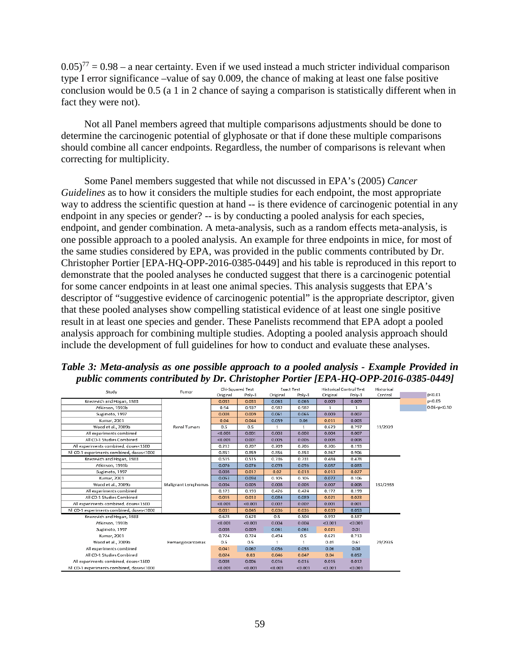$(0.05)^{77} = 0.98 - a$  near certainty. Even if we used instead a much stricter individual comparison type I error significance –value of say 0.009, the chance of making at least one false positive conclusion would be 0.5 (a 1 in 2 chance of saying a comparison is statistically different when in fact they were not).

Not all Panel members agreed that multiple comparisons adjustments should be done to determine the carcinogenic potential of glyphosate or that if done these multiple comparisons should combine all cancer endpoints. Regardless, the number of comparisons is relevant when correcting for multiplicity.

Some Panel members suggested that while not discussed in EPA's (2005) *Cancer Guidelines* as to how it considers the multiple studies for each endpoint, the most appropriate way to address the scientific question at hand -- is there evidence of carcinogenic potential in any endpoint in any species or gender? -- is by conducting a pooled analysis for each species, endpoint, and gender combination. A meta-analysis, such as a random effects meta-analysis, is one possible approach to a pooled analysis. An example for three endpoints in mice, for most of the same studies considered by EPA, was provided in the public comments contributed by Dr. Christopher Portier [EPA-HQ-OPP-2016-0385-0449] and his table is reproduced in this report to demonstrate that the pooled analyses he conducted suggest that there is a carcinogenic potential for some cancer endpoints in at least one animal species. This analysis suggests that EPA's descriptor of "suggestive evidence of carcinogenic potential" is the appropriate descriptor, given that these pooled analyses show compelling statistical evidence of at least one single positive result in at least one species and gender. These Panelists recommend that EPA adopt a pooled analysis approach for combining multiple studies. Adopting a pooled analysis approach should include the development of full guidelines for how to conduct and evaluate these analyses.

*Table 3: Meta-analysis as one possible approach to a pooled analysis - Example Provided in public comments contributed by Dr. Christopher Portier [EPA-HQ-OPP-2016-0385-0449]*

| Study                                     | Tumar               | Chi-Squared Test |         | <b>Exact Test</b> |         | <b>Historical Control Test</b> |              | Historical |                 |
|-------------------------------------------|---------------------|------------------|---------|-------------------|---------|--------------------------------|--------------|------------|-----------------|
|                                           |                     | Original         | Poly-3  | Original          | Poly-3  | Original                       | Poly-3       | Control    | p < 0.01        |
| Knezevich and Hogan, 1983                 |                     | 0.033            | 0.033   | 0.063             | 0.065   | 0.009                          | 0.009        |            | p < 0.05        |
| Atkinson, 1993b                           |                     | 0.94             | 0.937   | 0.982             | 0.982   | $\mathbf{1}$                   | $\mathbf{1}$ |            | 0.05 < p < 0.10 |
| Sugimoto, 1997                            |                     | 0.008            | 0.009   | 0.061             | 0.065   | 0.009                          | 0.002        |            |                 |
| Kumar, 2001                               |                     | 0.04             | 0.044   | 0.059             | 0.06    | 0.011                          | 0.003        |            |                 |
| Wood et al., 2009b                        | Renal Tumors        | 0.5              | 0.5     | 1                 | -1      | 0.629                          | 0.797        | 11/2939    |                 |
| All experiments combined                  |                     | < 0.001          | 0.001   | 0.003             | 0.003   | 0.004                          | 0.007        |            |                 |
| All CD-1 Studies Combined                 |                     | < 0.001          | 0.001   | 0.005             | 0.006   | 0.008                          | 0.008        |            |                 |
| All experiments combined, doses<1500      |                     | 0.212            | 0.207   | 0.209             | 0.206   | 0.206                          | 0.193        |            |                 |
| All CD-1 experiments combined, doses<1000 |                     | 0.851            | 0.859   | 0.856             | 0.853   | 0.867                          | 0.906        |            |                 |
| Knezevich and Hogan, 1983                 |                     | 0.515            | 0.515   | 0.736             | 0.731   | 0.484                          | 0.478        | 132/2935   |                 |
| Atkinson, 1993b                           |                     | 0.076            | 0.076   | 0.095             | 0.096   | 0.087                          | 0.083        |            |                 |
| Sugimato, 1997                            |                     | 0.008            | 0.012   | 0.02              | 0.018   | 0.013                          | 0.027        |            |                 |
| Kumar, 2001                               |                     | 0.053            | 0.094   | 0.105             | 0.105   | 0.072                          | 0.106        |            |                 |
| Wood et al., 2009b                        | Malignant Lymphomas | 0.004            | 0.005   | 0.008             | 0.008   | 0.007                          | 0.008        |            |                 |
| All experiments combined                  |                     | 0.173            | 0.193   | 0.426             | 0.424   | 0.172                          | 0.199        |            |                 |
| All CD-1 Studies Combined                 |                     | 0.015            | 0.013   | 0.084             | 0.089   | 0.021                          | 0.023        |            |                 |
| All experiments combined, doses<1500      |                     | < 0.001          | < 0.001 | 0.002             | 0.002   | 0.001                          | 0.001        |            |                 |
| All CD-1 experiments combined, doses<1000 |                     | 0.031            | 0.045   | 0.036             | 0.036   | 0.039                          | 0.053        |            |                 |
| Knezevich and Hogan, 1983                 |                     | 0.628            | 0.628   | 0.5               | 0.504   | 0.592                          | 0.587        |            |                 |
| Atkinson, 1993b                           |                     | < 0.001          | < 0.001 | 0.004             | 0.004   | < 0.001                        | < 0.001      |            |                 |
| Sugimoto, 1997                            |                     | 0.008            | 0.009   | 0.061             | 0.061   | 0.021                          | 0.01         |            |                 |
| Kumar, 2001                               |                     | 0.724            | 0.724   | 0.494             | 0.5     | 0.621                          | 0.713        |            |                 |
| Wood et al., 2009b                        | Hemangiosarcomas    | 0.5              | 0.5     |                   |         | 0.49                           | 0.61         | 29/2935    |                 |
| All experiments combined                  |                     | 0.041            | 0.062   | 0.056             | 0.058   | 0.06                           | 0.08         |            |                 |
| All CD-1 Studies Combined                 |                     | 0.024            | 0.03    | 0.046             | 0.047   | 0.04                           | 0.052        |            |                 |
| All experiments combined, doses<1500      |                     | 0.008            | 0.006   | 0.016             | 0.016   | 0.015                          | 0.012        |            |                 |
| All CD-1 experiments combined, doses<1000 |                     | < 0.001          | < 0.001 | < 0.001           | < 0.001 | < 0.001                        | < 0.001      |            |                 |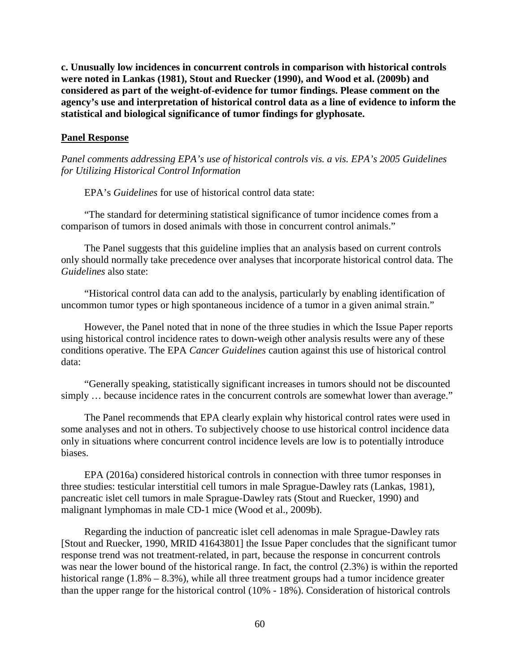**c. Unusually low incidences in concurrent controls in comparison with historical controls were noted in Lankas (1981), Stout and Ruecker (1990), and Wood et al. (2009b) and considered as part of the weight-of-evidence for tumor findings. Please comment on the agency's use and interpretation of historical control data as a line of evidence to inform the statistical and biological significance of tumor findings for glyphosate.**

### **Panel Response**

*Panel comments addressing EPA's use of historical controls vis. a vis. EPA's 2005 Guidelines for Utilizing Historical Control Information* 

EPA's *Guidelines* for use of historical control data state:

"The standard for determining statistical significance of tumor incidence comes from a comparison of tumors in dosed animals with those in concurrent control animals."

The Panel suggests that this guideline implies that an analysis based on current controls only should normally take precedence over analyses that incorporate historical control data. The *Guidelines* also state:

"Historical control data can add to the analysis, particularly by enabling identification of uncommon tumor types or high spontaneous incidence of a tumor in a given animal strain."

However, the Panel noted that in none of the three studies in which the Issue Paper reports using historical control incidence rates to down-weigh other analysis results were any of these conditions operative. The EPA *Cancer Guidelines* caution against this use of historical control data:

"Generally speaking, statistically significant increases in tumors should not be discounted simply ... because incidence rates in the concurrent controls are somewhat lower than average."

The Panel recommends that EPA clearly explain why historical control rates were used in some analyses and not in others. To subjectively choose to use historical control incidence data only in situations where concurrent control incidence levels are low is to potentially introduce biases.

EPA (2016a) considered historical controls in connection with three tumor responses in three studies: testicular interstitial cell tumors in male Sprague-Dawley rats (Lankas, 1981), pancreatic islet cell tumors in male Sprague-Dawley rats (Stout and Ruecker, 1990) and malignant lymphomas in male CD-1 mice (Wood et al., 2009b).

Regarding the induction of pancreatic islet cell adenomas in male Sprague-Dawley rats [Stout and Ruecker, 1990, MRID 41643801] the Issue Paper concludes that the significant tumor response trend was not treatment-related, in part, because the response in concurrent controls was near the lower bound of the historical range. In fact, the control (2.3%) is within the reported historical range (1.8% – 8.3%), while all three treatment groups had a tumor incidence greater than the upper range for the historical control (10% - 18%). Consideration of historical controls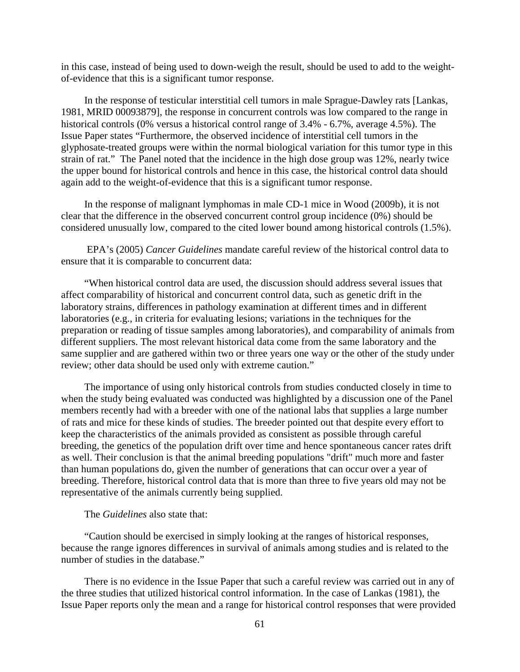in this case, instead of being used to down-weigh the result, should be used to add to the weightof-evidence that this is a significant tumor response.

In the response of testicular interstitial cell tumors in male Sprague-Dawley rats [Lankas, 1981, MRID 00093879], the response in concurrent controls was low compared to the range in historical controls (0% versus a historical control range of 3.4% - 6.7%, average 4.5%). The Issue Paper states "Furthermore, the observed incidence of interstitial cell tumors in the glyphosate-treated groups were within the normal biological variation for this tumor type in this strain of rat." The Panel noted that the incidence in the high dose group was 12%, nearly twice the upper bound for historical controls and hence in this case, the historical control data should again add to the weight-of-evidence that this is a significant tumor response.

In the response of malignant lymphomas in male CD-1 mice in Wood (2009b), it is not clear that the difference in the observed concurrent control group incidence (0%) should be considered unusually low, compared to the cited lower bound among historical controls (1.5%).

EPA's (2005) *Cancer Guidelines* mandate careful review of the historical control data to ensure that it is comparable to concurrent data:

"When historical control data are used, the discussion should address several issues that affect comparability of historical and concurrent control data, such as genetic drift in the laboratory strains, differences in pathology examination at different times and in different laboratories (e.g., in criteria for evaluating lesions; variations in the techniques for the preparation or reading of tissue samples among laboratories), and comparability of animals from different suppliers. The most relevant historical data come from the same laboratory and the same supplier and are gathered within two or three years one way or the other of the study under review; other data should be used only with extreme caution."

The importance of using only historical controls from studies conducted closely in time to when the study being evaluated was conducted was highlighted by a discussion one of the Panel members recently had with a breeder with one of the national labs that supplies a large number of rats and mice for these kinds of studies. The breeder pointed out that despite every effort to keep the characteristics of the animals provided as consistent as possible through careful breeding, the genetics of the population drift over time and hence spontaneous cancer rates drift as well. Their conclusion is that the animal breeding populations "drift" much more and faster than human populations do, given the number of generations that can occur over a year of breeding. Therefore, historical control data that is more than three to five years old may not be representative of the animals currently being supplied.

### The *Guidelines* also state that:

"Caution should be exercised in simply looking at the ranges of historical responses, because the range ignores differences in survival of animals among studies and is related to the number of studies in the database."

There is no evidence in the Issue Paper that such a careful review was carried out in any of the three studies that utilized historical control information. In the case of Lankas (1981), the Issue Paper reports only the mean and a range for historical control responses that were provided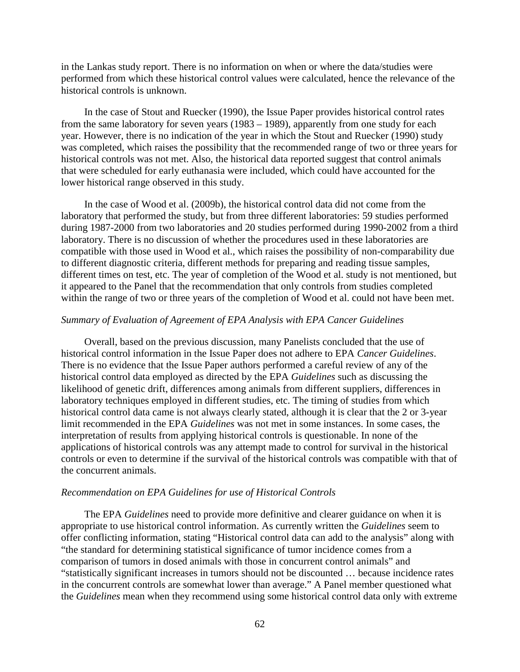in the Lankas study report. There is no information on when or where the data/studies were performed from which these historical control values were calculated, hence the relevance of the historical controls is unknown.

In the case of Stout and Ruecker (1990), the Issue Paper provides historical control rates from the same laboratory for seven years (1983 – 1989), apparently from one study for each year. However, there is no indication of the year in which the Stout and Ruecker (1990) study was completed, which raises the possibility that the recommended range of two or three years for historical controls was not met. Also, the historical data reported suggest that control animals that were scheduled for early euthanasia were included, which could have accounted for the lower historical range observed in this study.

In the case of Wood et al. (2009b), the historical control data did not come from the laboratory that performed the study, but from three different laboratories: 59 studies performed during 1987-2000 from two laboratories and 20 studies performed during 1990-2002 from a third laboratory. There is no discussion of whether the procedures used in these laboratories are compatible with those used in Wood et al., which raises the possibility of non-comparability due to different diagnostic criteria, different methods for preparing and reading tissue samples, different times on test, etc. The year of completion of the Wood et al. study is not mentioned, but it appeared to the Panel that the recommendation that only controls from studies completed within the range of two or three years of the completion of Wood et al. could not have been met.

#### *Summary of Evaluation of Agreement of EPA Analysis with EPA Cancer Guidelines*

Overall, based on the previous discussion, many Panelists concluded that the use of historical control information in the Issue Paper does not adhere to EPA *Cancer Guidelines*. There is no evidence that the Issue Paper authors performed a careful review of any of the historical control data employed as directed by the EPA *Guidelines* such as discussing the likelihood of genetic drift, differences among animals from different suppliers, differences in laboratory techniques employed in different studies, etc. The timing of studies from which historical control data came is not always clearly stated, although it is clear that the 2 or 3-year limit recommended in the EPA *Guidelines* was not met in some instances. In some cases, the interpretation of results from applying historical controls is questionable. In none of the applications of historical controls was any attempt made to control for survival in the historical controls or even to determine if the survival of the historical controls was compatible with that of the concurrent animals.

## *Recommendation on EPA Guidelines for use of Historical Controls*

The EPA *Guidelines* need to provide more definitive and clearer guidance on when it is appropriate to use historical control information. As currently written the *Guidelines* seem to offer conflicting information, stating "Historical control data can add to the analysis" along with "the standard for determining statistical significance of tumor incidence comes from a comparison of tumors in dosed animals with those in concurrent control animals" and "statistically significant increases in tumors should not be discounted … because incidence rates in the concurrent controls are somewhat lower than average." A Panel member questioned what the *Guidelines* mean when they recommend using some historical control data only with extreme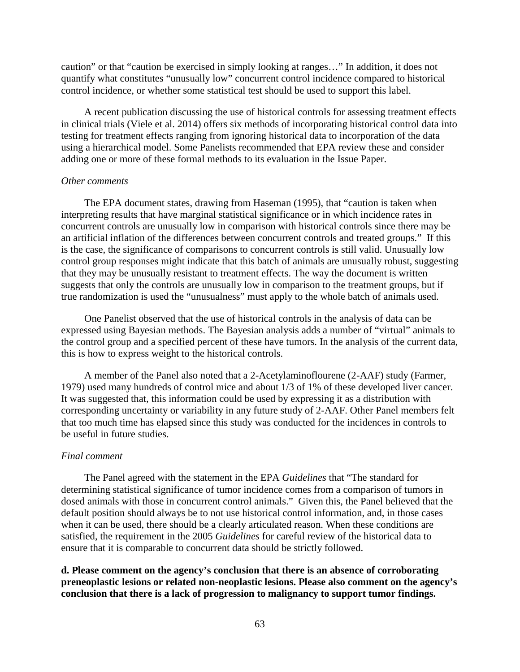caution" or that "caution be exercised in simply looking at ranges…" In addition, it does not quantify what constitutes "unusually low" concurrent control incidence compared to historical control incidence, or whether some statistical test should be used to support this label.

A recent publication discussing the use of historical controls for assessing treatment effects in clinical trials (Viele et al. 2014) offers six methods of incorporating historical control data into testing for treatment effects ranging from ignoring historical data to incorporation of the data using a hierarchical model. Some Panelists recommended that EPA review these and consider adding one or more of these formal methods to its evaluation in the Issue Paper.

### *Other comments*

The EPA document states, drawing from Haseman (1995), that "caution is taken when interpreting results that have marginal statistical significance or in which incidence rates in concurrent controls are unusually low in comparison with historical controls since there may be an artificial inflation of the differences between concurrent controls and treated groups." If this is the case, the significance of comparisons to concurrent controls is still valid. Unusually low control group responses might indicate that this batch of animals are unusually robust, suggesting that they may be unusually resistant to treatment effects. The way the document is written suggests that only the controls are unusually low in comparison to the treatment groups, but if true randomization is used the "unusualness" must apply to the whole batch of animals used.

One Panelist observed that the use of historical controls in the analysis of data can be expressed using Bayesian methods. The Bayesian analysis adds a number of "virtual" animals to the control group and a specified percent of these have tumors. In the analysis of the current data, this is how to express weight to the historical controls.

A member of the Panel also noted that a 2-Acetylaminoflourene (2-AAF) study (Farmer, 1979) used many hundreds of control mice and about 1/3 of 1% of these developed liver cancer. It was suggested that, this information could be used by expressing it as a distribution with corresponding uncertainty or variability in any future study of 2-AAF. Other Panel members felt that too much time has elapsed since this study was conducted for the incidences in controls to be useful in future studies.

#### *Final comment*

The Panel agreed with the statement in the EPA *Guidelines* that "The standard for determining statistical significance of tumor incidence comes from a comparison of tumors in dosed animals with those in concurrent control animals." Given this, the Panel believed that the default position should always be to not use historical control information, and, in those cases when it can be used, there should be a clearly articulated reason. When these conditions are satisfied, the requirement in the 2005 *Guidelines* for careful review of the historical data to ensure that it is comparable to concurrent data should be strictly followed.

**d. Please comment on the agency's conclusion that there is an absence of corroborating preneoplastic lesions or related non-neoplastic lesions. Please also comment on the agency's conclusion that there is a lack of progression to malignancy to support tumor findings.**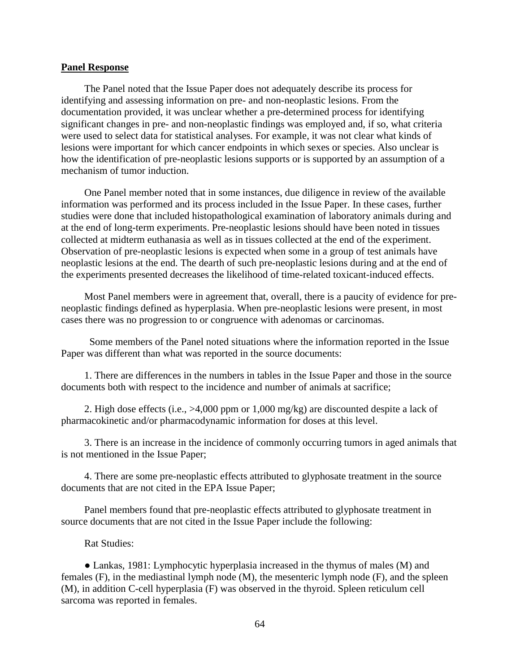#### **Panel Response**

The Panel noted that the Issue Paper does not adequately describe its process for identifying and assessing information on pre- and non-neoplastic lesions. From the documentation provided, it was unclear whether a pre-determined process for identifying significant changes in pre- and non-neoplastic findings was employed and, if so, what criteria were used to select data for statistical analyses. For example, it was not clear what kinds of lesions were important for which cancer endpoints in which sexes or species. Also unclear is how the identification of pre-neoplastic lesions supports or is supported by an assumption of a mechanism of tumor induction.

One Panel member noted that in some instances, due diligence in review of the available information was performed and its process included in the Issue Paper. In these cases, further studies were done that included histopathological examination of laboratory animals during and at the end of long-term experiments. Pre-neoplastic lesions should have been noted in tissues collected at midterm euthanasia as well as in tissues collected at the end of the experiment. Observation of pre-neoplastic lesions is expected when some in a group of test animals have neoplastic lesions at the end. The dearth of such pre-neoplastic lesions during and at the end of the experiments presented decreases the likelihood of time-related toxicant-induced effects.

Most Panel members were in agreement that, overall, there is a paucity of evidence for preneoplastic findings defined as hyperplasia. When pre-neoplastic lesions were present, in most cases there was no progression to or congruence with adenomas or carcinomas.

Some members of the Panel noted situations where the information reported in the Issue Paper was different than what was reported in the source documents:

1. There are differences in the numbers in tables in the Issue Paper and those in the source documents both with respect to the incidence and number of animals at sacrifice;

2. High dose effects (i.e., >4,000 ppm or 1,000 mg/kg) are discounted despite a lack of pharmacokinetic and/or pharmacodynamic information for doses at this level.

3. There is an increase in the incidence of commonly occurring tumors in aged animals that is not mentioned in the Issue Paper;

4. There are some pre-neoplastic effects attributed to glyphosate treatment in the source documents that are not cited in the EPA Issue Paper;

Panel members found that pre-neoplastic effects attributed to glyphosate treatment in source documents that are not cited in the Issue Paper include the following:

## Rat Studies:

• Lankas, 1981: Lymphocytic hyperplasia increased in the thymus of males (M) and females (F), in the mediastinal lymph node (M), the mesenteric lymph node (F), and the spleen (M), in addition C-cell hyperplasia (F) was observed in the thyroid. Spleen reticulum cell sarcoma was reported in females.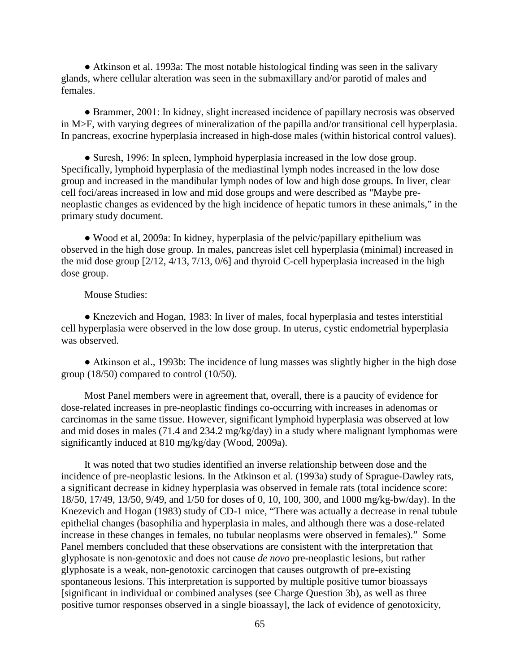• Atkinson et al. 1993a: The most notable histological finding was seen in the salivary glands, where cellular alteration was seen in the submaxillary and/or parotid of males and females.

• Brammer, 2001: In kidney, slight increased incidence of papillary necrosis was observed in M>F, with varying degrees of mineralization of the papilla and/or transitional cell hyperplasia. In pancreas, exocrine hyperplasia increased in high-dose males (within historical control values).

• Suresh, 1996: In spleen, lymphoid hyperplasia increased in the low dose group. Specifically, lymphoid hyperplasia of the mediastinal lymph nodes increased in the low dose group and increased in the mandibular lymph nodes of low and high dose groups. In liver, clear cell foci/areas increased in low and mid dose groups and were described as "Maybe preneoplastic changes as evidenced by the high incidence of hepatic tumors in these animals," in the primary study document.

Ɣ Wood et al, 2009a: In kidney, hyperplasia of the pelvic/papillary epithelium was observed in the high dose group. In males, pancreas islet cell hyperplasia (minimal) increased in the mid dose group [2/12, 4/13, 7/13, 0/6] and thyroid C-cell hyperplasia increased in the high dose group.

## Mouse Studies:

• Knezevich and Hogan, 1983: In liver of males, focal hyperplasia and testes interstitial cell hyperplasia were observed in the low dose group. In uterus, cystic endometrial hyperplasia was observed.

• Atkinson et al., 1993b: The incidence of lung masses was slightly higher in the high dose group (18/50) compared to control (10/50).

Most Panel members were in agreement that, overall, there is a paucity of evidence for dose-related increases in pre-neoplastic findings co-occurring with increases in adenomas or carcinomas in the same tissue. However, significant lymphoid hyperplasia was observed at low and mid doses in males (71.4 and 234.2 mg/kg/day) in a study where malignant lymphomas were significantly induced at 810 mg/kg/day (Wood, 2009a).

It was noted that two studies identified an inverse relationship between dose and the incidence of pre-neoplastic lesions. In the Atkinson et al. (1993a) study of Sprague-Dawley rats, a significant decrease in kidney hyperplasia was observed in female rats (total incidence score: 18/50, 17/49, 13/50, 9/49, and 1/50 for doses of 0, 10, 100, 300, and 1000 mg/kg-bw/day). In the Knezevich and Hogan (1983) study of CD-1 mice, "There was actually a decrease in renal tubule epithelial changes (basophilia and hyperplasia in males, and although there was a dose-related increase in these changes in females, no tubular neoplasms were observed in females)." Some Panel members concluded that these observations are consistent with the interpretation that glyphosate is non-genotoxic and does not cause *de novo* pre-neoplastic lesions, but rather glyphosate is a weak, non-genotoxic carcinogen that causes outgrowth of pre-existing spontaneous lesions. This interpretation is supported by multiple positive tumor bioassays [significant in individual or combined analyses (see Charge Question 3b), as well as three positive tumor responses observed in a single bioassay], the lack of evidence of genotoxicity,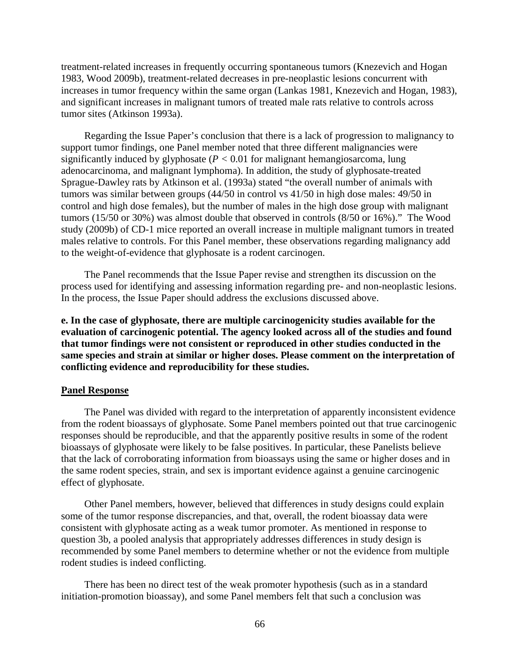treatment-related increases in frequently occurring spontaneous tumors (Knezevich and Hogan 1983, Wood 2009b), treatment-related decreases in pre-neoplastic lesions concurrent with increases in tumor frequency within the same organ (Lankas 1981, Knezevich and Hogan, 1983), and significant increases in malignant tumors of treated male rats relative to controls across tumor sites (Atkinson 1993a).

Regarding the Issue Paper's conclusion that there is a lack of progression to malignancy to support tumor findings, one Panel member noted that three different malignancies were significantly induced by glyphosate  $(P < 0.01$  for malignant hemangiosarcoma, lung adenocarcinoma, and malignant lymphoma). In addition, the study of glyphosate-treated Sprague-Dawley rats by Atkinson et al. (1993a) stated "the overall number of animals with tumors was similar between groups (44/50 in control vs 41/50 in high dose males: 49/50 in control and high dose females), but the number of males in the high dose group with malignant tumors (15/50 or 30%) was almost double that observed in controls (8/50 or 16%)." The Wood study (2009b) of CD-1 mice reported an overall increase in multiple malignant tumors in treated males relative to controls. For this Panel member, these observations regarding malignancy add to the weight-of-evidence that glyphosate is a rodent carcinogen.

The Panel recommends that the Issue Paper revise and strengthen its discussion on the process used for identifying and assessing information regarding pre- and non-neoplastic lesions. In the process, the Issue Paper should address the exclusions discussed above.

**e. In the case of glyphosate, there are multiple carcinogenicity studies available for the evaluation of carcinogenic potential. The agency looked across all of the studies and found that tumor findings were not consistent or reproduced in other studies conducted in the same species and strain at similar or higher doses. Please comment on the interpretation of conflicting evidence and reproducibility for these studies.**

#### **Panel Response**

The Panel was divided with regard to the interpretation of apparently inconsistent evidence from the rodent bioassays of glyphosate. Some Panel members pointed out that true carcinogenic responses should be reproducible, and that the apparently positive results in some of the rodent bioassays of glyphosate were likely to be false positives. In particular, these Panelists believe that the lack of corroborating information from bioassays using the same or higher doses and in the same rodent species, strain, and sex is important evidence against a genuine carcinogenic effect of glyphosate.

Other Panel members, however, believed that differences in study designs could explain some of the tumor response discrepancies, and that, overall, the rodent bioassay data were consistent with glyphosate acting as a weak tumor promoter. As mentioned in response to question 3b, a pooled analysis that appropriately addresses differences in study design is recommended by some Panel members to determine whether or not the evidence from multiple rodent studies is indeed conflicting.

There has been no direct test of the weak promoter hypothesis (such as in a standard initiation-promotion bioassay), and some Panel members felt that such a conclusion was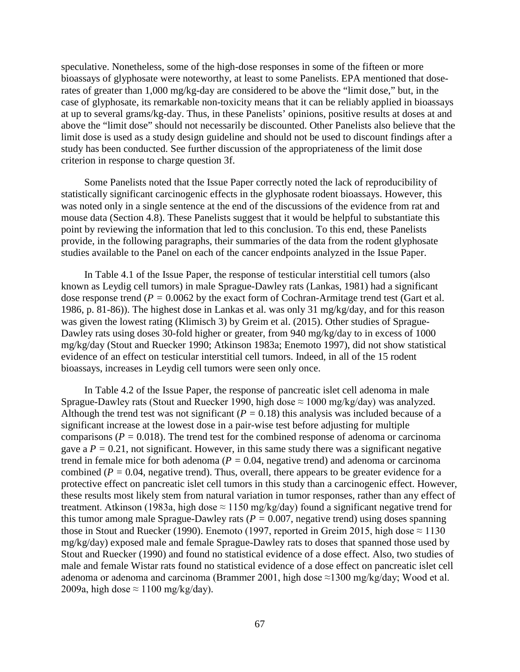speculative. Nonetheless, some of the high-dose responses in some of the fifteen or more bioassays of glyphosate were noteworthy, at least to some Panelists. EPA mentioned that doserates of greater than 1,000 mg/kg-day are considered to be above the "limit dose," but, in the case of glyphosate, its remarkable non-toxicity means that it can be reliably applied in bioassays at up to several grams/kg-day. Thus, in these Panelists' opinions, positive results at doses at and above the "limit dose" should not necessarily be discounted. Other Panelists also believe that the limit dose is used as a study design guideline and should not be used to discount findings after a study has been conducted. See further discussion of the appropriateness of the limit dose criterion in response to charge question 3f.

Some Panelists noted that the Issue Paper correctly noted the lack of reproducibility of statistically significant carcinogenic effects in the glyphosate rodent bioassays. However, this was noted only in a single sentence at the end of the discussions of the evidence from rat and mouse data (Section 4.8). These Panelists suggest that it would be helpful to substantiate this point by reviewing the information that led to this conclusion. To this end, these Panelists provide, in the following paragraphs, their summaries of the data from the rodent glyphosate studies available to the Panel on each of the cancer endpoints analyzed in the Issue Paper.

In Table 4.1 of the Issue Paper, the response of testicular interstitial cell tumors (also known as Leydig cell tumors) in male Sprague-Dawley rats (Lankas, 1981) had a significant dose response trend (*P =* 0.0062 by the exact form of Cochran-Armitage trend test (Gart et al. 1986, p. 81-86)). The highest dose in Lankas et al. was only 31 mg/kg/day, and for this reason was given the lowest rating (Klimisch 3) by Greim et al. (2015). Other studies of Sprague-Dawley rats using doses 30-fold higher or greater, from 940 mg/kg/day to in excess of 1000 mg/kg/day (Stout and Ruecker 1990; Atkinson 1983a; Enemoto 1997), did not show statistical evidence of an effect on testicular interstitial cell tumors. Indeed, in all of the 15 rodent bioassays, increases in Leydig cell tumors were seen only once.

In Table 4.2 of the Issue Paper, the response of pancreatic islet cell adenoma in male Sprague-Dawley rats (Stout and Ruecker 1990, high dose  $\approx 1000$  mg/kg/day) was analyzed. Although the trend test was not significant ( $P = 0.18$ ) this analysis was included because of a significant increase at the lowest dose in a pair-wise test before adjusting for multiple comparisons (*P =* 0.018). The trend test for the combined response of adenoma or carcinoma gave a  $P = 0.21$ , not significant. However, in this same study there was a significant negative trend in female mice for both adenoma (*P =* 0.04, negative trend) and adenoma or carcinoma combined ( $P = 0.04$ , negative trend). Thus, overall, there appears to be greater evidence for a protective effect on pancreatic islet cell tumors in this study than a carcinogenic effect. However, these results most likely stem from natural variation in tumor responses, rather than any effect of treatment. Atkinson (1983a, high dose  $\approx$  1150 mg/kg/day) found a significant negative trend for this tumor among male Sprague-Dawley rats ( $P = 0.007$ , negative trend) using doses spanning those in Stout and Ruecker (1990). Enemoto (1997, reported in Greim 2015, high dose  $\approx$  1130 mg/kg/day) exposed male and female Sprague-Dawley rats to doses that spanned those used by Stout and Ruecker (1990) and found no statistical evidence of a dose effect. Also, two studies of male and female Wistar rats found no statistical evidence of a dose effect on pancreatic islet cell adenoma or adenoma and carcinoma (Brammer 2001, high dose  $\approx$ 1300 mg/kg/day; Wood et al. 2009a, high dose  $\approx 1100$  mg/kg/day).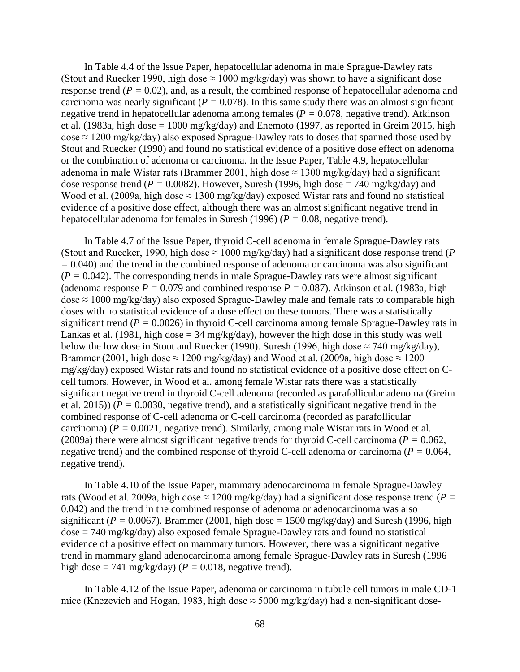In Table 4.4 of the Issue Paper, hepatocellular adenoma in male Sprague-Dawley rats (Stout and Ruecker 1990, high dose  $\approx 1000$  mg/kg/day) was shown to have a significant dose response trend (*P =* 0.02), and, as a result, the combined response of hepatocellular adenoma and carcinoma was nearly significant ( $P = 0.078$ ). In this same study there was an almost significant negative trend in hepatocellular adenoma among females (*P =* 0.078, negative trend). Atkinson et al. (1983a, high dose  $= 1000$  mg/kg/day) and Enemoto (1997, as reported in Greim 2015, high dose  $\approx 1200$  mg/kg/day) also exposed Sprague-Dawley rats to doses that spanned those used by Stout and Ruecker (1990) and found no statistical evidence of a positive dose effect on adenoma or the combination of adenoma or carcinoma. In the Issue Paper, Table 4.9, hepatocellular adenoma in male Wistar rats (Brammer 2001, high dose  $\approx 1300$  mg/kg/day) had a significant dose response trend ( $P = 0.0082$ ). However, Suresh (1996, high dose = 740 mg/kg/day) and Wood et al. (2009a, high dose  $\approx$  1300 mg/kg/day) exposed Wistar rats and found no statistical evidence of a positive dose effect, although there was an almost significant negative trend in hepatocellular adenoma for females in Suresh (1996) (*P =* 0.08, negative trend).

In Table 4.7 of the Issue Paper, thyroid C-cell adenoma in female Sprague-Dawley rats (Stout and Ruecker, 1990, high dose  $\approx 1000$  mg/kg/day) had a significant dose response trend (*P*) *=* 0.040) and the trend in the combined response of adenoma or carcinoma was also significant  $(P = 0.042)$ . The corresponding trends in male Sprague-Dawley rats were almost significant (adenoma response  $P = 0.079$  and combined response  $P = 0.087$ ). Atkinson et al. (1983a, high dose  $\approx 1000$  mg/kg/day) also exposed Sprague-Dawley male and female rats to comparable high doses with no statistical evidence of a dose effect on these tumors. There was a statistically significant trend (*P =* 0.0026) in thyroid C-cell carcinoma among female Sprague-Dawley rats in Lankas et al. (1981, high dose  $=$  34 mg/kg/day), however the high dose in this study was well below the low dose in Stout and Ruecker (1990). Suresh (1996, high dose  $\approx$  740 mg/kg/day), Brammer (2001, high dose  $\approx$  1200 mg/kg/day) and Wood et al. (2009a, high dose  $\approx$  1200 mg/kg/day) exposed Wistar rats and found no statistical evidence of a positive dose effect on Ccell tumors. However, in Wood et al. among female Wistar rats there was a statistically significant negative trend in thyroid C-cell adenoma (recorded as parafollicular adenoma (Greim et al. 2015)) (*P =* 0.0030, negative trend), and a statistically significant negative trend in the combined response of C-cell adenoma or C-cell carcinoma (recorded as parafollicular carcinoma) (*P =* 0.0021, negative trend). Similarly, among male Wistar rats in Wood et al. (2009a) there were almost significant negative trends for thyroid C-cell carcinoma (*P =* 0.062, negative trend) and the combined response of thyroid C-cell adenoma or carcinoma (*P =* 0.064, negative trend).

In Table 4.10 of the Issue Paper, mammary adenocarcinoma in female Sprague-Dawley rats (Wood et al. 2009a, high dose  $\approx 1200$  mg/kg/day) had a significant dose response trend (*P =* 0.042) and the trend in the combined response of adenoma or adenocarcinoma was also significant ( $P = 0.0067$ ). Brammer (2001, high dose = 1500 mg/kg/day) and Suresh (1996, high  $dose = 740$  mg/kg/day) also exposed female Sprague-Dawley rats and found no statistical evidence of a positive effect on mammary tumors. However, there was a significant negative trend in mammary gland adenocarcinoma among female Sprague-Dawley rats in Suresh (1996 high dose = 741 mg/kg/day) ( $P = 0.018$ , negative trend).

In Table 4.12 of the Issue Paper, adenoma or carcinoma in tubule cell tumors in male CD-1 mice (Knezevich and Hogan, 1983, high dose  $\approx$  5000 mg/kg/day) had a non-significant dose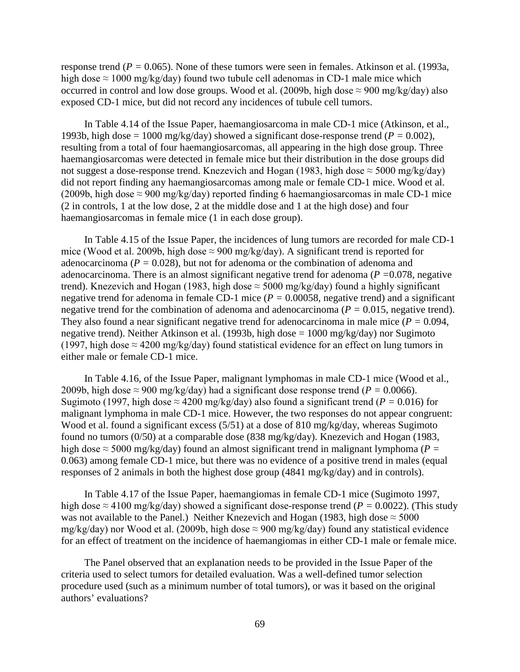response trend (*P =* 0.065). None of these tumors were seen in females. Atkinson et al. (1993a, high dose  $\approx 1000$  mg/kg/day) found two tubule cell adenomas in CD-1 male mice which occurred in control and low dose groups. Wood et al. (2009b, high dose  $\approx$  900 mg/kg/day) also exposed CD-1 mice, but did not record any incidences of tubule cell tumors.

In Table 4.14 of the Issue Paper, haemangiosarcoma in male CD-1 mice (Atkinson, et al., 1993b, high dose = 1000 mg/kg/day) showed a significant dose-response trend ( $P = 0.002$ ), resulting from a total of four haemangiosarcomas, all appearing in the high dose group. Three haemangiosarcomas were detected in female mice but their distribution in the dose groups did not suggest a dose-response trend. Knezevich and Hogan (1983, high dose  $\approx$  5000 mg/kg/day) did not report finding any haemangiosarcomas among male or female CD-1 mice. Wood et al. (2009b, high dose  $\approx$  900 mg/kg/day) reported finding 6 haemangiosarcomas in male CD-1 mice (2 in controls, 1 at the low dose, 2 at the middle dose and 1 at the high dose) and four haemangiosarcomas in female mice (1 in each dose group).

In Table 4.15 of the Issue Paper, the incidences of lung tumors are recorded for male CD-1 mice (Wood et al. 2009b, high dose  $\approx$  900 mg/kg/day). A significant trend is reported for adenocarcinoma (*P =* 0.028), but not for adenoma or the combination of adenoma and adenocarcinoma. There is an almost significant negative trend for adenoma (*P =*0.078, negative trend). Knezevich and Hogan (1983, high dose  $\approx$  5000 mg/kg/day) found a highly significant negative trend for adenoma in female CD-1 mice (*P =* 0.00058, negative trend) and a significant negative trend for the combination of adenoma and adenocarcinoma ( $P = 0.015$ , negative trend). They also found a near significant negative trend for adenocarcinoma in male mice ( $P = 0.094$ , negative trend). Neither Atkinson et al. (1993b, high dose = 1000 mg/kg/day) nor Sugimoto (1997, high dose  $\approx$  4200 mg/kg/day) found statistical evidence for an effect on lung tumors in either male or female CD-1 mice.

In Table 4.16, of the Issue Paper, malignant lymphomas in male CD-1 mice (Wood et al., 2009b, high dose  $\approx$  900 mg/kg/day) had a significant dose response trend ( $P = 0.0066$ ). Sugimoto (1997, high dose  $\approx$  4200 mg/kg/day) also found a significant trend ( $P = 0.016$ ) for malignant lymphoma in male CD-1 mice. However, the two responses do not appear congruent: Wood et al. found a significant excess (5/51) at a dose of 810 mg/kg/day, whereas Sugimoto found no tumors (0/50) at a comparable dose (838 mg/kg/day). Knezevich and Hogan (1983, high dose  $\approx$  5000 mg/kg/day) found an almost significant trend in malignant lymphoma (*P* = 0.063) among female CD-1 mice, but there was no evidence of a positive trend in males (equal responses of 2 animals in both the highest dose group (4841 mg/kg/day) and in controls).

In Table 4.17 of the Issue Paper, haemangiomas in female CD-1 mice (Sugimoto 1997, high dose  $\approx$  4100 mg/kg/day) showed a significant dose-response trend (*P* = 0.0022). (This study was not available to the Panel.) Neither Knezevich and Hogan (1983, high dose  $\approx$  5000 mg/kg/day) nor Wood et al. (2009b, high dose  $\approx$  900 mg/kg/day) found any statistical evidence for an effect of treatment on the incidence of haemangiomas in either CD-1 male or female mice.

The Panel observed that an explanation needs to be provided in the Issue Paper of the criteria used to select tumors for detailed evaluation. Was a well-defined tumor selection procedure used (such as a minimum number of total tumors), or was it based on the original authors' evaluations?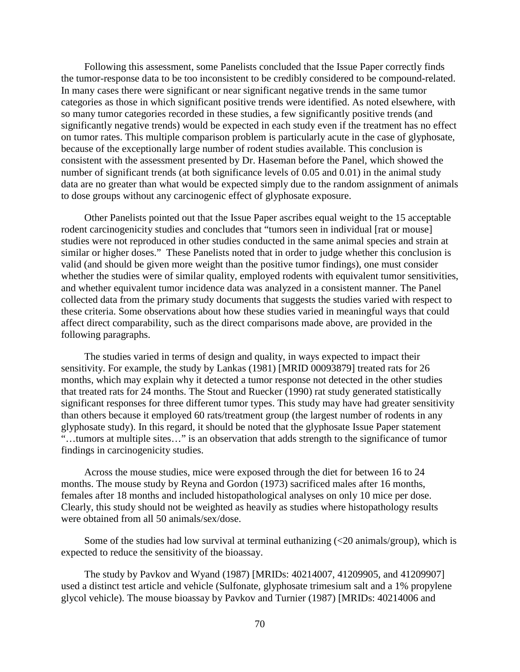Following this assessment, some Panelists concluded that the Issue Paper correctly finds the tumor-response data to be too inconsistent to be credibly considered to be compound-related. In many cases there were significant or near significant negative trends in the same tumor categories as those in which significant positive trends were identified. As noted elsewhere, with so many tumor categories recorded in these studies, a few significantly positive trends (and significantly negative trends) would be expected in each study even if the treatment has no effect on tumor rates. This multiple comparison problem is particularly acute in the case of glyphosate, because of the exceptionally large number of rodent studies available. This conclusion is consistent with the assessment presented by Dr. Haseman before the Panel, which showed the number of significant trends (at both significance levels of 0.05 and 0.01) in the animal study data are no greater than what would be expected simply due to the random assignment of animals to dose groups without any carcinogenic effect of glyphosate exposure.

Other Panelists pointed out that the Issue Paper ascribes equal weight to the 15 acceptable rodent carcinogenicity studies and concludes that "tumors seen in individual [rat or mouse] studies were not reproduced in other studies conducted in the same animal species and strain at similar or higher doses." These Panelists noted that in order to judge whether this conclusion is valid (and should be given more weight than the positive tumor findings), one must consider whether the studies were of similar quality, employed rodents with equivalent tumor sensitivities, and whether equivalent tumor incidence data was analyzed in a consistent manner. The Panel collected data from the primary study documents that suggests the studies varied with respect to these criteria. Some observations about how these studies varied in meaningful ways that could affect direct comparability, such as the direct comparisons made above, are provided in the following paragraphs.

The studies varied in terms of design and quality, in ways expected to impact their sensitivity. For example, the study by Lankas (1981) [MRID 00093879] treated rats for 26 months, which may explain why it detected a tumor response not detected in the other studies that treated rats for 24 months. The Stout and Ruecker (1990) rat study generated statistically significant responses for three different tumor types. This study may have had greater sensitivity than others because it employed 60 rats/treatment group (the largest number of rodents in any glyphosate study). In this regard, it should be noted that the glyphosate Issue Paper statement "…tumors at multiple sites…" is an observation that adds strength to the significance of tumor findings in carcinogenicity studies.

Across the mouse studies, mice were exposed through the diet for between 16 to 24 months. The mouse study by Reyna and Gordon (1973) sacrificed males after 16 months, females after 18 months and included histopathological analyses on only 10 mice per dose. Clearly, this study should not be weighted as heavily as studies where histopathology results were obtained from all 50 animals/sex/dose.

Some of the studies had low survival at terminal euthanizing  $\langle$  = 20 animals/group), which is expected to reduce the sensitivity of the bioassay.

The study by Pavkov and Wyand (1987) [MRIDs: 40214007, 41209905, and 41209907] used a distinct test article and vehicle (Sulfonate, glyphosate trimesium salt and a 1% propylene glycol vehicle). The mouse bioassay by Pavkov and Turnier (1987) [MRIDs: 40214006 and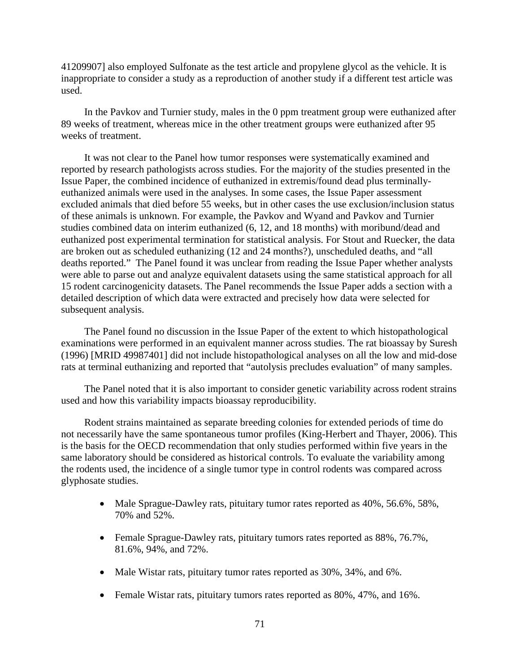41209907] also employed Sulfonate as the test article and propylene glycol as the vehicle. It is inappropriate to consider a study as a reproduction of another study if a different test article was used.

In the Pavkov and Turnier study, males in the 0 ppm treatment group were euthanized after 89 weeks of treatment, whereas mice in the other treatment groups were euthanized after 95 weeks of treatment.

It was not clear to the Panel how tumor responses were systematically examined and reported by research pathologists across studies. For the majority of the studies presented in the Issue Paper, the combined incidence of euthanized in extremis/found dead plus terminallyeuthanized animals were used in the analyses. In some cases, the Issue Paper assessment excluded animals that died before 55 weeks, but in other cases the use exclusion/inclusion status of these animals is unknown. For example, the Pavkov and Wyand and Pavkov and Turnier studies combined data on interim euthanized (6, 12, and 18 months) with moribund/dead and euthanized post experimental termination for statistical analysis. For Stout and Ruecker, the data are broken out as scheduled euthanizing (12 and 24 months?), unscheduled deaths, and "all deaths reported." The Panel found it was unclear from reading the Issue Paper whether analysts were able to parse out and analyze equivalent datasets using the same statistical approach for all 15 rodent carcinogenicity datasets. The Panel recommends the Issue Paper adds a section with a detailed description of which data were extracted and precisely how data were selected for subsequent analysis.

The Panel found no discussion in the Issue Paper of the extent to which histopathological examinations were performed in an equivalent manner across studies. The rat bioassay by Suresh (1996) [MRID 49987401] did not include histopathological analyses on all the low and mid-dose rats at terminal euthanizing and reported that "autolysis precludes evaluation" of many samples.

The Panel noted that it is also important to consider genetic variability across rodent strains used and how this variability impacts bioassay reproducibility.

Rodent strains maintained as separate breeding colonies for extended periods of time do not necessarily have the same spontaneous tumor profiles (King-Herbert and Thayer, 2006). This is the basis for the OECD recommendation that only studies performed within five years in the same laboratory should be considered as historical controls. To evaluate the variability among the rodents used, the incidence of a single tumor type in control rodents was compared across glyphosate studies.

- Male Sprague-Dawley rats, pituitary tumor rates reported as 40%, 56.6%, 58%, 70% and 52%.
- Female Sprague-Dawley rats, pituitary tumors rates reported as 88%, 76.7%, 81.6%, 94%, and 72%.
- Male Wistar rats, pituitary tumor rates reported as 30%, 34%, and 6%.
- Female Wistar rats, pituitary tumors rates reported as  $80\%$ ,  $47\%$ , and  $16\%$ .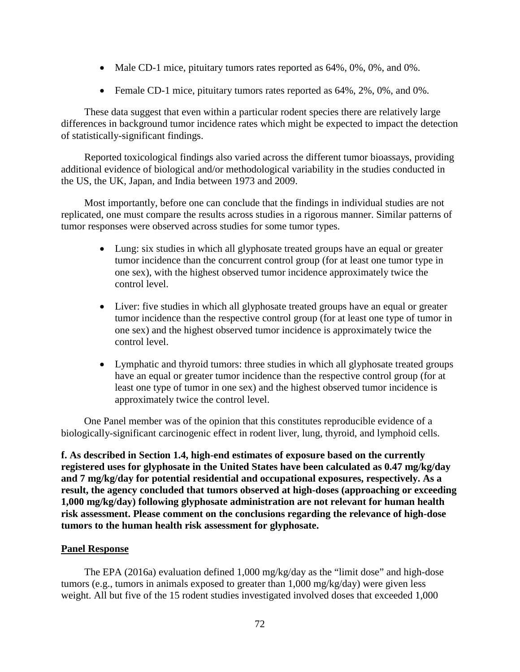- Male CD-1 mice, pituitary tumors rates reported as 64%, 0%, 0%, and 0%.
- Female CD-1 mice, pituitary tumors rates reported as  $64\%, 2\%, 0\%,$  and 0%.

These data suggest that even within a particular rodent species there are relatively large differences in background tumor incidence rates which might be expected to impact the detection of statistically-significant findings.

Reported toxicological findings also varied across the different tumor bioassays, providing additional evidence of biological and/or methodological variability in the studies conducted in the US, the UK, Japan, and India between 1973 and 2009.

Most importantly, before one can conclude that the findings in individual studies are not replicated, one must compare the results across studies in a rigorous manner. Similar patterns of tumor responses were observed across studies for some tumor types.

- Lung: six studies in which all glyphosate treated groups have an equal or greater tumor incidence than the concurrent control group (for at least one tumor type in one sex), with the highest observed tumor incidence approximately twice the control level.
- Liver: five studies in which all glyphosate treated groups have an equal or greater tumor incidence than the respective control group (for at least one type of tumor in one sex) and the highest observed tumor incidence is approximately twice the control level.
- Lymphatic and thyroid tumors: three studies in which all glyphosate treated groups have an equal or greater tumor incidence than the respective control group (for at least one type of tumor in one sex) and the highest observed tumor incidence is approximately twice the control level.

One Panel member was of the opinion that this constitutes reproducible evidence of a biologically-significant carcinogenic effect in rodent liver, lung, thyroid, and lymphoid cells.

**f. As described in Section 1.4, high-end estimates of exposure based on the currently registered uses for glyphosate in the United States have been calculated as 0.47 mg/kg/day and 7 mg/kg/day for potential residential and occupational exposures, respectively. As a result, the agency concluded that tumors observed at high-doses (approaching or exceeding 1,000 mg/kg/day) following glyphosate administration are not relevant for human health risk assessment. Please comment on the conclusions regarding the relevance of high-dose tumors to the human health risk assessment for glyphosate.**

## **Panel Response**

The EPA (2016a) evaluation defined 1,000 mg/kg/day as the "limit dose" and high-dose tumors (e.g., tumors in animals exposed to greater than 1,000 mg/kg/day) were given less weight. All but five of the 15 rodent studies investigated involved doses that exceeded 1,000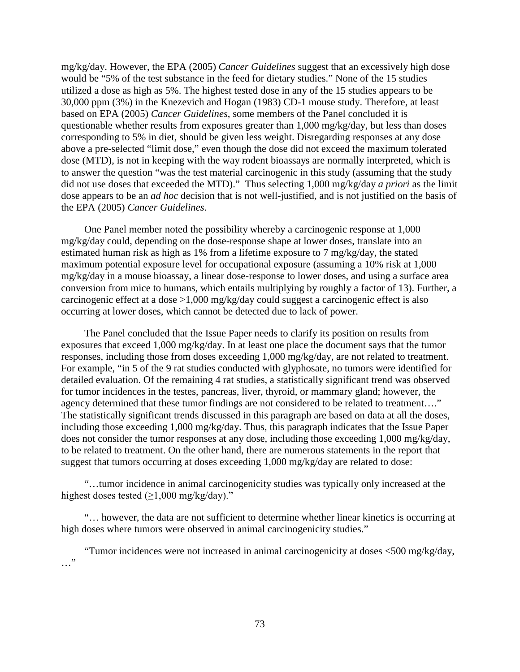mg/kg/day. However, the EPA (2005) *Cancer Guidelines* suggest that an excessively high dose would be "5% of the test substance in the feed for dietary studies." None of the 15 studies utilized a dose as high as 5%. The highest tested dose in any of the 15 studies appears to be 30,000 ppm (3%) in the Knezevich and Hogan (1983) CD-1 mouse study. Therefore, at least based on EPA (2005) *Cancer Guidelines*, some members of the Panel concluded it is questionable whether results from exposures greater than 1,000 mg/kg/day, but less than doses corresponding to 5% in diet, should be given less weight. Disregarding responses at any dose above a pre-selected "limit dose," even though the dose did not exceed the maximum tolerated dose (MTD), is not in keeping with the way rodent bioassays are normally interpreted, which is to answer the question "was the test material carcinogenic in this study (assuming that the study did not use doses that exceeded the MTD)." Thus selecting 1,000 mg/kg/day *a priori* as the limit dose appears to be an *ad hoc* decision that is not well-justified, and is not justified on the basis of the EPA (2005) *Cancer Guidelines*.

One Panel member noted the possibility whereby a carcinogenic response at 1,000 mg/kg/day could, depending on the dose-response shape at lower doses, translate into an estimated human risk as high as 1% from a lifetime exposure to 7 mg/kg/day, the stated maximum potential exposure level for occupational exposure (assuming a 10% risk at 1,000 mg/kg/day in a mouse bioassay, a linear dose-response to lower doses, and using a surface area conversion from mice to humans, which entails multiplying by roughly a factor of 13). Further, a carcinogenic effect at a dose >1,000 mg/kg/day could suggest a carcinogenic effect is also occurring at lower doses, which cannot be detected due to lack of power.

The Panel concluded that the Issue Paper needs to clarify its position on results from exposures that exceed 1,000 mg/kg/day. In at least one place the document says that the tumor responses, including those from doses exceeding 1,000 mg/kg/day, are not related to treatment. For example, "in 5 of the 9 rat studies conducted with glyphosate, no tumors were identified for detailed evaluation. Of the remaining 4 rat studies, a statistically significant trend was observed for tumor incidences in the testes, pancreas, liver, thyroid, or mammary gland; however, the agency determined that these tumor findings are not considered to be related to treatment…." The statistically significant trends discussed in this paragraph are based on data at all the doses, including those exceeding 1,000 mg/kg/day. Thus, this paragraph indicates that the Issue Paper does not consider the tumor responses at any dose, including those exceeding 1,000 mg/kg/day, to be related to treatment. On the other hand, there are numerous statements in the report that suggest that tumors occurring at doses exceeding 1,000 mg/kg/day are related to dose:

"…tumor incidence in animal carcinogenicity studies was typically only increased at the highest doses tested  $(\geq 1,000 \text{ mg/kg/day})$ ."

"… however, the data are not sufficient to determine whether linear kinetics is occurring at high doses where tumors were observed in animal carcinogenicity studies."

"Tumor incidences were not increased in animal carcinogenicity at doses <500 mg/kg/day, …"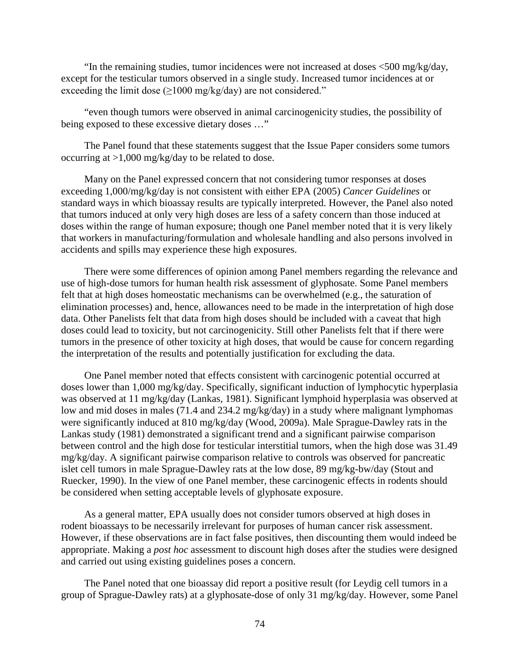"In the remaining studies, tumor incidences were not increased at doses <500 mg/kg/day, except for the testicular tumors observed in a single study. Increased tumor incidences at or exceeding the limit dose  $(\geq 1000 \text{ mg/kg/day})$  are not considered."

"even though tumors were observed in animal carcinogenicity studies, the possibility of being exposed to these excessive dietary doses ..."

The Panel found that these statements suggest that the Issue Paper considers some tumors occurring at >1,000 mg/kg/day to be related to dose.

Many on the Panel expressed concern that not considering tumor responses at doses exceeding 1,000/mg/kg/day is not consistent with either EPA (2005) *Cancer Guidelines* or standard ways in which bioassay results are typically interpreted. However, the Panel also noted that tumors induced at only very high doses are less of a safety concern than those induced at doses within the range of human exposure; though one Panel member noted that it is very likely that workers in manufacturing/formulation and wholesale handling and also persons involved in accidents and spills may experience these high exposures.

There were some differences of opinion among Panel members regarding the relevance and use of high-dose tumors for human health risk assessment of glyphosate. Some Panel members felt that at high doses homeostatic mechanisms can be overwhelmed (e.g., the saturation of elimination processes) and, hence, allowances need to be made in the interpretation of high dose data. Other Panelists felt that data from high doses should be included with a caveat that high doses could lead to toxicity, but not carcinogenicity. Still other Panelists felt that if there were tumors in the presence of other toxicity at high doses, that would be cause for concern regarding the interpretation of the results and potentially justification for excluding the data.

One Panel member noted that effects consistent with carcinogenic potential occurred at doses lower than 1,000 mg/kg/day. Specifically, significant induction of lymphocytic hyperplasia was observed at 11 mg/kg/day (Lankas, 1981). Significant lymphoid hyperplasia was observed at low and mid doses in males (71.4 and 234.2 mg/kg/day) in a study where malignant lymphomas were significantly induced at 810 mg/kg/day (Wood, 2009a). Male Sprague-Dawley rats in the Lankas study (1981) demonstrated a significant trend and a significant pairwise comparison between control and the high dose for testicular interstitial tumors, when the high dose was 31.49 mg/kg/day. A significant pairwise comparison relative to controls was observed for pancreatic islet cell tumors in male Sprague-Dawley rats at the low dose, 89 mg/kg-bw/day (Stout and Ruecker, 1990). In the view of one Panel member, these carcinogenic effects in rodents should be considered when setting acceptable levels of glyphosate exposure.

As a general matter, EPA usually does not consider tumors observed at high doses in rodent bioassays to be necessarily irrelevant for purposes of human cancer risk assessment. However, if these observations are in fact false positives, then discounting them would indeed be appropriate. Making a *post hoc* assessment to discount high doses after the studies were designed and carried out using existing guidelines poses a concern.

The Panel noted that one bioassay did report a positive result (for Leydig cell tumors in a group of Sprague-Dawley rats) at a glyphosate-dose of only 31 mg/kg/day. However, some Panel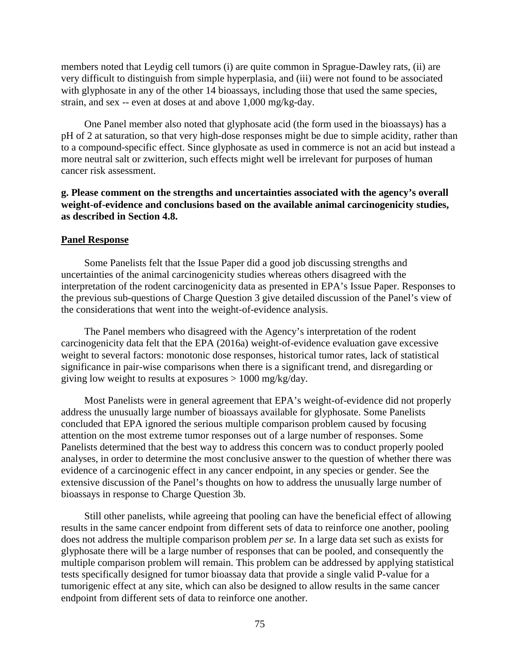members noted that Leydig cell tumors (i) are quite common in Sprague-Dawley rats, (ii) are very difficult to distinguish from simple hyperplasia, and (iii) were not found to be associated with glyphosate in any of the other 14 bioassays, including those that used the same species, strain, and sex -- even at doses at and above 1,000 mg/kg-day.

One Panel member also noted that glyphosate acid (the form used in the bioassays) has a pH of 2 at saturation, so that very high-dose responses might be due to simple acidity, rather than to a compound-specific effect. Since glyphosate as used in commerce is not an acid but instead a more neutral salt or zwitterion, such effects might well be irrelevant for purposes of human cancer risk assessment.

# **g. Please comment on the strengths and uncertainties associated with the agency's overall weight-of-evidence and conclusions based on the available animal carcinogenicity studies, as described in Section 4.8.**

### **Panel Response**

Some Panelists felt that the Issue Paper did a good job discussing strengths and uncertainties of the animal carcinogenicity studies whereas others disagreed with the interpretation of the rodent carcinogenicity data as presented in EPA's Issue Paper. Responses to the previous sub-questions of Charge Question 3 give detailed discussion of the Panel's view of the considerations that went into the weight-of-evidence analysis.

The Panel members who disagreed with the Agency's interpretation of the rodent carcinogenicity data felt that the EPA (2016a) weight-of-evidence evaluation gave excessive weight to several factors: monotonic dose responses, historical tumor rates, lack of statistical significance in pair-wise comparisons when there is a significant trend, and disregarding or giving low weight to results at exposures > 1000 mg/kg/day.

Most Panelists were in general agreement that EPA's weight-of-evidence did not properly address the unusually large number of bioassays available for glyphosate. Some Panelists concluded that EPA ignored the serious multiple comparison problem caused by focusing attention on the most extreme tumor responses out of a large number of responses. Some Panelists determined that the best way to address this concern was to conduct properly pooled analyses, in order to determine the most conclusive answer to the question of whether there was evidence of a carcinogenic effect in any cancer endpoint, in any species or gender. See the extensive discussion of the Panel's thoughts on how to address the unusually large number of bioassays in response to Charge Question 3b.

Still other panelists, while agreeing that pooling can have the beneficial effect of allowing results in the same cancer endpoint from different sets of data to reinforce one another, pooling does not address the multiple comparison problem *per se*. In a large data set such as exists for glyphosate there will be a large number of responses that can be pooled, and consequently the multiple comparison problem will remain. This problem can be addressed by applying statistical tests specifically designed for tumor bioassay data that provide a single valid P-value for a tumorigenic effect at any site, which can also be designed to allow results in the same cancer endpoint from different sets of data to reinforce one another.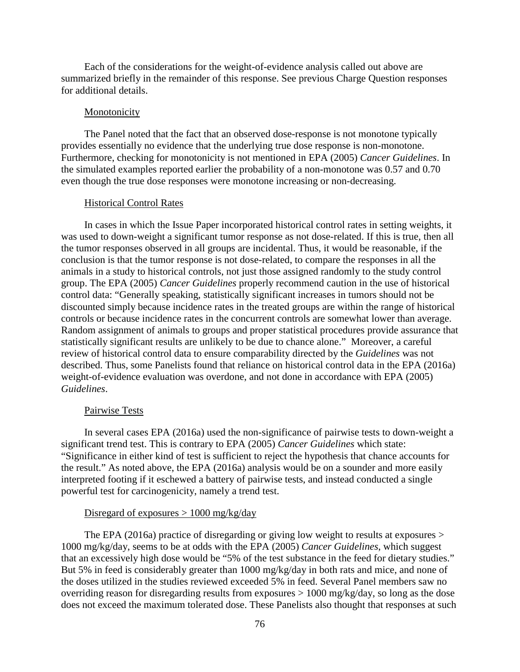Each of the considerations for the weight-of-evidence analysis called out above are summarized briefly in the remainder of this response. See previous Charge Question responses for additional details.

#### **Monotonicity**

The Panel noted that the fact that an observed dose-response is not monotone typically provides essentially no evidence that the underlying true dose response is non-monotone. Furthermore, checking for monotonicity is not mentioned in EPA (2005) *Cancer Guidelines*. In the simulated examples reported earlier the probability of a non-monotone was 0.57 and 0.70 even though the true dose responses were monotone increasing or non-decreasing.

#### Historical Control Rates

In cases in which the Issue Paper incorporated historical control rates in setting weights, it was used to down-weight a significant tumor response as not dose-related. If this is true, then all the tumor responses observed in all groups are incidental. Thus, it would be reasonable, if the conclusion is that the tumor response is not dose-related, to compare the responses in all the animals in a study to historical controls, not just those assigned randomly to the study control group. The EPA (2005) *Cancer Guidelines* properly recommend caution in the use of historical control data: "Generally speaking, statistically significant increases in tumors should not be discounted simply because incidence rates in the treated groups are within the range of historical controls or because incidence rates in the concurrent controls are somewhat lower than average. Random assignment of animals to groups and proper statistical procedures provide assurance that statistically significant results are unlikely to be due to chance alone." Moreover, a careful review of historical control data to ensure comparability directed by the *Guidelines* was not described. Thus, some Panelists found that reliance on historical control data in the EPA (2016a) weight-of-evidence evaluation was overdone, and not done in accordance with EPA (2005) *Guidelines*.

## Pairwise Tests

In several cases EPA (2016a) used the non-significance of pairwise tests to down-weight a significant trend test. This is contrary to EPA (2005) *Cancer Guidelines* which state: "Significance in either kind of test is sufficient to reject the hypothesis that chance accounts for the result." As noted above, the EPA (2016a) analysis would be on a sounder and more easily interpreted footing if it eschewed a battery of pairwise tests, and instead conducted a single powerful test for carcinogenicity, namely a trend test.

#### Disregard of exposures  $> 1000$  mg/kg/day

The EPA (2016a) practice of disregarding or giving low weight to results at exposures > 1000 mg/kg/day, seems to be at odds with the EPA (2005) *Cancer Guidelines*, which suggest that an excessively high dose would be "5% of the test substance in the feed for dietary studies." But 5% in feed is considerably greater than 1000 mg/kg/day in both rats and mice, and none of the doses utilized in the studies reviewed exceeded 5% in feed. Several Panel members saw no overriding reason for disregarding results from exposures > 1000 mg/kg/day, so long as the dose does not exceed the maximum tolerated dose. These Panelists also thought that responses at such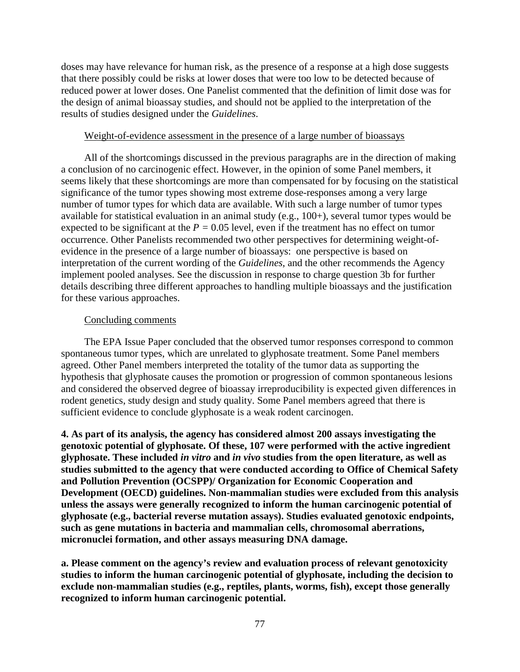doses may have relevance for human risk, as the presence of a response at a high dose suggests that there possibly could be risks at lower doses that were too low to be detected because of reduced power at lower doses. One Panelist commented that the definition of limit dose was for the design of animal bioassay studies, and should not be applied to the interpretation of the results of studies designed under the *Guidelines*.

# Weight-of-evidence assessment in the presence of a large number of bioassays

All of the shortcomings discussed in the previous paragraphs are in the direction of making a conclusion of no carcinogenic effect. However, in the opinion of some Panel members, it seems likely that these shortcomings are more than compensated for by focusing on the statistical significance of the tumor types showing most extreme dose-responses among a very large number of tumor types for which data are available. With such a large number of tumor types available for statistical evaluation in an animal study (e.g., 100+), several tumor types would be expected to be significant at the *P =* 0.05 level, even if the treatment has no effect on tumor occurrence. Other Panelists recommended two other perspectives for determining weight-ofevidence in the presence of a large number of bioassays: one perspective is based on interpretation of the current wording of the *Guidelines*, and the other recommends the Agency implement pooled analyses. See the discussion in response to charge question 3b for further details describing three different approaches to handling multiple bioassays and the justification for these various approaches.

## Concluding comments

The EPA Issue Paper concluded that the observed tumor responses correspond to common spontaneous tumor types, which are unrelated to glyphosate treatment. Some Panel members agreed. Other Panel members interpreted the totality of the tumor data as supporting the hypothesis that glyphosate causes the promotion or progression of common spontaneous lesions and considered the observed degree of bioassay irreproducibility is expected given differences in rodent genetics, study design and study quality. Some Panel members agreed that there is sufficient evidence to conclude glyphosate is a weak rodent carcinogen.

**4. As part of its analysis, the agency has considered almost 200 assays investigating the genotoxic potential of glyphosate. Of these, 107 were performed with the active ingredient glyphosate. These included** *in vitro* **and** *in vivo* **studies from the open literature, as well as studies submitted to the agency that were conducted according to Office of Chemical Safety and Pollution Prevention (OCSPP)/ Organization for Economic Cooperation and Development (OECD) guidelines. Non-mammalian studies were excluded from this analysis unless the assays were generally recognized to inform the human carcinogenic potential of glyphosate (e.g., bacterial reverse mutation assays). Studies evaluated genotoxic endpoints, such as gene mutations in bacteria and mammalian cells, chromosomal aberrations, micronuclei formation, and other assays measuring DNA damage.**

**a. Please comment on the agency's review and evaluation process of relevant genotoxicity studies to inform the human carcinogenic potential of glyphosate, including the decision to exclude non-mammalian studies (e.g., reptiles, plants, worms, fish), except those generally recognized to inform human carcinogenic potential.**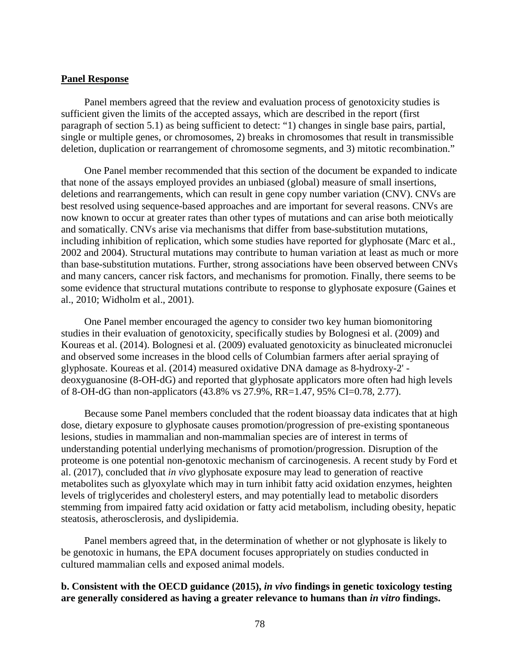## **Panel Response**

Panel members agreed that the review and evaluation process of genotoxicity studies is sufficient given the limits of the accepted assays, which are described in the report (first paragraph of section 5.1) as being sufficient to detect: "1) changes in single base pairs, partial, single or multiple genes, or chromosomes, 2) breaks in chromosomes that result in transmissible deletion, duplication or rearrangement of chromosome segments, and 3) mitotic recombination."

One Panel member recommended that this section of the document be expanded to indicate that none of the assays employed provides an unbiased (global) measure of small insertions, deletions and rearrangements, which can result in gene copy number variation (CNV). CNVs are best resolved using sequence-based approaches and are important for several reasons. CNVs are now known to occur at greater rates than other types of mutations and can arise both meiotically and somatically. CNVs arise via mechanisms that differ from base-substitution mutations, including inhibition of replication, which some studies have reported for glyphosate (Marc et al., 2002 and 2004). Structural mutations may contribute to human variation at least as much or more than base-substitution mutations. Further, strong associations have been observed between CNVs and many cancers, cancer risk factors, and mechanisms for promotion. Finally, there seems to be some evidence that structural mutations contribute to response to glyphosate exposure (Gaines et al., 2010; Widholm et al., 2001).

One Panel member encouraged the agency to consider two key human biomonitoring studies in their evaluation of genotoxicity, specifically studies by Bolognesi et al. (2009) and Koureas et al. (2014). Bolognesi et al. (2009) evaluated genotoxicity as binucleated micronuclei and observed some increases in the blood cells of Columbian farmers after aerial spraying of glyphosate. Koureas et al. (2014) measured oxidative DNA damage as 8-hydroxy-2' deoxyguanosine (8-OH-dG) and reported that glyphosate applicators more often had high levels of 8-OH-dG than non-applicators (43.8% vs 27.9%, RR=1.47, 95% CI=0.78, 2.77).

Because some Panel members concluded that the rodent bioassay data indicates that at high dose, dietary exposure to glyphosate causes promotion/progression of pre-existing spontaneous lesions, studies in mammalian and non-mammalian species are of interest in terms of understanding potential underlying mechanisms of promotion/progression. Disruption of the proteome is one potential non-genotoxic mechanism of carcinogenesis. A recent study by Ford et al. (2017), concluded that *in vivo* glyphosate exposure may lead to generation of reactive metabolites such as glyoxylate which may in turn inhibit fatty acid oxidation enzymes, heighten levels of triglycerides and cholesteryl esters, and may potentially lead to metabolic disorders stemming from impaired fatty acid oxidation or fatty acid metabolism, including obesity, hepatic steatosis, atherosclerosis, and dyslipidemia.

Panel members agreed that, in the determination of whether or not glyphosate is likely to be genotoxic in humans, the EPA document focuses appropriately on studies conducted in cultured mammalian cells and exposed animal models.

# **b. Consistent with the OECD guidance (2015),** *in vivo* **findings in genetic toxicology testing are generally considered as having a greater relevance to humans than** *in vitro* **findings.**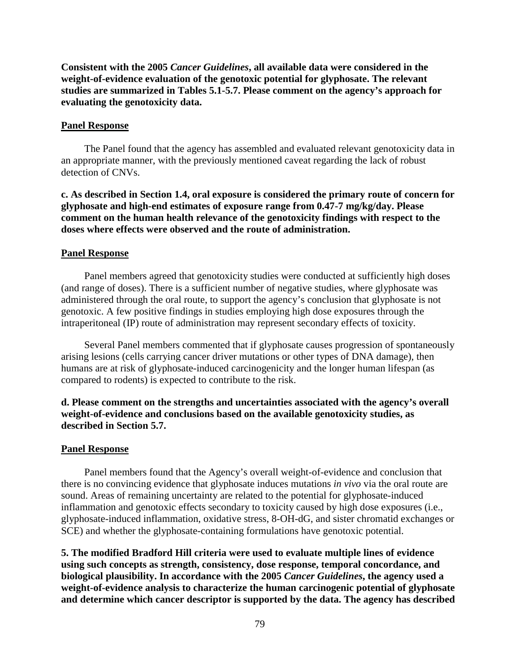**Consistent with the 2005** *Cancer Guidelines***, all available data were considered in the weight-of-evidence evaluation of the genotoxic potential for glyphosate. The relevant studies are summarized in Tables 5.1-5.7. Please comment on the agency's approach for evaluating the genotoxicity data.**

## **Panel Response**

The Panel found that the agency has assembled and evaluated relevant genotoxicity data in an appropriate manner, with the previously mentioned caveat regarding the lack of robust detection of CNVs.

**c. As described in Section 1.4, oral exposure is considered the primary route of concern for glyphosate and high-end estimates of exposure range from 0.47-7 mg/kg/day. Please comment on the human health relevance of the genotoxicity findings with respect to the doses where effects were observed and the route of administration.**

#### **Panel Response**

Panel members agreed that genotoxicity studies were conducted at sufficiently high doses (and range of doses). There is a sufficient number of negative studies, where glyphosate was administered through the oral route, to support the agency's conclusion that glyphosate is not genotoxic. A few positive findings in studies employing high dose exposures through the intraperitoneal (IP) route of administration may represent secondary effects of toxicity.

Several Panel members commented that if glyphosate causes progression of spontaneously arising lesions (cells carrying cancer driver mutations or other types of DNA damage), then humans are at risk of glyphosate-induced carcinogenicity and the longer human lifespan (as compared to rodents) is expected to contribute to the risk.

# **d. Please comment on the strengths and uncertainties associated with the agency's overall weight-of-evidence and conclusions based on the available genotoxicity studies, as described in Section 5.7.**

#### **Panel Response**

Panel members found that the Agency's overall weight-of-evidence and conclusion that there is no convincing evidence that glyphosate induces mutations *in vivo* via the oral route are sound. Areas of remaining uncertainty are related to the potential for glyphosate-induced inflammation and genotoxic effects secondary to toxicity caused by high dose exposures (i.e., glyphosate-induced inflammation, oxidative stress, 8-OH-dG, and sister chromatid exchanges or SCE) and whether the glyphosate-containing formulations have genotoxic potential.

**5. The modified Bradford Hill criteria were used to evaluate multiple lines of evidence using such concepts as strength, consistency, dose response, temporal concordance, and biological plausibility. In accordance with the 2005** *Cancer Guidelines***, the agency used a weight-of-evidence analysis to characterize the human carcinogenic potential of glyphosate and determine which cancer descriptor is supported by the data. The agency has described**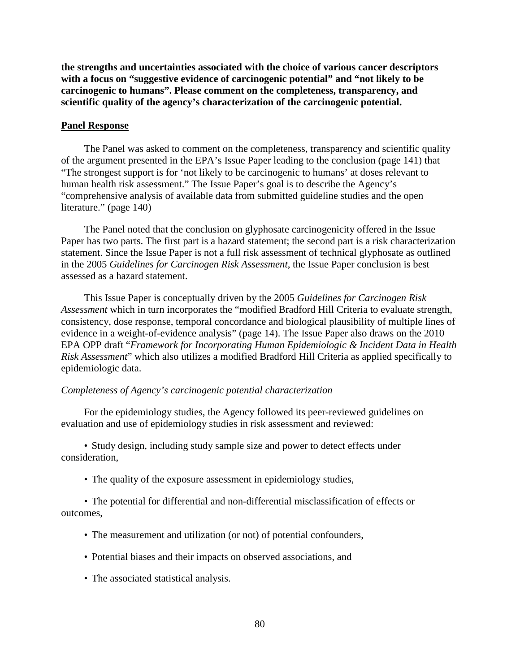**the strengths and uncertainties associated with the choice of various cancer descriptors with a focus on "suggestive evidence of carcinogenic potential" and "not likely to be carcinogenic to humans". Please comment on the completeness, transparency, and scientific quality of the agency's characterization of the carcinogenic potential.**

## **Panel Response**

The Panel was asked to comment on the completeness, transparency and scientific quality of the argument presented in the EPA's Issue Paper leading to the conclusion (page 141) that "The strongest support is for 'not likely to be carcinogenic to humans' at doses relevant to human health risk assessment." The Issue Paper's goal is to describe the Agency's "comprehensive analysis of available data from submitted guideline studies and the open literature." (page 140)

The Panel noted that the conclusion on glyphosate carcinogenicity offered in the Issue Paper has two parts. The first part is a hazard statement; the second part is a risk characterization statement. Since the Issue Paper is not a full risk assessment of technical glyphosate as outlined in the 2005 *Guidelines for Carcinogen Risk Assessment*, the Issue Paper conclusion is best assessed as a hazard statement.

This Issue Paper is conceptually driven by the 2005 *Guidelines for Carcinogen Risk Assessment* which in turn incorporates the "modified Bradford Hill Criteria to evaluate strength, consistency, dose response, temporal concordance and biological plausibility of multiple lines of evidence in a weight-of-evidence analysis" (page 14). The Issue Paper also draws on the 2010 EPA OPP draft "*Framework for Incorporating Human Epidemiologic & Incident Data in Health Risk Assessment*" which also utilizes a modified Bradford Hill Criteria as applied specifically to epidemiologic data.

## *Completeness of Agency's carcinogenic potential characterization*

For the epidemiology studies, the Agency followed its peer-reviewed guidelines on evaluation and use of epidemiology studies in risk assessment and reviewed:

• Study design, including study sample size and power to detect effects under consideration,

• The quality of the exposure assessment in epidemiology studies,

• The potential for differential and non-differential misclassification of effects or outcomes,

- The measurement and utilization (or not) of potential confounders,
- Potential biases and their impacts on observed associations, and
- The associated statistical analysis.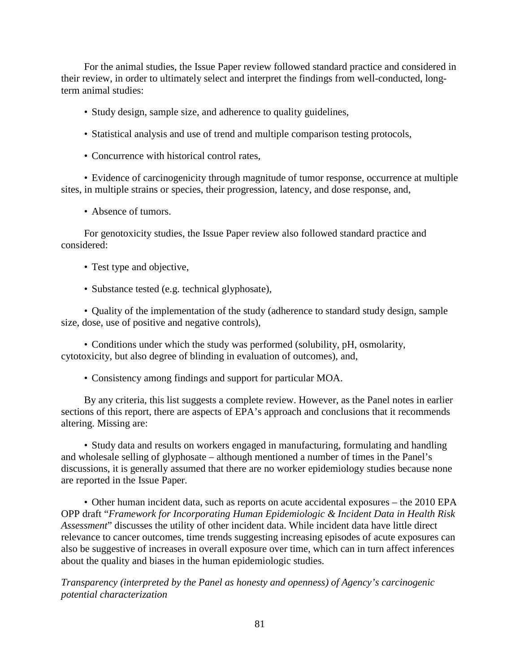For the animal studies, the Issue Paper review followed standard practice and considered in their review, in order to ultimately select and interpret the findings from well-conducted, longterm animal studies:

- Study design, sample size, and adherence to quality guidelines,
- Statistical analysis and use of trend and multiple comparison testing protocols,
- Concurrence with historical control rates,

• Evidence of carcinogenicity through magnitude of tumor response, occurrence at multiple sites, in multiple strains or species, their progression, latency, and dose response, and,

• Absence of tumors.

For genotoxicity studies, the Issue Paper review also followed standard practice and considered:

- Test type and objective,
- Substance tested (e.g. technical glyphosate),

• Quality of the implementation of the study (adherence to standard study design, sample size, dose, use of positive and negative controls),

• Conditions under which the study was performed (solubility, pH, osmolarity, cytotoxicity, but also degree of blinding in evaluation of outcomes), and,

• Consistency among findings and support for particular MOA.

By any criteria, this list suggests a complete review. However, as the Panel notes in earlier sections of this report, there are aspects of EPA's approach and conclusions that it recommends altering. Missing are:

• Study data and results on workers engaged in manufacturing, formulating and handling and wholesale selling of glyphosate – although mentioned a number of times in the Panel's discussions, it is generally assumed that there are no worker epidemiology studies because none are reported in the Issue Paper.

• Other human incident data, such as reports on acute accidental exposures – the 2010 EPA OPP draft "*Framework for Incorporating Human Epidemiologic & Incident Data in Health Risk Assessment*" discusses the utility of other incident data. While incident data have little direct relevance to cancer outcomes, time trends suggesting increasing episodes of acute exposures can also be suggestive of increases in overall exposure over time, which can in turn affect inferences about the quality and biases in the human epidemiologic studies.

*Transparency (interpreted by the Panel as honesty and openness) of Agency's carcinogenic potential characterization*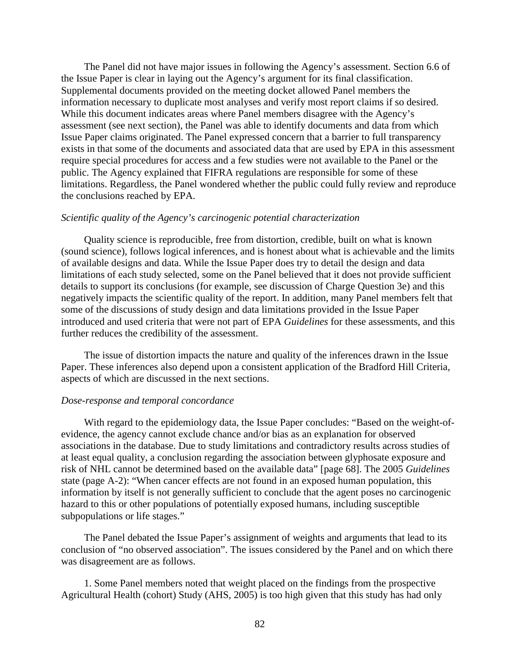The Panel did not have major issues in following the Agency's assessment. Section 6.6 of the Issue Paper is clear in laying out the Agency's argument for its final classification. Supplemental documents provided on the meeting docket allowed Panel members the information necessary to duplicate most analyses and verify most report claims if so desired. While this document indicates areas where Panel members disagree with the Agency's assessment (see next section), the Panel was able to identify documents and data from which Issue Paper claims originated. The Panel expressed concern that a barrier to full transparency exists in that some of the documents and associated data that are used by EPA in this assessment require special procedures for access and a few studies were not available to the Panel or the public. The Agency explained that FIFRA regulations are responsible for some of these limitations. Regardless, the Panel wondered whether the public could fully review and reproduce the conclusions reached by EPA.

#### *Scientific quality of the Agency's carcinogenic potential characterization*

Quality science is reproducible, free from distortion, credible, built on what is known (sound science), follows logical inferences, and is honest about what is achievable and the limits of available designs and data. While the Issue Paper does try to detail the design and data limitations of each study selected, some on the Panel believed that it does not provide sufficient details to support its conclusions (for example, see discussion of Charge Question 3e) and this negatively impacts the scientific quality of the report. In addition, many Panel members felt that some of the discussions of study design and data limitations provided in the Issue Paper introduced and used criteria that were not part of EPA *Guidelines* for these assessments, and this further reduces the credibility of the assessment.

The issue of distortion impacts the nature and quality of the inferences drawn in the Issue Paper. These inferences also depend upon a consistent application of the Bradford Hill Criteria, aspects of which are discussed in the next sections.

#### *Dose-response and temporal concordance*

With regard to the epidemiology data, the Issue Paper concludes: "Based on the weight-ofevidence, the agency cannot exclude chance and/or bias as an explanation for observed associations in the database. Due to study limitations and contradictory results across studies of at least equal quality, a conclusion regarding the association between glyphosate exposure and risk of NHL cannot be determined based on the available data" [page 68]. The 2005 *Guidelines*  state (page A-2): "When cancer effects are not found in an exposed human population, this information by itself is not generally sufficient to conclude that the agent poses no carcinogenic hazard to this or other populations of potentially exposed humans, including susceptible subpopulations or life stages."

The Panel debated the Issue Paper's assignment of weights and arguments that lead to its conclusion of "no observed association". The issues considered by the Panel and on which there was disagreement are as follows.

1. Some Panel members noted that weight placed on the findings from the prospective Agricultural Health (cohort) Study (AHS, 2005) is too high given that this study has had only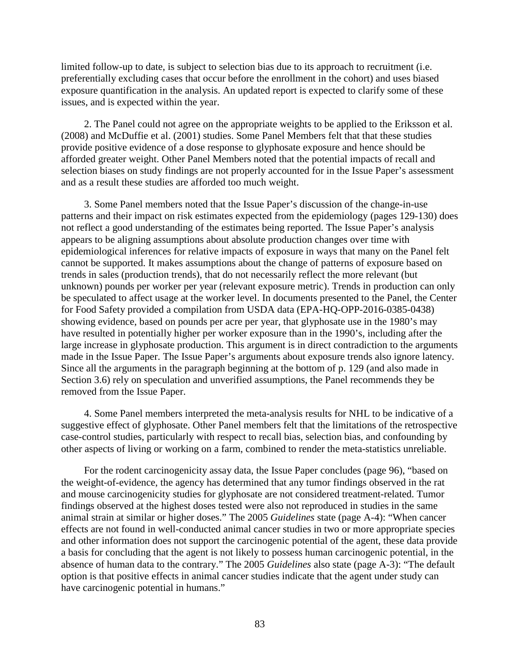limited follow-up to date, is subject to selection bias due to its approach to recruitment (i.e. preferentially excluding cases that occur before the enrollment in the cohort) and uses biased exposure quantification in the analysis. An updated report is expected to clarify some of these issues, and is expected within the year.

2. The Panel could not agree on the appropriate weights to be applied to the Eriksson et al. (2008) and McDuffie et al. (2001) studies. Some Panel Members felt that that these studies provide positive evidence of a dose response to glyphosate exposure and hence should be afforded greater weight. Other Panel Members noted that the potential impacts of recall and selection biases on study findings are not properly accounted for in the Issue Paper's assessment and as a result these studies are afforded too much weight.

3. Some Panel members noted that the Issue Paper's discussion of the change-in-use patterns and their impact on risk estimates expected from the epidemiology (pages 129-130) does not reflect a good understanding of the estimates being reported. The Issue Paper's analysis appears to be aligning assumptions about absolute production changes over time with epidemiological inferences for relative impacts of exposure in ways that many on the Panel felt cannot be supported. It makes assumptions about the change of patterns of exposure based on trends in sales (production trends), that do not necessarily reflect the more relevant (but unknown) pounds per worker per year (relevant exposure metric). Trends in production can only be speculated to affect usage at the worker level. In documents presented to the Panel, the Center for Food Safety provided a compilation from USDA data (EPA-HQ-OPP-2016-0385-0438) showing evidence, based on pounds per acre per year, that glyphosate use in the 1980's may have resulted in potentially higher per worker exposure than in the 1990's, including after the large increase in glyphosate production. This argument is in direct contradiction to the arguments made in the Issue Paper. The Issue Paper's arguments about exposure trends also ignore latency. Since all the arguments in the paragraph beginning at the bottom of p. 129 (and also made in Section 3.6) rely on speculation and unverified assumptions, the Panel recommends they be removed from the Issue Paper.

4. Some Panel members interpreted the meta-analysis results for NHL to be indicative of a suggestive effect of glyphosate. Other Panel members felt that the limitations of the retrospective case-control studies, particularly with respect to recall bias, selection bias, and confounding by other aspects of living or working on a farm, combined to render the meta-statistics unreliable.

For the rodent carcinogenicity assay data, the Issue Paper concludes (page 96), "based on the weight-of-evidence, the agency has determined that any tumor findings observed in the rat and mouse carcinogenicity studies for glyphosate are not considered treatment-related. Tumor findings observed at the highest doses tested were also not reproduced in studies in the same animal strain at similar or higher doses." The 2005 *Guidelines* state (page A-4): "When cancer effects are not found in well-conducted animal cancer studies in two or more appropriate species and other information does not support the carcinogenic potential of the agent, these data provide a basis for concluding that the agent is not likely to possess human carcinogenic potential, in the absence of human data to the contrary." The 2005 *Guidelines* also state (page A-3): "The default option is that positive effects in animal cancer studies indicate that the agent under study can have carcinogenic potential in humans."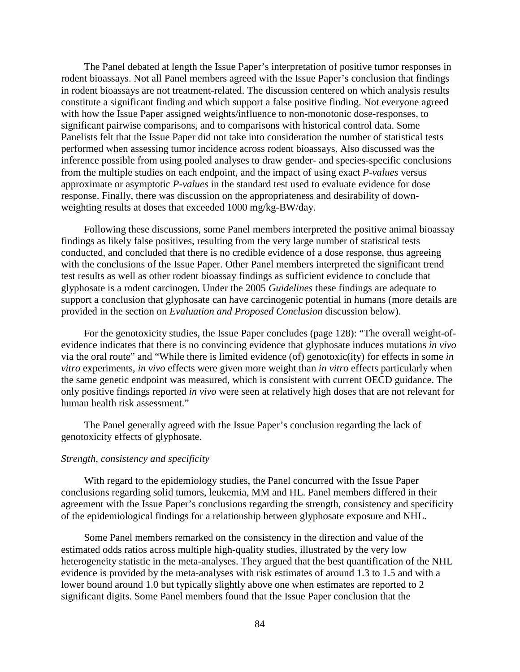The Panel debated at length the Issue Paper's interpretation of positive tumor responses in rodent bioassays. Not all Panel members agreed with the Issue Paper's conclusion that findings in rodent bioassays are not treatment-related. The discussion centered on which analysis results constitute a significant finding and which support a false positive finding. Not everyone agreed with how the Issue Paper assigned weights/influence to non-monotonic dose-responses, to significant pairwise comparisons, and to comparisons with historical control data. Some Panelists felt that the Issue Paper did not take into consideration the number of statistical tests performed when assessing tumor incidence across rodent bioassays. Also discussed was the inference possible from using pooled analyses to draw gender- and species-specific conclusions from the multiple studies on each endpoint, and the impact of using exact *P-values* versus approximate or asymptotic *P-values* in the standard test used to evaluate evidence for dose response. Finally, there was discussion on the appropriateness and desirability of downweighting results at doses that exceeded 1000 mg/kg-BW/day.

Following these discussions, some Panel members interpreted the positive animal bioassay findings as likely false positives, resulting from the very large number of statistical tests conducted, and concluded that there is no credible evidence of a dose response, thus agreeing with the conclusions of the Issue Paper. Other Panel members interpreted the significant trend test results as well as other rodent bioassay findings as sufficient evidence to conclude that glyphosate is a rodent carcinogen. Under the 2005 *Guidelines* these findings are adequate to support a conclusion that glyphosate can have carcinogenic potential in humans (more details are provided in the section on *Evaluation and Proposed Conclusion* discussion below).

For the genotoxicity studies, the Issue Paper concludes (page 128): "The overall weight-ofevidence indicates that there is no convincing evidence that glyphosate induces mutations *in vivo* via the oral route" and "While there is limited evidence (of) genotoxic(ity) for effects in some *in vitro* experiments, *in vivo* effects were given more weight than *in vitro* effects particularly when the same genetic endpoint was measured, which is consistent with current OECD guidance. The only positive findings reported *in vivo* were seen at relatively high doses that are not relevant for human health risk assessment."

The Panel generally agreed with the Issue Paper's conclusion regarding the lack of genotoxicity effects of glyphosate.

#### *Strength, consistency and specificity*

With regard to the epidemiology studies, the Panel concurred with the Issue Paper conclusions regarding solid tumors, leukemia, MM and HL. Panel members differed in their agreement with the Issue Paper's conclusions regarding the strength, consistency and specificity of the epidemiological findings for a relationship between glyphosate exposure and NHL.

Some Panel members remarked on the consistency in the direction and value of the estimated odds ratios across multiple high-quality studies, illustrated by the very low heterogeneity statistic in the meta-analyses. They argued that the best quantification of the NHL evidence is provided by the meta-analyses with risk estimates of around 1.3 to 1.5 and with a lower bound around 1.0 but typically slightly above one when estimates are reported to 2 significant digits. Some Panel members found that the Issue Paper conclusion that the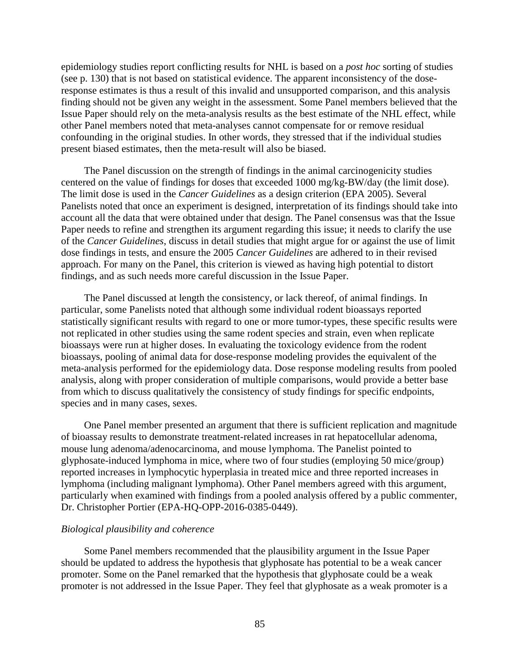epidemiology studies report conflicting results for NHL is based on a *post hoc* sorting of studies (see p. 130) that is not based on statistical evidence. The apparent inconsistency of the doseresponse estimates is thus a result of this invalid and unsupported comparison, and this analysis finding should not be given any weight in the assessment. Some Panel members believed that the Issue Paper should rely on the meta-analysis results as the best estimate of the NHL effect, while other Panel members noted that meta-analyses cannot compensate for or remove residual confounding in the original studies. In other words, they stressed that if the individual studies present biased estimates, then the meta-result will also be biased.

The Panel discussion on the strength of findings in the animal carcinogenicity studies centered on the value of findings for doses that exceeded 1000 mg/kg-BW/day (the limit dose). The limit dose is used in the *Cancer Guidelines* as a design criterion (EPA 2005). Several Panelists noted that once an experiment is designed, interpretation of its findings should take into account all the data that were obtained under that design. The Panel consensus was that the Issue Paper needs to refine and strengthen its argument regarding this issue; it needs to clarify the use of the *Cancer Guidelines*, discuss in detail studies that might argue for or against the use of limit dose findings in tests, and ensure the 2005 *Cancer Guidelines* are adhered to in their revised approach. For many on the Panel, this criterion is viewed as having high potential to distort findings, and as such needs more careful discussion in the Issue Paper.

The Panel discussed at length the consistency, or lack thereof, of animal findings. In particular, some Panelists noted that although some individual rodent bioassays reported statistically significant results with regard to one or more tumor-types, these specific results were not replicated in other studies using the same rodent species and strain, even when replicate bioassays were run at higher doses. In evaluating the toxicology evidence from the rodent bioassays, pooling of animal data for dose-response modeling provides the equivalent of the meta-analysis performed for the epidemiology data. Dose response modeling results from pooled analysis, along with proper consideration of multiple comparisons, would provide a better base from which to discuss qualitatively the consistency of study findings for specific endpoints, species and in many cases, sexes.

One Panel member presented an argument that there is sufficient replication and magnitude of bioassay results to demonstrate treatment-related increases in rat hepatocellular adenoma, mouse lung adenoma/adenocarcinoma, and mouse lymphoma. The Panelist pointed to glyphosate-induced lymphoma in mice, where two of four studies (employing 50 mice/group) reported increases in lymphocytic hyperplasia in treated mice and three reported increases in lymphoma (including malignant lymphoma). Other Panel members agreed with this argument, particularly when examined with findings from a pooled analysis offered by a public commenter, Dr. Christopher Portier (EPA-HQ-OPP-2016-0385-0449).

#### *Biological plausibility and coherence*

Some Panel members recommended that the plausibility argument in the Issue Paper should be updated to address the hypothesis that glyphosate has potential to be a weak cancer promoter. Some on the Panel remarked that the hypothesis that glyphosate could be a weak promoter is not addressed in the Issue Paper. They feel that glyphosate as a weak promoter is a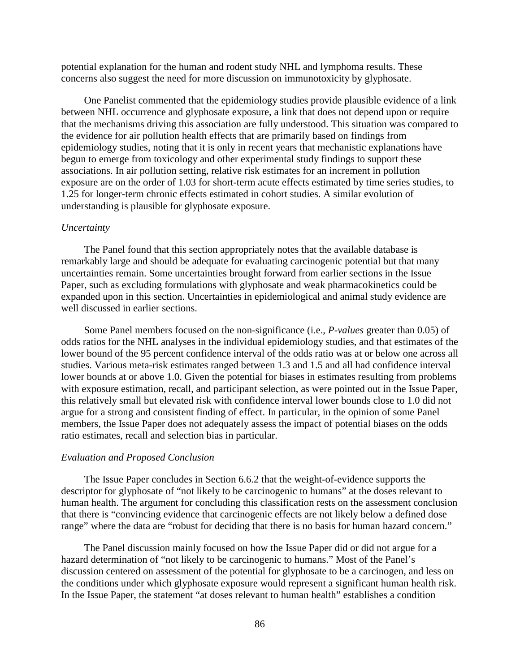potential explanation for the human and rodent study NHL and lymphoma results. These concerns also suggest the need for more discussion on immunotoxicity by glyphosate.

One Panelist commented that the epidemiology studies provide plausible evidence of a link between NHL occurrence and glyphosate exposure, a link that does not depend upon or require that the mechanisms driving this association are fully understood. This situation was compared to the evidence for air pollution health effects that are primarily based on findings from epidemiology studies, noting that it is only in recent years that mechanistic explanations have begun to emerge from toxicology and other experimental study findings to support these associations. In air pollution setting, relative risk estimates for an increment in pollution exposure are on the order of 1.03 for short-term acute effects estimated by time series studies, to 1.25 for longer-term chronic effects estimated in cohort studies. A similar evolution of understanding is plausible for glyphosate exposure.

#### *Uncertainty*

The Panel found that this section appropriately notes that the available database is remarkably large and should be adequate for evaluating carcinogenic potential but that many uncertainties remain. Some uncertainties brought forward from earlier sections in the Issue Paper, such as excluding formulations with glyphosate and weak pharmacokinetics could be expanded upon in this section. Uncertainties in epidemiological and animal study evidence are well discussed in earlier sections.

Some Panel members focused on the non-significance (i.e., *P-values* greater than 0.05) of odds ratios for the NHL analyses in the individual epidemiology studies, and that estimates of the lower bound of the 95 percent confidence interval of the odds ratio was at or below one across all studies. Various meta-risk estimates ranged between 1.3 and 1.5 and all had confidence interval lower bounds at or above 1.0. Given the potential for biases in estimates resulting from problems with exposure estimation, recall, and participant selection, as were pointed out in the Issue Paper, this relatively small but elevated risk with confidence interval lower bounds close to 1.0 did not argue for a strong and consistent finding of effect. In particular, in the opinion of some Panel members, the Issue Paper does not adequately assess the impact of potential biases on the odds ratio estimates, recall and selection bias in particular.

#### *Evaluation and Proposed Conclusion*

The Issue Paper concludes in Section 6.6.2 that the weight-of-evidence supports the descriptor for glyphosate of "not likely to be carcinogenic to humans" at the doses relevant to human health. The argument for concluding this classification rests on the assessment conclusion that there is "convincing evidence that carcinogenic effects are not likely below a defined dose range" where the data are "robust for deciding that there is no basis for human hazard concern."

The Panel discussion mainly focused on how the Issue Paper did or did not argue for a hazard determination of "not likely to be carcinogenic to humans." Most of the Panel's discussion centered on assessment of the potential for glyphosate to be a carcinogen, and less on the conditions under which glyphosate exposure would represent a significant human health risk. In the Issue Paper, the statement "at doses relevant to human health" establishes a condition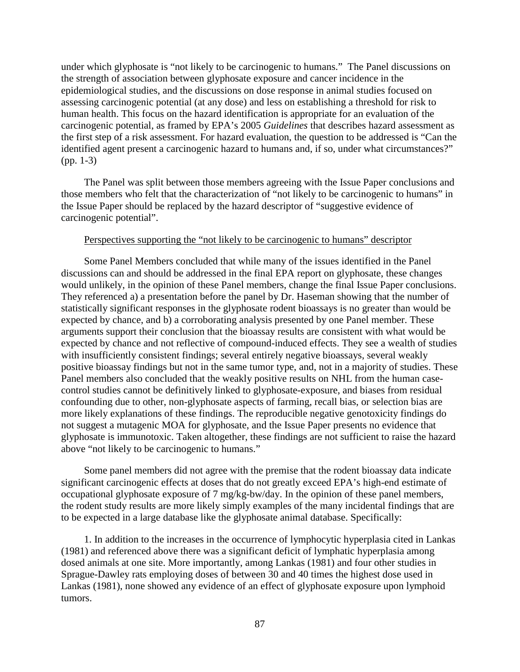under which glyphosate is "not likely to be carcinogenic to humans." The Panel discussions on the strength of association between glyphosate exposure and cancer incidence in the epidemiological studies, and the discussions on dose response in animal studies focused on assessing carcinogenic potential (at any dose) and less on establishing a threshold for risk to human health. This focus on the hazard identification is appropriate for an evaluation of the carcinogenic potential, as framed by EPA's 2005 *Guidelines* that describes hazard assessment as the first step of a risk assessment. For hazard evaluation, the question to be addressed is "Can the identified agent present a carcinogenic hazard to humans and, if so, under what circumstances?" (pp. 1-3)

The Panel was split between those members agreeing with the Issue Paper conclusions and those members who felt that the characterization of "not likely to be carcinogenic to humans" in the Issue Paper should be replaced by the hazard descriptor of "suggestive evidence of carcinogenic potential".

### Perspectives supporting the "not likely to be carcinogenic to humans" descriptor

Some Panel Members concluded that while many of the issues identified in the Panel discussions can and should be addressed in the final EPA report on glyphosate, these changes would unlikely, in the opinion of these Panel members, change the final Issue Paper conclusions. They referenced a) a presentation before the panel by Dr. Haseman showing that the number of statistically significant responses in the glyphosate rodent bioassays is no greater than would be expected by chance, and b) a corroborating analysis presented by one Panel member. These arguments support their conclusion that the bioassay results are consistent with what would be expected by chance and not reflective of compound-induced effects. They see a wealth of studies with insufficiently consistent findings; several entirely negative bioassays, several weakly positive bioassay findings but not in the same tumor type, and, not in a majority of studies. These Panel members also concluded that the weakly positive results on NHL from the human casecontrol studies cannot be definitively linked to glyphosate-exposure, and biases from residual confounding due to other, non-glyphosate aspects of farming, recall bias, or selection bias are more likely explanations of these findings. The reproducible negative genotoxicity findings do not suggest a mutagenic MOA for glyphosate, and the Issue Paper presents no evidence that glyphosate is immunotoxic. Taken altogether, these findings are not sufficient to raise the hazard above "not likely to be carcinogenic to humans."

Some panel members did not agree with the premise that the rodent bioassay data indicate significant carcinogenic effects at doses that do not greatly exceed EPA's high-end estimate of occupational glyphosate exposure of 7 mg/kg-bw/day. In the opinion of these panel members, the rodent study results are more likely simply examples of the many incidental findings that are to be expected in a large database like the glyphosate animal database. Specifically:

1. In addition to the increases in the occurrence of lymphocytic hyperplasia cited in Lankas (1981) and referenced above there was a significant deficit of lymphatic hyperplasia among dosed animals at one site. More importantly, among Lankas (1981) and four other studies in Sprague-Dawley rats employing doses of between 30 and 40 times the highest dose used in Lankas (1981), none showed any evidence of an effect of glyphosate exposure upon lymphoid tumors.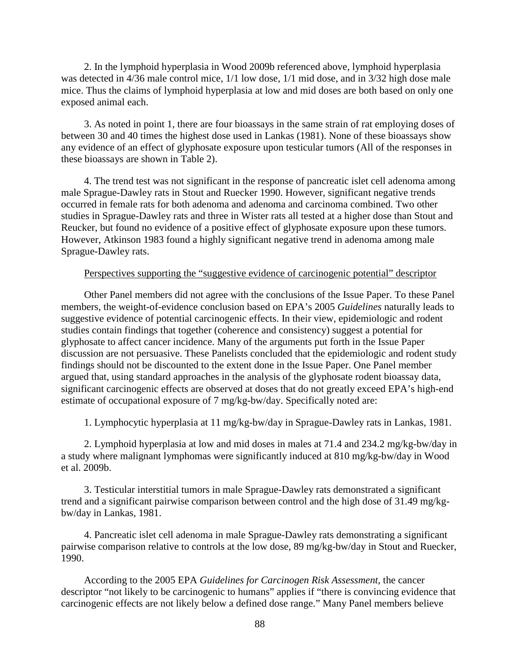2. In the lymphoid hyperplasia in Wood 2009b referenced above, lymphoid hyperplasia was detected in 4/36 male control mice, 1/1 low dose, 1/1 mid dose, and in 3/32 high dose male mice. Thus the claims of lymphoid hyperplasia at low and mid doses are both based on only one exposed animal each.

3. As noted in point 1, there are four bioassays in the same strain of rat employing doses of between 30 and 40 times the highest dose used in Lankas (1981). None of these bioassays show any evidence of an effect of glyphosate exposure upon testicular tumors (All of the responses in these bioassays are shown in Table 2).

4. The trend test was not significant in the response of pancreatic islet cell adenoma among male Sprague-Dawley rats in Stout and Ruecker 1990. However, significant negative trends occurred in female rats for both adenoma and adenoma and carcinoma combined. Two other studies in Sprague-Dawley rats and three in Wister rats all tested at a higher dose than Stout and Reucker, but found no evidence of a positive effect of glyphosate exposure upon these tumors. However, Atkinson 1983 found a highly significant negative trend in adenoma among male Sprague-Dawley rats.

## Perspectives supporting the "suggestive evidence of carcinogenic potential" descriptor

Other Panel members did not agree with the conclusions of the Issue Paper. To these Panel members, the weight-of-evidence conclusion based on EPA's 2005 *Guidelines* naturally leads to suggestive evidence of potential carcinogenic effects. In their view, epidemiologic and rodent studies contain findings that together (coherence and consistency) suggest a potential for glyphosate to affect cancer incidence. Many of the arguments put forth in the Issue Paper discussion are not persuasive. These Panelists concluded that the epidemiologic and rodent study findings should not be discounted to the extent done in the Issue Paper. One Panel member argued that, using standard approaches in the analysis of the glyphosate rodent bioassay data, significant carcinogenic effects are observed at doses that do not greatly exceed EPA's high-end estimate of occupational exposure of 7 mg/kg-bw/day. Specifically noted are:

1. Lymphocytic hyperplasia at 11 mg/kg-bw/day in Sprague-Dawley rats in Lankas, 1981.

2. Lymphoid hyperplasia at low and mid doses in males at 71.4 and 234.2 mg/kg-bw/day in a study where malignant lymphomas were significantly induced at 810 mg/kg-bw/day in Wood et al. 2009b.

3. Testicular interstitial tumors in male Sprague-Dawley rats demonstrated a significant trend and a significant pairwise comparison between control and the high dose of 31.49 mg/kgbw/day in Lankas, 1981.

4. Pancreatic islet cell adenoma in male Sprague-Dawley rats demonstrating a significant pairwise comparison relative to controls at the low dose, 89 mg/kg-bw/day in Stout and Ruecker, 1990.

According to the 2005 EPA *Guidelines for Carcinogen Risk Assessment*, the cancer descriptor "not likely to be carcinogenic to humans" applies if "there is convincing evidence that carcinogenic effects are not likely below a defined dose range." Many Panel members believe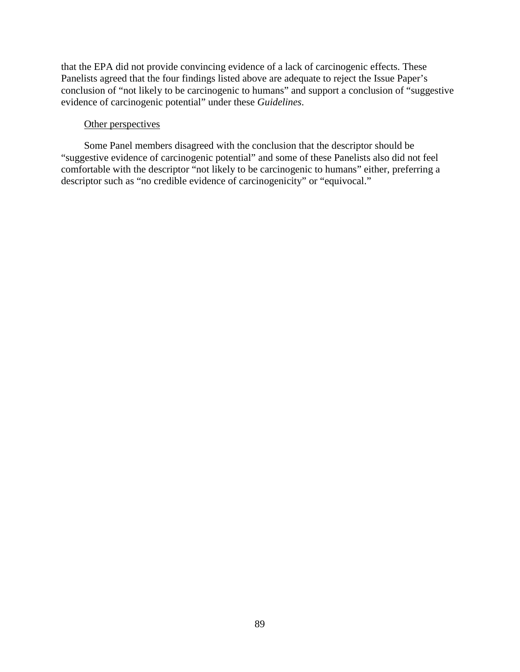that the EPA did not provide convincing evidence of a lack of carcinogenic effects. These Panelists agreed that the four findings listed above are adequate to reject the Issue Paper's conclusion of "not likely to be carcinogenic to humans" and support a conclusion of "suggestive evidence of carcinogenic potential" under these *Guidelines*.

# Other perspectives

Some Panel members disagreed with the conclusion that the descriptor should be "suggestive evidence of carcinogenic potential" and some of these Panelists also did not feel comfortable with the descriptor "not likely to be carcinogenic to humans" either, preferring a descriptor such as "no credible evidence of carcinogenicity" or "equivocal."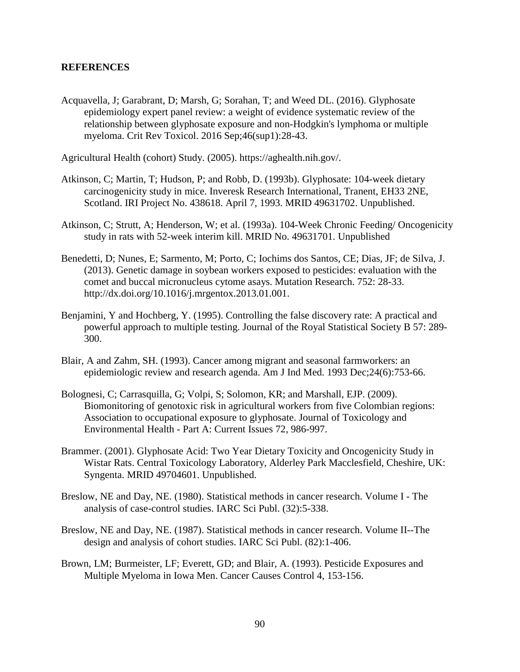# **REFERENCES**

Acquavella, J; Garabrant, D; Marsh, G; Sorahan, T; and Weed DL. (2016). Glyphosate epidemiology expert panel review: a weight of evidence systematic review of the relationship between glyphosate exposure and non-Hodgkin's lymphoma or multiple myeloma. Crit Rev Toxicol. 2016 Sep;46(sup1):28-43.

Agricultural Health (cohort) Study. (2005). https://aghealth.nih.gov/.

- Atkinson, C; Martin, T; Hudson, P; and Robb, D. (1993b). Glyphosate: 104-week dietary carcinogenicity study in mice. Inveresk Research International, Tranent, EH33 2NE, Scotland. IRI Project No. 438618. April 7, 1993. MRID 49631702. Unpublished.
- Atkinson, C; Strutt, A; Henderson, W; et al. (1993a). 104-Week Chronic Feeding/ Oncogenicity study in rats with 52-week interim kill. MRID No. 49631701. Unpublished
- Benedetti, D; Nunes, E; Sarmento, M; Porto, C; Iochims dos Santos, CE; Dias, JF; de Silva, J. (2013). Genetic damage in soybean workers exposed to pesticides: evaluation with the comet and buccal micronucleus cytome asays. Mutation Research. 752: 28-33. http://dx.doi.org/10.1016/j.mrgentox.2013.01.001.
- Benjamini, Y and Hochberg, Y. (1995). Controlling the false discovery rate: A practical and powerful approach to multiple testing. Journal of the Royal Statistical Society B 57: 289- 300.
- Blair, A and Zahm, SH. (1993). Cancer among migrant and seasonal farmworkers: an epidemiologic review and research agenda. Am J Ind Med. 1993 Dec;24(6):753-66.
- Bolognesi, C; Carrasquilla, G; Volpi, S; Solomon, KR; and Marshall, EJP. (2009). Biomonitoring of genotoxic risk in agricultural workers from five Colombian regions: Association to occupational exposure to glyphosate. Journal of Toxicology and Environmental Health - Part A: Current Issues 72, 986-997.
- Brammer. (2001). Glyphosate Acid: Two Year Dietary Toxicity and Oncogenicity Study in Wistar Rats. Central Toxicology Laboratory, Alderley Park Macclesfield, Cheshire, UK: Syngenta. MRID 49704601. Unpublished.
- Breslow, NE and Day, NE. (1980). Statistical methods in cancer research. Volume I The analysis of case-control studies. IARC Sci Publ. (32):5-338.
- Breslow, NE and Day, NE. (1987). Statistical methods in cancer research. Volume II--The design and analysis of cohort studies. IARC Sci Publ. (82):1-406.
- Brown, LM; Burmeister, LF; Everett, GD; and Blair, A. (1993). Pesticide Exposures and Multiple Myeloma in Iowa Men. Cancer Causes Control 4, 153-156.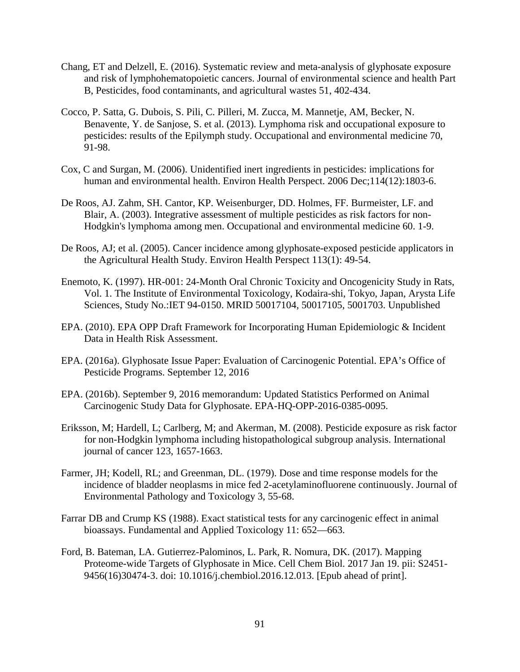- Chang, ET and Delzell, E. (2016). Systematic review and meta-analysis of glyphosate exposure and risk of lymphohematopoietic cancers. Journal of environmental science and health Part B, Pesticides, food contaminants, and agricultural wastes 51, 402-434.
- Cocco, P. Satta, G. Dubois, S. Pili, C. Pilleri, M. Zucca, M. Mannetje, AM, Becker, N. Benavente, Y. de Sanjose, S. et al. (2013). Lymphoma risk and occupational exposure to pesticides: results of the Epilymph study. Occupational and environmental medicine 70, 91-98.
- Cox, C and Surgan, M. (2006). Unidentified inert ingredients in pesticides: implications for human and environmental health. Environ Health Perspect. 2006 Dec;114(12):1803-6.
- De Roos, AJ. Zahm, SH. Cantor, KP. Weisenburger, DD. Holmes, FF. Burmeister, LF. and Blair, A. (2003). Integrative assessment of multiple pesticides as risk factors for non-Hodgkin's lymphoma among men. Occupational and environmental medicine 60. 1-9.
- De Roos, AJ; et al. (2005). Cancer incidence among glyphosate-exposed pesticide applicators in the Agricultural Health Study. Environ Health Perspect 113(1): 49-54.
- Enemoto, K. (1997). HR-001: 24-Month Oral Chronic Toxicity and Oncogenicity Study in Rats, Vol. 1. The Institute of Environmental Toxicology, Kodaira-shi, Tokyo, Japan, Arysta Life Sciences, Study No.:IET 94-0150. MRID 50017104, 50017105, 5001703. Unpublished
- EPA. (2010). EPA OPP Draft Framework for Incorporating Human Epidemiologic & Incident Data in Health Risk Assessment.
- EPA. (2016a). Glyphosate Issue Paper: Evaluation of Carcinogenic Potential. EPA's Office of Pesticide Programs. September 12, 2016
- EPA. (2016b). September 9, 2016 memorandum: Updated Statistics Performed on Animal Carcinogenic Study Data for Glyphosate. EPA-HQ-OPP-2016-0385-0095.
- Eriksson, M; Hardell, L; Carlberg, M; and Akerman, M. (2008). Pesticide exposure as risk factor for non-Hodgkin lymphoma including histopathological subgroup analysis. International journal of cancer 123, 1657-1663.
- Farmer, JH; Kodell, RL; and Greenman, DL. (1979). Dose and time response models for the incidence of bladder neoplasms in mice fed 2-acetylaminofluorene continuously. Journal of Environmental Pathology and Toxicology 3, 55-68.
- Farrar DB and Crump KS (1988). Exact statistical tests for any carcinogenic effect in animal bioassays. Fundamental and Applied Toxicology 11: 652—663.
- Ford, B. Bateman, LA. Gutierrez-Palominos, L. Park, R. Nomura, DK. (2017). Mapping Proteome-wide Targets of Glyphosate in Mice. Cell Chem Biol. 2017 Jan 19. pii: S2451- 9456(16)30474-3. doi: 10.1016/j.chembiol.2016.12.013. [Epub ahead of print].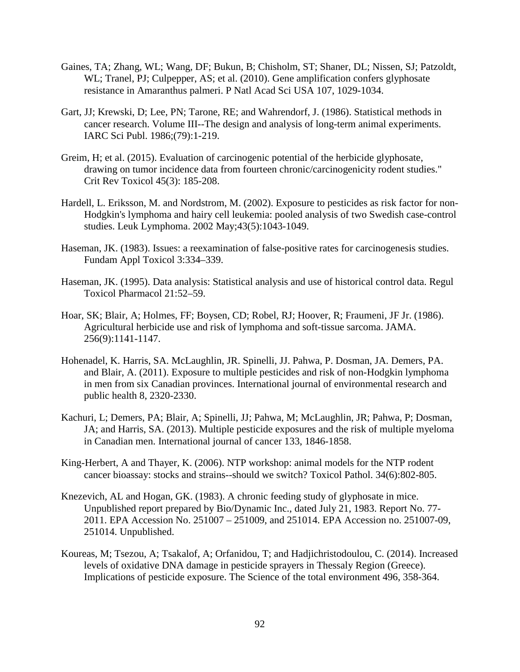- Gaines, TA; Zhang, WL; Wang, DF; Bukun, B; Chisholm, ST; Shaner, DL; Nissen, SJ; Patzoldt, WL; Tranel, PJ; Culpepper, AS; et al. (2010). Gene amplification confers glyphosate resistance in Amaranthus palmeri. P Natl Acad Sci USA 107, 1029-1034.
- Gart, JJ; Krewski, D; Lee, PN; Tarone, RE; and Wahrendorf, J. (1986). Statistical methods in cancer research. Volume III--The design and analysis of long-term animal experiments. IARC Sci Publ. 1986;(79):1-219.
- Greim, H; et al. (2015). Evaluation of carcinogenic potential of the herbicide glyphosate, drawing on tumor incidence data from fourteen chronic/carcinogenicity rodent studies." Crit Rev Toxicol 45(3): 185-208.
- Hardell, L. Eriksson, M. and Nordstrom, M. (2002). Exposure to pesticides as risk factor for non-Hodgkin's lymphoma and hairy cell leukemia: pooled analysis of two Swedish case-control studies. Leuk Lymphoma. 2002 May;43(5):1043-1049.
- Haseman, JK. (1983). Issues: a reexamination of false-positive rates for carcinogenesis studies. Fundam Appl Toxicol 3:334–339.
- Haseman, JK. (1995). Data analysis: Statistical analysis and use of historical control data. Regul Toxicol Pharmacol 21:52–59.
- Hoar, SK; Blair, A; Holmes, FF; Boysen, CD; Robel, RJ; Hoover, R; Fraumeni, JF Jr. (1986). Agricultural herbicide use and risk of lymphoma and soft-tissue sarcoma. JAMA. 256(9):1141-1147.
- Hohenadel, K. Harris, SA. McLaughlin, JR. Spinelli, JJ. Pahwa, P. Dosman, JA. Demers, PA. and Blair, A. (2011). Exposure to multiple pesticides and risk of non-Hodgkin lymphoma in men from six Canadian provinces. International journal of environmental research and public health 8, 2320-2330.
- Kachuri, L; Demers, PA; Blair, A; Spinelli, JJ; Pahwa, M; McLaughlin, JR; Pahwa, P; Dosman, JA; and Harris, SA. (2013). Multiple pesticide exposures and the risk of multiple myeloma in Canadian men. International journal of cancer 133, 1846-1858.
- King-Herbert, A and Thayer, K. (2006). NTP workshop: animal models for the NTP rodent cancer bioassay: stocks and strains--should we switch? Toxicol Pathol. 34(6):802-805.
- Knezevich, AL and Hogan, GK. (1983). A chronic feeding study of glyphosate in mice. Unpublished report prepared by Bio/Dynamic Inc., dated July 21, 1983. Report No. 77- 2011. EPA Accession No. 251007 – 251009, and 251014. EPA Accession no. 251007-09, 251014. Unpublished.
- Koureas, M; Tsezou, A; Tsakalof, A; Orfanidou, T; and Hadjichristodoulou, C. (2014). Increased levels of oxidative DNA damage in pesticide sprayers in Thessaly Region (Greece). Implications of pesticide exposure. The Science of the total environment 496, 358-364.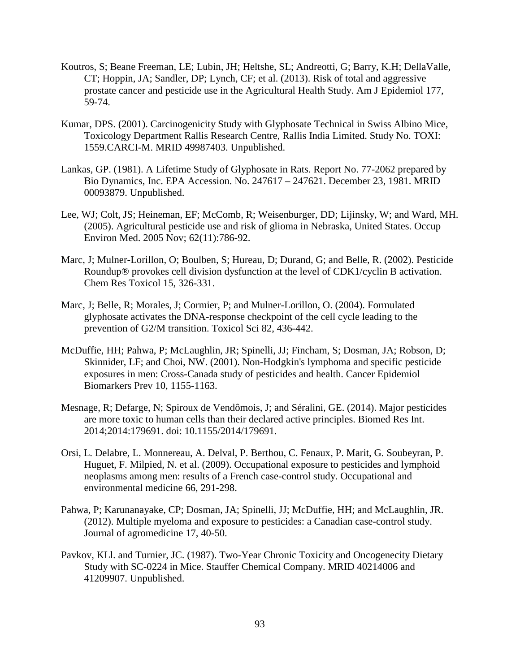- Koutros, S; Beane Freeman, LE; Lubin, JH; Heltshe, SL; Andreotti, G; Barry, K.H; DellaValle, CT; Hoppin, JA; Sandler, DP; Lynch, CF; et al. (2013). Risk of total and aggressive prostate cancer and pesticide use in the Agricultural Health Study. Am J Epidemiol 177, 59-74.
- Kumar, DPS. (2001). Carcinogenicity Study with Glyphosate Technical in Swiss Albino Mice, Toxicology Department Rallis Research Centre, Rallis India Limited. Study No. TOXI: 1559.CARCI-M. MRID 49987403. Unpublished.
- Lankas, GP. (1981). A Lifetime Study of Glyphosate in Rats. Report No. 77-2062 prepared by Bio Dynamics, Inc. EPA Accession. No. 247617 – 247621. December 23, 1981. MRID 00093879. Unpublished.
- Lee, WJ; Colt, JS; Heineman, EF; McComb, R; Weisenburger, DD; Lijinsky, W; and Ward, MH. (2005). Agricultural pesticide use and risk of glioma in Nebraska, United States. Occup Environ Med. 2005 Nov; 62(11):786-92.
- Marc, J; Mulner-Lorillon, O; Boulben, S; Hureau, D; Durand, G; and Belle, R. (2002). Pesticide Roundup® provokes cell division dysfunction at the level of CDK1/cyclin B activation. Chem Res Toxicol 15, 326-331.
- Marc, J; Belle, R; Morales, J; Cormier, P; and Mulner-Lorillon, O. (2004). Formulated glyphosate activates the DNA-response checkpoint of the cell cycle leading to the prevention of G2/M transition. Toxicol Sci 82, 436-442.
- McDuffie, HH; Pahwa, P; McLaughlin, JR; Spinelli, JJ; Fincham, S; Dosman, JA; Robson, D; Skinnider, LF; and Choi, NW. (2001). Non-Hodgkin's lymphoma and specific pesticide exposures in men: Cross-Canada study of pesticides and health. Cancer Epidemiol Biomarkers Prev 10, 1155-1163.
- Mesnage, R; Defarge, N; Spiroux de Vendômois, J; and Séralini, GE. (2014). Major pesticides are more toxic to human cells than their declared active principles. Biomed Res Int. 2014;2014:179691. doi: 10.1155/2014/179691.
- Orsi, L. Delabre, L. Monnereau, A. Delval, P. Berthou, C. Fenaux, P. Marit, G. Soubeyran, P. Huguet, F. Milpied, N. et al. (2009). Occupational exposure to pesticides and lymphoid neoplasms among men: results of a French case-control study. Occupational and environmental medicine 66, 291-298.
- Pahwa, P; Karunanayake, CP; Dosman, JA; Spinelli, JJ; McDuffie, HH; and McLaughlin, JR. (2012). Multiple myeloma and exposure to pesticides: a Canadian case-control study. Journal of agromedicine 17, 40-50.
- Pavkov, KLl. and Turnier, JC. (1987). Two-Year Chronic Toxicity and Oncogenecity Dietary Study with SC-0224 in Mice. Stauffer Chemical Company. MRID 40214006 and 41209907. Unpublished.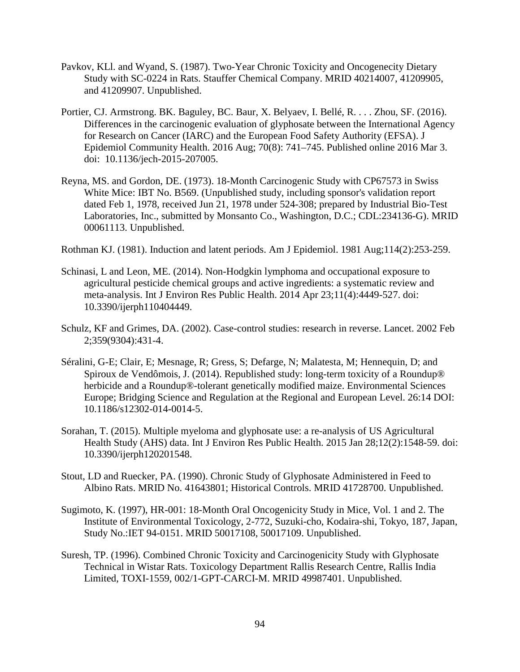- Pavkov, KLl. and Wyand, S. (1987). Two-Year Chronic Toxicity and Oncogenecity Dietary Study with SC-0224 in Rats. Stauffer Chemical Company. MRID 40214007, 41209905, and 41209907. Unpublished.
- Portier, CJ. Armstrong. BK. Baguley, BC. Baur, X. Belyaev, I. Bellé, R. . . . Zhou, SF. (2016). Differences in the carcinogenic evaluation of glyphosate between the International Agency for Research on Cancer (IARC) and the European Food Safety Authority (EFSA). J Epidemiol Community Health. 2016 Aug; 70(8): 741–745. Published online 2016 Mar 3. doi: 10.1136/jech-2015-207005.
- Reyna, MS. and Gordon, DE. (1973). 18-Month Carcinogenic Study with CP67573 in Swiss White Mice: IBT No. B569. (Unpublished study, including sponsor's validation report dated Feb 1, 1978, received Jun 21, 1978 under 524-308; prepared by Industrial Bio-Test Laboratories, Inc., submitted by Monsanto Co., Washington, D.C.; CDL:234136-G). MRID 00061113. Unpublished.

Rothman KJ. (1981). Induction and latent periods. Am J Epidemiol. 1981 Aug;114(2):253-259.

- Schinasi, L and Leon, ME. (2014). Non-Hodgkin lymphoma and occupational exposure to agricultural pesticide chemical groups and active ingredients: a systematic review and meta-analysis. Int J Environ Res Public Health. 2014 Apr 23;11(4):4449-527. doi: 10.3390/ijerph110404449.
- Schulz, KF and Grimes, DA. (2002). Case-control studies: research in reverse. Lancet. 2002 Feb 2;359(9304):431-4.
- Séralini, G-E; Clair, E; Mesnage, R; Gress, S; Defarge, N; Malatesta, M; Hennequin, D; and Spiroux de Vendômois, J. (2014). Republished study: long-term toxicity of a Roundup® herbicide and a Roundup®-tolerant genetically modified maize. Environmental Sciences Europe; Bridging Science and Regulation at the Regional and European Level. 26:14 DOI: 10.1186/s12302-014-0014-5.
- Sorahan, T. (2015). Multiple myeloma and glyphosate use: a re-analysis of US Agricultural Health Study (AHS) data. Int J Environ Res Public Health. 2015 Jan 28;12(2):1548-59. doi: 10.3390/ijerph120201548.
- Stout, LD and Ruecker, PA. (1990). Chronic Study of Glyphosate Administered in Feed to Albino Rats. MRID No. 41643801; Historical Controls. MRID 41728700. Unpublished.
- Sugimoto, K. (1997), HR-001: 18-Month Oral Oncogenicity Study in Mice, Vol. 1 and 2. The Institute of Environmental Toxicology, 2-772, Suzuki-cho, Kodaira-shi, Tokyo, 187, Japan, Study No.:IET 94-0151. MRID 50017108, 50017109. Unpublished.
- Suresh, TP. (1996). Combined Chronic Toxicity and Carcinogenicity Study with Glyphosate Technical in Wistar Rats. Toxicology Department Rallis Research Centre, Rallis India Limited, TOXI-1559, 002/1-GPT-CARCI-M. MRID 49987401. Unpublished.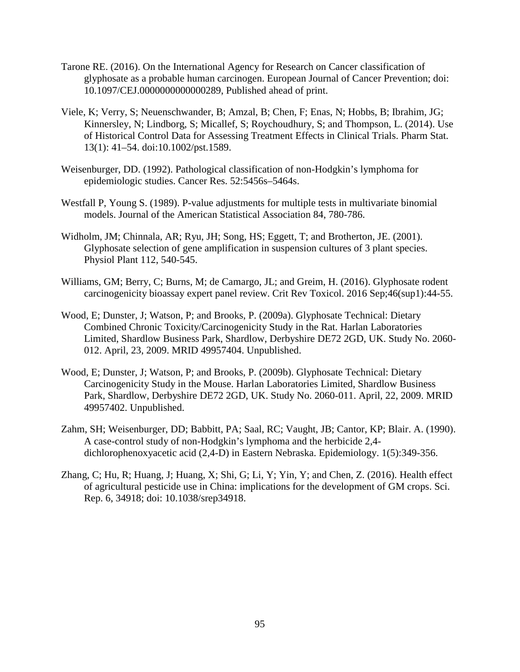- Tarone RE. (2016). On the International Agency for Research on Cancer classification of glyphosate as a probable human carcinogen. European Journal of Cancer Prevention; doi: 10.1097/CEJ.0000000000000289, Published ahead of print.
- Viele, K; Verry, S; Neuenschwander, B; Amzal, B; Chen, F; Enas, N; Hobbs, B; Ibrahim, JG; Kinnersley, N; Lindborg, S; Micallef, S; Roychoudhury, S; and Thompson, L. (2014). Use of Historical Control Data for Assessing Treatment Effects in Clinical Trials. Pharm Stat. 13(1): 41–54. doi:10.1002/pst.1589.
- Weisenburger, DD. (1992). Pathological classification of non-Hodgkin's lymphoma for epidemiologic studies. Cancer Res. 52:5456s–5464s.
- Westfall P, Young S. (1989). P-value adjustments for multiple tests in multivariate binomial models. Journal of the American Statistical Association 84, 780-786.
- Widholm, JM; Chinnala, AR; Ryu, JH; Song, HS; Eggett, T; and Brotherton, JE. (2001). Glyphosate selection of gene amplification in suspension cultures of 3 plant species. Physiol Plant 112, 540-545.
- Williams, GM; Berry, C; Burns, M; de Camargo, JL; and Greim, H. (2016). Glyphosate rodent carcinogenicity bioassay expert panel review. Crit Rev Toxicol. 2016 Sep;46(sup1):44-55.
- Wood, E; Dunster, J; Watson, P; and Brooks, P. (2009a). Glyphosate Technical: Dietary Combined Chronic Toxicity/Carcinogenicity Study in the Rat. Harlan Laboratories Limited, Shardlow Business Park, Shardlow, Derbyshire DE72 2GD, UK. Study No. 2060- 012. April, 23, 2009. MRID 49957404. Unpublished.
- Wood, E; Dunster, J; Watson, P; and Brooks, P. (2009b). Glyphosate Technical: Dietary Carcinogenicity Study in the Mouse. Harlan Laboratories Limited, Shardlow Business Park, Shardlow, Derbyshire DE72 2GD, UK. Study No. 2060-011. April, 22, 2009. MRID 49957402. Unpublished.
- Zahm, SH; Weisenburger, DD; Babbitt, PA; Saal, RC; Vaught, JB; Cantor, KP; Blair. A. (1990). A case-control study of non-Hodgkin's lymphoma and the herbicide 2,4 dichlorophenoxyacetic acid (2,4-D) in Eastern Nebraska. Epidemiology. 1(5):349-356.
- Zhang, C; Hu, R; Huang, J; Huang, X; Shi, G; Li, Y; Yin, Y; and Chen, Z. (2016). Health effect of agricultural pesticide use in China: implications for the development of GM crops. Sci. Rep. 6, 34918; doi: 10.1038/srep34918.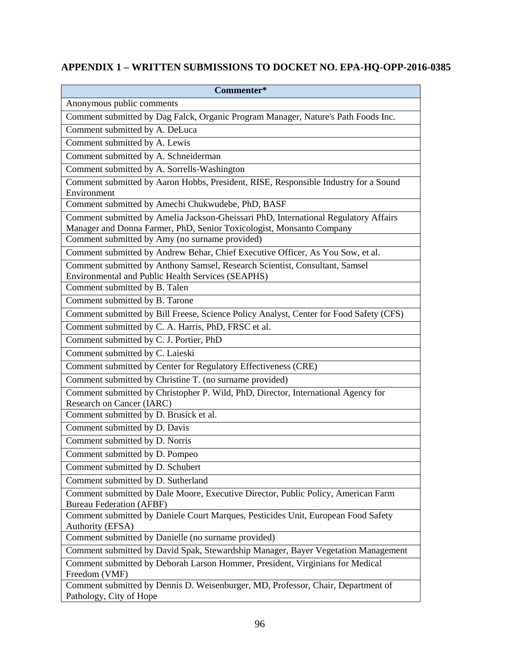# **APPENDIX 1 – WRITTEN SUBMISSIONS TO DOCKET NO. EPA-HQ-OPP-2016-0385**

| Commenter*                                                                                                                       |
|----------------------------------------------------------------------------------------------------------------------------------|
| Anonymous public comments                                                                                                        |
| Comment submitted by Dag Falck, Organic Program Manager, Nature's Path Foods Inc.                                                |
| Comment submitted by A. DeLuca                                                                                                   |
| Comment submitted by A. Lewis                                                                                                    |
| Comment submitted by A. Schneiderman                                                                                             |
| Comment submitted by A. Sorrells-Washington                                                                                      |
| Comment submitted by Aaron Hobbs, President, RISE, Responsible Industry for a Sound                                              |
| Environment                                                                                                                      |
| Comment submitted by Amechi Chukwudebe, PhD, BASF                                                                                |
| Comment submitted by Amelia Jackson-Gheissari PhD, International Regulatory Affairs                                              |
| Manager and Donna Farmer, PhD, Senior Toxicologist, Monsanto Company                                                             |
| Comment submitted by Amy (no surname provided)                                                                                   |
| Comment submitted by Andrew Behar, Chief Executive Officer, As You Sow, et al.                                                   |
| Comment submitted by Anthony Samsel, Research Scientist, Consultant, Samsel<br>Environmental and Public Health Services (SEAPHS) |
| Comment submitted by B. Talen                                                                                                    |
| Comment submitted by B. Tarone                                                                                                   |
| Comment submitted by Bill Freese, Science Policy Analyst, Center for Food Safety (CFS)                                           |
| Comment submitted by C. A. Harris, PhD, FRSC et al.                                                                              |
| Comment submitted by C. J. Portier, PhD                                                                                          |
| Comment submitted by C. Laieski                                                                                                  |
| Comment submitted by Center for Regulatory Effectiveness (CRE)                                                                   |
| Comment submitted by Christine T. (no surname provided)                                                                          |
| Comment submitted by Christopher P. Wild, PhD, Director, International Agency for                                                |
| Research on Cancer (IARC)                                                                                                        |
| Comment submitted by D. Brusick et al.                                                                                           |
| Comment submitted by D. Davis                                                                                                    |
| Comment submitted by D. Norris                                                                                                   |
| Comment submitted by D. Pompeo                                                                                                   |
| Comment submitted by D. Schubert                                                                                                 |
| Comment submitted by D. Sutherland                                                                                               |
| Comment submitted by Dale Moore, Executive Director, Public Policy, American Farm                                                |
| <b>Bureau Federation (AFBF)</b>                                                                                                  |
| Comment submitted by Daniele Court Marques, Pesticides Unit, European Food Safety                                                |
| <b>Authority (EFSA)</b>                                                                                                          |
| Comment submitted by Danielle (no surname provided)                                                                              |
| Comment submitted by David Spak, Stewardship Manager, Bayer Vegetation Management                                                |
| Comment submitted by Deborah Larson Hommer, President, Virginians for Medical                                                    |
| Freedom (VMF)<br>Comment submitted by Dennis D. Weisenburger, MD, Professor, Chair, Department of                                |
| Pathology, City of Hope                                                                                                          |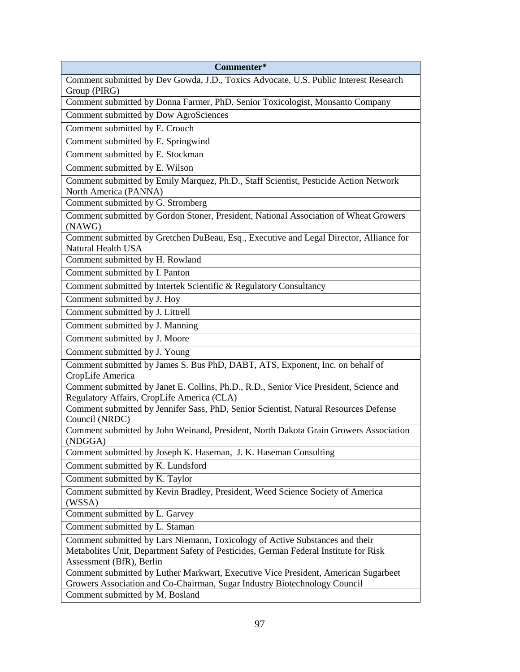| Commenter*                                                                                                                           |
|--------------------------------------------------------------------------------------------------------------------------------------|
| Comment submitted by Dev Gowda, J.D., Toxics Advocate, U.S. Public Interest Research                                                 |
| Group (PIRG)                                                                                                                         |
| Comment submitted by Donna Farmer, PhD. Senior Toxicologist, Monsanto Company                                                        |
| Comment submitted by Dow AgroSciences                                                                                                |
| Comment submitted by E. Crouch                                                                                                       |
| Comment submitted by E. Springwind                                                                                                   |
| Comment submitted by E. Stockman                                                                                                     |
| Comment submitted by E. Wilson                                                                                                       |
| Comment submitted by Emily Marquez, Ph.D., Staff Scientist, Pesticide Action Network                                                 |
| North America (PANNA)                                                                                                                |
| Comment submitted by G. Stromberg                                                                                                    |
| Comment submitted by Gordon Stoner, President, National Association of Wheat Growers<br>(NAWG)                                       |
| Comment submitted by Gretchen DuBeau, Esq., Executive and Legal Director, Alliance for<br>Natural Health USA                         |
| Comment submitted by H. Rowland                                                                                                      |
| Comment submitted by I. Panton                                                                                                       |
| Comment submitted by Intertek Scientific & Regulatory Consultancy                                                                    |
| Comment submitted by J. Hoy                                                                                                          |
| Comment submitted by J. Littrell                                                                                                     |
| Comment submitted by J. Manning                                                                                                      |
| Comment submitted by J. Moore                                                                                                        |
| Comment submitted by J. Young                                                                                                        |
| Comment submitted by James S. Bus PhD, DABT, ATS, Exponent, Inc. on behalf of                                                        |
| CropLife America                                                                                                                     |
| Comment submitted by Janet E. Collins, Ph.D., R.D., Senior Vice President, Science and<br>Regulatory Affairs, CropLife America (CLA) |
| Comment submitted by Jennifer Sass, PhD, Senior Scientist, Natural Resources Defense                                                 |
| Council (NRDC)                                                                                                                       |
| Comment submitted by John Weinand, President, North Dakota Grain Growers Association<br>(NDGGA)                                      |
| Comment submitted by Joseph K. Haseman, J. K. Haseman Consulting                                                                     |
| Comment submitted by K. Lundsford                                                                                                    |
| Comment submitted by K. Taylor                                                                                                       |
| Comment submitted by Kevin Bradley, President, Weed Science Society of America<br>(WSSA)                                             |
| Comment submitted by L. Garvey                                                                                                       |
| Comment submitted by L. Staman                                                                                                       |
| Comment submitted by Lars Niemann, Toxicology of Active Substances and their                                                         |
| Metabolites Unit, Department Safety of Pesticides, German Federal Institute for Risk                                                 |
| Assessment (BfR), Berlin                                                                                                             |
| Comment submitted by Luther Markwart, Executive Vice President, American Sugarbeet                                                   |
| Growers Association and Co-Chairman, Sugar Industry Biotechnology Council                                                            |
| Comment submitted by M. Bosland                                                                                                      |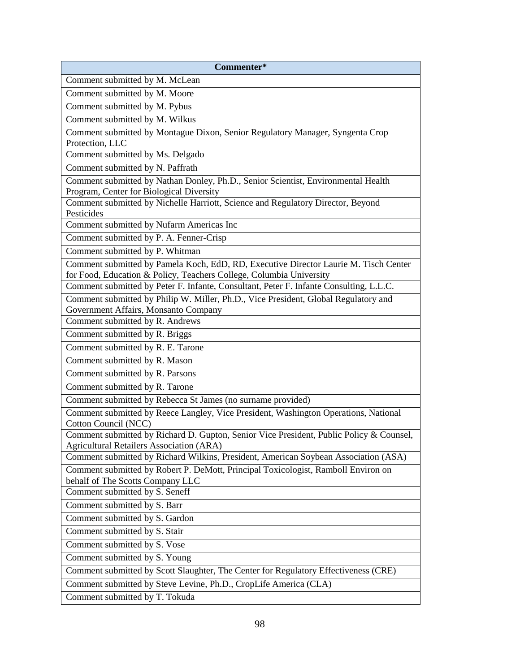| Commenter*                                                                                                                                                  |
|-------------------------------------------------------------------------------------------------------------------------------------------------------------|
| Comment submitted by M. McLean                                                                                                                              |
| Comment submitted by M. Moore                                                                                                                               |
| Comment submitted by M. Pybus                                                                                                                               |
| Comment submitted by M. Wilkus                                                                                                                              |
| Comment submitted by Montague Dixon, Senior Regulatory Manager, Syngenta Crop<br>Protection, LLC                                                            |
| Comment submitted by Ms. Delgado                                                                                                                            |
| Comment submitted by N. Paffrath                                                                                                                            |
| Comment submitted by Nathan Donley, Ph.D., Senior Scientist, Environmental Health                                                                           |
| Program, Center for Biological Diversity                                                                                                                    |
| Comment submitted by Nichelle Harriott, Science and Regulatory Director, Beyond                                                                             |
| Pesticides                                                                                                                                                  |
| Comment submitted by Nufarm Americas Inc                                                                                                                    |
| Comment submitted by P. A. Fenner-Crisp                                                                                                                     |
| Comment submitted by P. Whitman                                                                                                                             |
| Comment submitted by Pamela Koch, EdD, RD, Executive Director Laurie M. Tisch Center<br>for Food, Education & Policy, Teachers College, Columbia University |
| Comment submitted by Peter F. Infante, Consultant, Peter F. Infante Consulting, L.L.C.                                                                      |
| Comment submitted by Philip W. Miller, Ph.D., Vice President, Global Regulatory and                                                                         |
| Government Affairs, Monsanto Company                                                                                                                        |
| Comment submitted by R. Andrews                                                                                                                             |
| Comment submitted by R. Briggs                                                                                                                              |
| Comment submitted by R. E. Tarone                                                                                                                           |
| Comment submitted by R. Mason                                                                                                                               |
| Comment submitted by R. Parsons                                                                                                                             |
| Comment submitted by R. Tarone                                                                                                                              |
| Comment submitted by Rebecca St James (no surname provided)                                                                                                 |
| Comment submitted by Reece Langley, Vice President, Washington Operations, National<br>Cotton Council (NCC)                                                 |
| Comment submitted by Richard D. Gupton, Senior Vice President, Public Policy & Counsel,                                                                     |
| <b>Agricultural Retailers Association (ARA)</b>                                                                                                             |
| Comment submitted by Richard Wilkins, President, American Soybean Association (ASA)                                                                         |
| Comment submitted by Robert P. DeMott, Principal Toxicologist, Ramboll Environ on                                                                           |
| behalf of The Scotts Company LLC                                                                                                                            |
| Comment submitted by S. Seneff                                                                                                                              |
| Comment submitted by S. Barr                                                                                                                                |
| Comment submitted by S. Gardon                                                                                                                              |
| Comment submitted by S. Stair                                                                                                                               |
| Comment submitted by S. Vose                                                                                                                                |
| Comment submitted by S. Young                                                                                                                               |
| Comment submitted by Scott Slaughter, The Center for Regulatory Effectiveness (CRE)                                                                         |
| Comment submitted by Steve Levine, Ph.D., CropLife America (CLA)                                                                                            |
| Comment submitted by T. Tokuda                                                                                                                              |